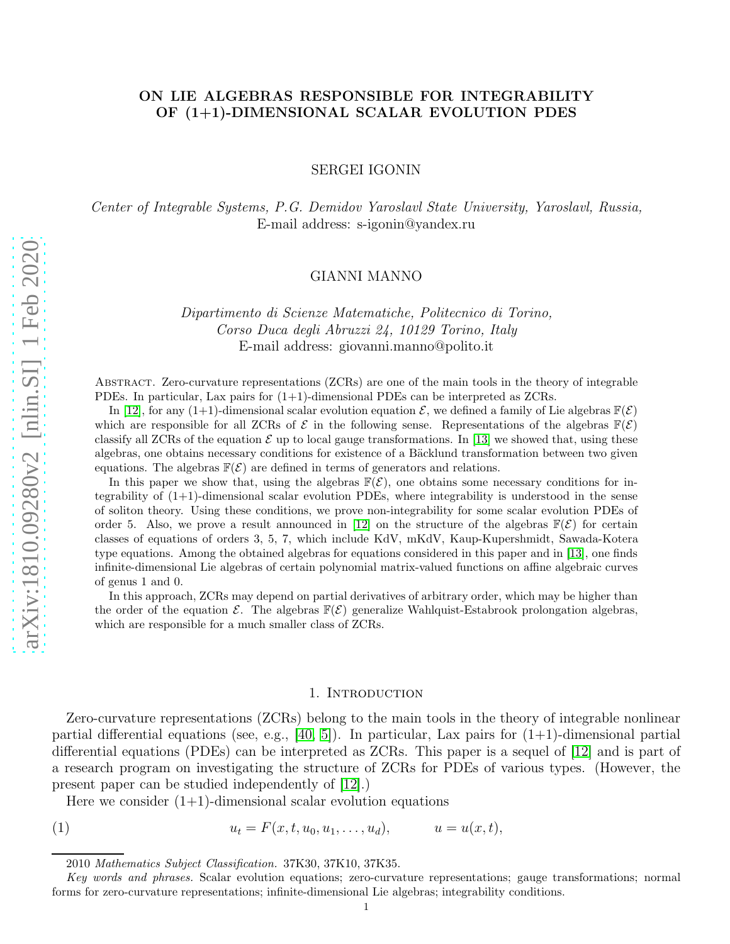## ON LIE ALGEBRAS RESPONSIBLE FOR INTEGRABILITY OF (1+1)-DIMENSIONAL SCALAR EVOLUTION PDES

SERGEI IGONIN

Center of Integrable Systems, P.G. Demidov Yaroslavl State University, Yaroslavl, Russia, E-mail address: s-igonin@yandex.ru

## GIANNI MANNO

Dipartimento di Scienze Matematiche, Politecnico di Torino, Corso Duca degli Abruzzi 24, 10129 Torino, Italy E-mail address: giovanni.manno@polito.it

Abstract. Zero-curvature representations (ZCRs) are one of the main tools in the theory of integrable PDEs. In particular, Lax pairs for (1+1)-dimensional PDEs can be interpreted as ZCRs.

In [\[12\]](#page-28-0), for any (1+1)-dimensional scalar evolution equation  $\mathcal{E}$ , we defined a family of Lie algebras  $\mathbb{F}(\mathcal{E})$ which are responsible for all ZCRs of  $\mathcal E$  in the following sense. Representations of the algebras  $\mathbb F(\mathcal E)$ classify all ZCRs of the equation  $\mathcal E$  up to local gauge transformations. In [\[13\]](#page-28-1) we showed that, using these algebras, one obtains necessary conditions for existence of a Bäcklund transformation between two given equations. The algebras  $\mathbb{F}(\mathcal{E})$  are defined in terms of generators and relations.

In this paper we show that, using the algebras  $\mathbb{F}(\mathcal{E})$ , one obtains some necessary conditions for integrability of (1+1)-dimensional scalar evolution PDEs, where integrability is understood in the sense of soliton theory. Using these conditions, we prove non-integrability for some scalar evolution PDEs of order 5. Also, we prove a result announced in [\[12\]](#page-28-0) on the structure of the algebras  $\mathbb{F}(\mathcal{E})$  for certain classes of equations of orders 3, 5, 7, which include KdV, mKdV, Kaup-Kupershmidt, Sawada-Kotera type equations. Among the obtained algebras for equations considered in this paper and in [\[13\]](#page-28-1), one finds infinite-dimensional Lie algebras of certain polynomial matrix-valued functions on affine algebraic curves of genus 1 and 0.

In this approach, ZCRs may depend on partial derivatives of arbitrary order, which may be higher than the order of the equation  $\mathcal{E}$ . The algebras  $\mathbb{F}(\mathcal{E})$  generalize Wahlquist-Estabrook prolongation algebras, which are responsible for a much smaller class of ZCRs.

#### <span id="page-0-0"></span>1. INTRODUCTION

<span id="page-0-1"></span>Zero-curvature representations (ZCRs) belong to the main tools in the theory of integrable nonlinear partial differential equations (see, e.g.,  $[40, 5]$  $[40, 5]$ ). In particular, Lax pairs for  $(1+1)$ -dimensional partial differential equations (PDEs) can be interpreted as ZCRs. This paper is a sequel of [\[12\]](#page-28-0) and is part of a research program on investigating the structure of ZCRs for PDEs of various types. (However, the present paper can be studied independently of [\[12\]](#page-28-0).)

Here we consider  $(1+1)$ -dimensional scalar evolution equations

(1) 
$$
u_t = F(x, t, u_0, u_1, \dots, u_d), \qquad u = u(x, t),
$$

<sup>2010</sup> Mathematics Subject Classification. 37K30, 37K10, 37K35.

Key words and phrases. Scalar evolution equations; zero-curvature representations; gauge transformations; normal forms for zero-curvature representations; infinite-dimensional Lie algebras; integrability conditions.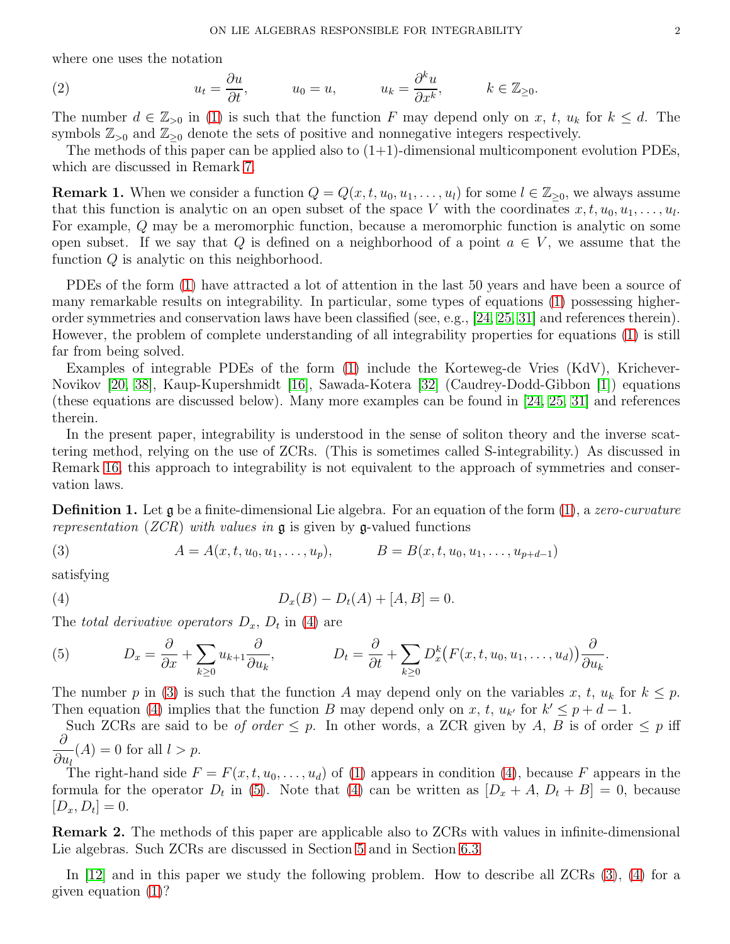where one uses the notation

(2) 
$$
u_t = \frac{\partial u}{\partial t}, \qquad u_0 = u, \qquad u_k = \frac{\partial^k u}{\partial x^k}, \qquad k \in \mathbb{Z}_{\geq 0}.
$$

The number  $d \in \mathbb{Z}_{>0}$  in [\(1\)](#page-0-0) is such that the function F may depend only on x, t,  $u_k$  for  $k \leq d$ . The symbols  $\mathbb{Z}_{>0}$  and  $\mathbb{Z}_{>0}$  denote the sets of positive and nonnegative integers respectively.

The methods of this paper can be applied also to  $(1+1)$ -dimensional multicomponent evolution PDEs, which are discussed in Remark [7.](#page-6-0)

<span id="page-1-4"></span>**Remark 1.** When we consider a function  $Q = Q(x, t, u_0, u_1, \dots, u_l)$  for some  $l \in \mathbb{Z}_{\geq 0}$ , we always assume that this function is analytic on an open subset of the space V with the coordinates  $x, t, u_0, u_1, \ldots, u_l$ . For example, Q may be a meromorphic function, because a meromorphic function is analytic on some open subset. If we say that Q is defined on a neighborhood of a point  $a \in V$ , we assume that the function Q is analytic on this neighborhood.

PDEs of the form [\(1\)](#page-0-0) have attracted a lot of attention in the last 50 years and have been a source of many remarkable results on integrability. In particular, some types of equations [\(1\)](#page-0-0) possessing higherorder symmetries and conservation laws have been classified (see, e.g., [\[24,](#page-28-3) [25,](#page-28-4) [31\]](#page-28-5) and references therein). However, the problem of complete understanding of all integrability properties for equations [\(1\)](#page-0-0) is still far from being solved.

Examples of integrable PDEs of the form [\(1\)](#page-0-0) include the Korteweg-de Vries (KdV), Krichever-Novikov [\[20,](#page-28-6) [38\]](#page-28-7), Kaup-Kupershmidt [\[16\]](#page-28-8), Sawada-Kotera [\[32\]](#page-28-9) (Caudrey-Dodd-Gibbon [\[1\]](#page-27-1)) equations (these equations are discussed below). Many more examples can be found in [\[24,](#page-28-3) [25,](#page-28-4) [31\]](#page-28-5) and references therein.

In the present paper, integrability is understood in the sense of soliton theory and the inverse scattering method, relying on the use of ZCRs. (This is sometimes called S-integrability.) As discussed in Remark [16,](#page-23-0) this approach to integrability is not equivalent to the approach of symmetries and conservation laws.

<span id="page-1-3"></span>**Definition 1.** Let g be a finite-dimensional Lie algebra. For an equation of the form [\(1\)](#page-0-0), a zero-curvature representation (*ZCR*) with values in  $\mathfrak g$  is given by  $\mathfrak g$ -valued functions

<span id="page-1-1"></span>(3) 
$$
A = A(x, t, u_0, u_1, \dots, u_p), \qquad B = B(x, t, u_0, u_1, \dots, u_{p+d-1})
$$

satisfying

<span id="page-1-0"></span>(4) 
$$
D_x(B) - D_t(A) + [A, B] = 0.
$$

The total derivative operators  $D_x$ ,  $D_t$  in [\(4\)](#page-1-0) are

<span id="page-1-2"></span>(5) 
$$
D_x = \frac{\partial}{\partial x} + \sum_{k \geq 0} u_{k+1} \frac{\partial}{\partial u_k}, \qquad D_t = \frac{\partial}{\partial t} + \sum_{k \geq 0} D_x^k (F(x, t, u_0, u_1, \dots, u_d)) \frac{\partial}{\partial u_k}.
$$

The number p in [\(3\)](#page-1-1) is such that the function A may depend only on the variables x, t,  $u_k$  for  $k \leq p$ . Then equation [\(4\)](#page-1-0) implies that the function B may depend only on x, t,  $u_{k'}$  for  $k' \leq p + d - 1$ .

Such ZCRs are said to be *of order*  $\leq p$ . In other words, a ZCR given by A, B is of order  $\leq p$  iff  $\partial$  $(A) = 0$  for all  $l > p$ .

 $\partial u_l$ The right-hand side  $F = F(x, t, u_0, \ldots, u_d)$  of [\(1\)](#page-0-0) appears in condition [\(4\)](#page-1-0), because F appears in the formula for the operator  $D_t$  in [\(5\)](#page-1-2). Note that [\(4\)](#page-1-0) can be written as  $[D_x + A, D_t + B] = 0$ , because  $[D_x, D_t] = 0.$ 

Remark 2. The methods of this paper are applicable also to ZCRs with values in infinite-dimensional Lie algebras. Such ZCRs are discussed in Section [5](#page-20-0) and in Section [6.3.](#page-26-0)

In [\[12\]](#page-28-0) and in this paper we study the following problem. How to describe all ZCRs [\(3\)](#page-1-1), [\(4\)](#page-1-0) for a given equation [\(1\)](#page-0-0)?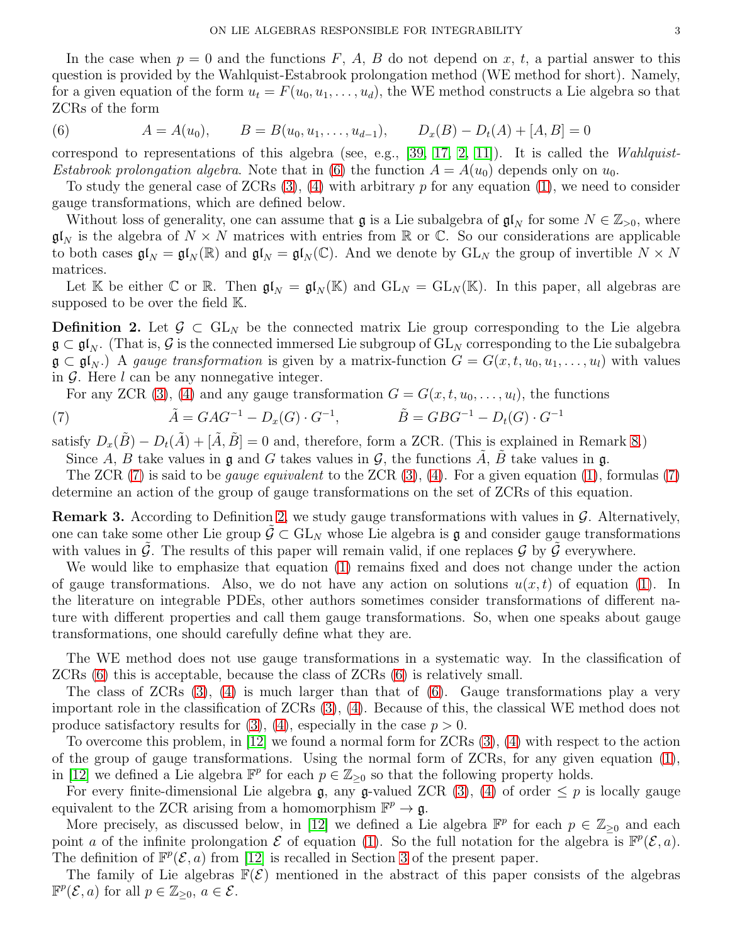In the case when  $p = 0$  and the functions F, A, B do not depend on x, t, a partial answer to this question is provided by the Wahlquist-Estabrook prolongation method (WE method for short). Namely, for a given equation of the form  $u_t = F(u_0, u_1, \ldots, u_d)$ , the WE method constructs a Lie algebra so that ZCRs of the form

<span id="page-2-0"></span>(6) 
$$
A = A(u_0),
$$
  $B = B(u_0, u_1, ..., u_{d-1}),$   $D_x(B) - D_t(A) + [A, B] = 0$ 

correspond to representations of this algebra (see, e.g.,  $[39, 17, 2, 11]$  $[39, 17, 2, 11]$  $[39, 17, 2, 11]$  $[39, 17, 2, 11]$  $[39, 17, 2, 11]$ ). It is called the *Wahlquist*-Estabrook prolongation algebra. Note that in [\(6\)](#page-2-0) the function  $A = A(u_0)$  depends only on  $u_0$ .

To study the general case of  $ZCRs$  [\(3\)](#page-1-1), [\(4\)](#page-1-0) with arbitrary p for any equation [\(1\)](#page-0-0), we need to consider gauge transformations, which are defined below.

Without loss of generality, one can assume that  $\mathfrak g$  is a Lie subalgebra of  $\mathfrak{gl}_N$  for some  $N \in \mathbb{Z}_{>0}$ , where  $\mathfrak{gl}_N$  is the algebra of  $N \times N$  matrices with entries from R or C. So our considerations are applicable to both cases  $\mathfrak{gl}_N = \mathfrak{gl}_N(\mathbb{R})$  and  $\mathfrak{gl}_N = \mathfrak{gl}_N(\mathbb{C})$ . And we denote by  $GL_N$  the group of invertible  $N \times N$ matrices.

Let K be either C or R. Then  $\mathfrak{gl}_N = \mathfrak{gl}_N(\mathbb{K})$  and  $GL_N = GL_N(\mathbb{K})$ . In this paper, all algebras are supposed to be over the field K.

<span id="page-2-2"></span>**Definition 2.** Let  $\mathcal{G} \subset GL_N$  be the connected matrix Lie group corresponding to the Lie algebra  $\mathfrak{g} \subset \mathfrak{gl}_N$ . (That is, G is the connected immersed Lie subgroup of  $GL_N$  corresponding to the Lie subalgebra  $\mathfrak{g} \subset \mathfrak{gl}_N$ .) A gauge transformation is given by a matrix-function  $G = G(x, t, u_0, u_1, \ldots, u_l)$  with values in  $\mathcal G$ . Here l can be any nonnegative integer.

<span id="page-2-1"></span>For any ZCR [\(3\)](#page-1-1), [\(4\)](#page-1-0) and any gauge transformation  $G = G(x, t, u_0, \ldots, u_l)$ , the functions

(7) 
$$
\tilde{A} = GAG^{-1} - D_x(G) \cdot G^{-1}, \qquad \tilde{B} = GBG^{-1} - D_t(G) \cdot G^{-1}
$$

satisfy  $D_x(\tilde{B}) - D_t(\tilde{A}) + [\tilde{A}, \tilde{B}] = 0$  and, therefore, form a ZCR. (This is explained in Remark [8.](#page-6-1))

Since A, B take values in  $\mathfrak g$  and G takes values in  $\mathcal G$ , the functions  $\tilde A$ ,  $\tilde B$  take values in  $\mathfrak g$ .

The ZCR [\(7\)](#page-2-1) is said to be *gauge equivalent* to the ZCR  $(3)$ ,  $(4)$ . For a given equation  $(1)$ , formulas  $(7)$ determine an action of the group of gauge transformations on the set of ZCRs of this equation.

<span id="page-2-3"></span>**Remark 3.** According to Definition [2,](#page-2-2) we study gauge transformations with values in  $\mathcal{G}$ . Alternatively, one can take some other Lie group  $\mathcal{G} \subset GL_N$  whose Lie algebra is g and consider gauge transformations with values in  $\tilde{\mathcal{G}}$ . The results of this paper will remain valid, if one replaces  $\mathcal{G}$  by  $\tilde{\mathcal{G}}$  everywhere.

We would like to emphasize that equation [\(1\)](#page-0-0) remains fixed and does not change under the action of gauge transformations. Also, we do not have any action on solutions  $u(x, t)$  of equation [\(1\)](#page-0-0). In the literature on integrable PDEs, other authors sometimes consider transformations of different nature with different properties and call them gauge transformations. So, when one speaks about gauge transformations, one should carefully define what they are.

The WE method does not use gauge transformations in a systematic way. In the classification of ZCRs [\(6\)](#page-2-0) this is acceptable, because the class of ZCRs [\(6\)](#page-2-0) is relatively small.

The class of ZCRs  $(3)$ ,  $(4)$  is much larger than that of  $(6)$ . Gauge transformations play a very important role in the classification of ZCRs [\(3\)](#page-1-1), [\(4\)](#page-1-0). Because of this, the classical WE method does not produce satisfactory results for  $(3)$ ,  $(4)$ , especially in the case  $p > 0$ .

To overcome this problem, in [\[12\]](#page-28-0) we found a normal form for ZCRs [\(3\)](#page-1-1), [\(4\)](#page-1-0) with respect to the action of the group of gauge transformations. Using the normal form of ZCRs, for any given equation [\(1\)](#page-0-0), in [\[12\]](#page-28-0) we defined a Lie algebra  $\mathbb{F}^p$  for each  $p \in \mathbb{Z}_{\geq 0}$  so that the following property holds.

For every finite-dimensional Lie algebra g, any g-valued ZCR [\(3\)](#page-1-1), [\(4\)](#page-1-0) of order  $\leq p$  is locally gauge equivalent to the ZCR arising from a homomorphism  $\mathbb{F}^p \to \mathfrak{g}$ .

More precisely, as discussed below, in [\[12\]](#page-28-0) we defined a Lie algebra  $\mathbb{F}^p$  for each  $p \in \mathbb{Z}_{\geq 0}$  and each point a of the infinite prolongation  $\mathcal E$  of equation [\(1\)](#page-0-0). So the full notation for the algebra is  $\mathbb F^p(\mathcal E,a)$ . The definition of  $\mathbb{F}^p(\mathcal{E},a)$  from [\[12\]](#page-28-0) is recalled in Section [3](#page-7-0) of the present paper.

The family of Lie algebras  $\mathbb{F}(\mathcal{E})$  mentioned in the abstract of this paper consists of the algebras  $\mathbb{F}^p(\mathcal{E}, a)$  for all  $p \in \mathbb{Z}_{\geq 0}, a \in \mathcal{E}$ .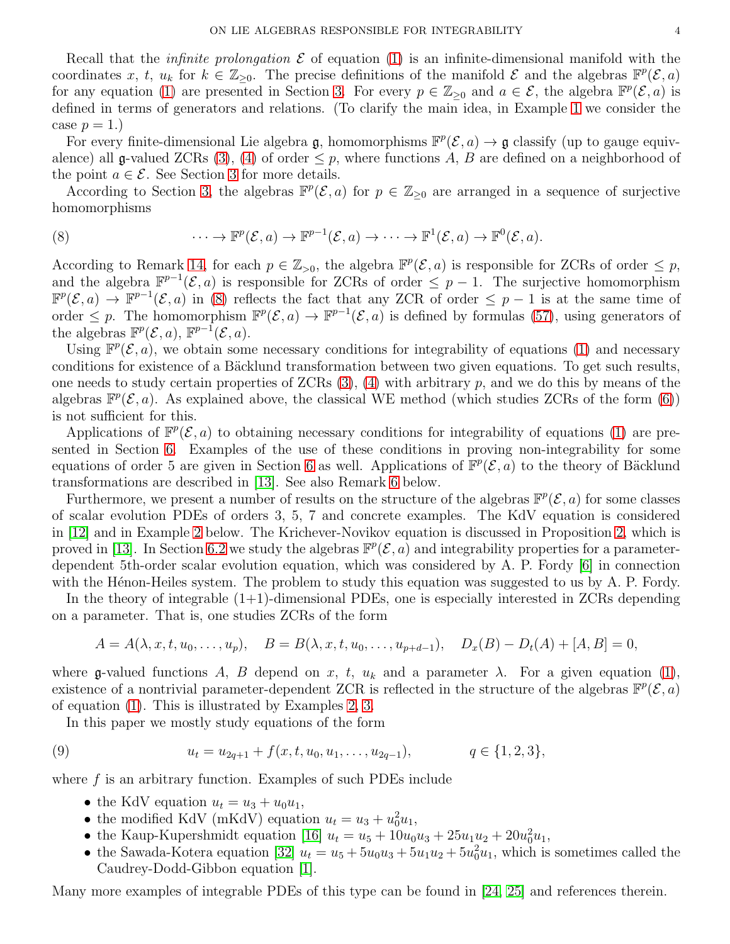Recall that the *infinite prolongation*  $\mathcal E$  of equation [\(1\)](#page-0-0) is an infinite-dimensional manifold with the coordinates x, t,  $u_k$  for  $k \in \mathbb{Z}_{\geq 0}$ . The precise definitions of the manifold  $\mathcal E$  and the algebras  $\mathbb{F}^p(\mathcal E, a)$ for any equation [\(1\)](#page-0-0) are presented in Section [3.](#page-7-0) For every  $p \in \mathbb{Z}_{\geq 0}$  and  $a \in \mathcal{E}$ , the algebra  $\mathbb{F}^p(\mathcal{E},a)$  is defined in terms of generators and relations. (To clarify the main idea, in Example [1](#page-4-0) we consider the case  $p=1$ .)

For every finite-dimensional Lie algebra  $\mathfrak{g}$ , homomorphisms  $\mathbb{F}^p(\mathcal{E},a) \to \mathfrak{g}$  classify (up to gauge equiv-alence) all g-valued ZCRs [\(3\)](#page-1-1), [\(4\)](#page-1-0) of order  $\leq p$ , where functions A, B are defined on a neighborhood of the point  $a \in \mathcal{E}$ . See Section [3](#page-7-0) for more details.

According to Section [3,](#page-7-0) the algebras  $\mathbb{F}^p(\mathcal{E},a)$  for  $p \in \mathbb{Z}_{\geq 0}$  are arranged in a sequence of surjective homomorphisms

<span id="page-3-0"></span>(8) 
$$
\cdots \to \mathbb{F}^p(\mathcal{E}, a) \to \mathbb{F}^{p-1}(\mathcal{E}, a) \to \cdots \to \mathbb{F}^1(\mathcal{E}, a) \to \mathbb{F}^0(\mathcal{E}, a).
$$

According to Remark [14,](#page-12-0) for each  $p \in \mathbb{Z}_{>0}$ , the algebra  $\mathbb{F}^p(\mathcal{E}, a)$  is responsible for ZCRs of order  $\leq p$ , and the algebra  $\mathbb{F}^{p-1}(\mathcal{E},a)$  is responsible for ZCRs of order  $\leq p-1$ . The surjective homomorphism  $\mathbb{F}^p(\mathcal{E},a) \to \mathbb{F}^{p-1}(\mathcal{E},a)$  in [\(8\)](#page-3-0) reflects the fact that any ZCR of order  $\leq p-1$  is at the same time of order  $\leq p$ . The homomorphism  $\mathbb{F}^p(\mathcal{E},a) \to \mathbb{F}^{p-1}(\mathcal{E},a)$  is defined by formulas [\(57\)](#page-12-1), using generators of the algebras  $\mathbb{F}^p(\mathcal{E}, a)$ ,  $\mathbb{F}^{p-1}(\mathcal{E}, a)$ .

Using  $\mathbb{F}^p(\mathcal{E},a)$ , we obtain some necessary conditions for integrability of equations [\(1\)](#page-0-0) and necessary conditions for existence of a Bäcklund transformation between two given equations. To get such results, one needs to study certain properties of  $ZCRs(3)$ , [\(4\)](#page-1-0) with arbitrary p, and we do this by means of the algebras  $\mathbb{F}^p(\mathcal{E},a)$ . As explained above, the classical WE method (which studies ZCRs of the form [\(6\)](#page-2-0)) is not sufficient for this.

Applications of  $\mathbb{F}^p(\mathcal{E},a)$  to obtaining necessary conditions for integrability of equations [\(1\)](#page-0-0) are presented in Section [6.](#page-22-0) Examples of the use of these conditions in proving non-integrability for some equations of order 5 are given in Section [6](#page-22-0) as well. Applications of  $\mathbb{F}^p(\mathcal{E},a)$  to the theory of Bäcklund transformations are described in [\[13\]](#page-28-1). See also Remark [6](#page-6-2) below.

Furthermore, we present a number of results on the structure of the algebras  $\mathbb{F}^p(\mathcal{E},a)$  for some classes of scalar evolution PDEs of orders 3, 5, 7 and concrete examples. The KdV equation is considered in [\[12\]](#page-28-0) and in Example [2](#page-5-0) below. The Krichever-Novikov equation is discussed in Proposition [2,](#page-7-1) which is proved in [\[13\]](#page-28-1). In Section [6.2](#page-24-0) we study the algebras  $\mathbb{F}^p(\mathcal{E},a)$  and integrability properties for a parameterdependent 5th-order scalar evolution equation, which was considered by A. P. Fordy [\[6\]](#page-27-3) in connection with the Hénon-Heiles system. The problem to study this equation was suggested to us by A. P. Fordy.

In the theory of integrable (1+1)-dimensional PDEs, one is especially interested in ZCRs depending on a parameter. That is, one studies ZCRs of the form

$$
A = A(\lambda, x, t, u_0, \dots, u_p), \quad B = B(\lambda, x, t, u_0, \dots, u_{p+d-1}), \quad D_x(B) - D_t(A) + [A, B] = 0,
$$

where g-valued functions A, B depend on x, t,  $u_k$  and a parameter  $\lambda$ . For a given equation [\(1\)](#page-0-0), existence of a nontrivial parameter-dependent ZCR is reflected in the structure of the algebras  $\mathbb{F}^p(\mathcal{E}, a)$ of equation [\(1\)](#page-0-0). This is illustrated by Examples [2,](#page-5-0) [3.](#page-6-3)

In this paper we mostly study equations of the form

(9) 
$$
u_t = u_{2q+1} + f(x, t, u_0, u_1, \dots, u_{2q-1}), \qquad q \in \{1, 2, 3\},
$$

where  $f$  is an arbitrary function. Examples of such PDEs include

- <span id="page-3-1"></span>• the KdV equation  $u_t = u_3 + u_0 u_1$ ,
- the modified KdV (mKdV) equation  $u_t = u_3 + u_0^2 u_1$ ,
- the Kaup-Kupershmidt equation [\[16\]](#page-28-8)  $u_t = u_5 + 10u_0u_3 + 25u_1u_2 + 20u_0^2u_1$ ,
- the Sawada-Kotera equation [\[32\]](#page-28-9)  $u_t = u_5 + 5u_0u_3 + 5u_1u_2 + 5u_0^2u_1$ , which is sometimes called the Caudrey-Dodd-Gibbon equation [\[1\]](#page-27-1).

Many more examples of integrable PDEs of this type can be found in [\[24,](#page-28-3) [25\]](#page-28-4) and references therein.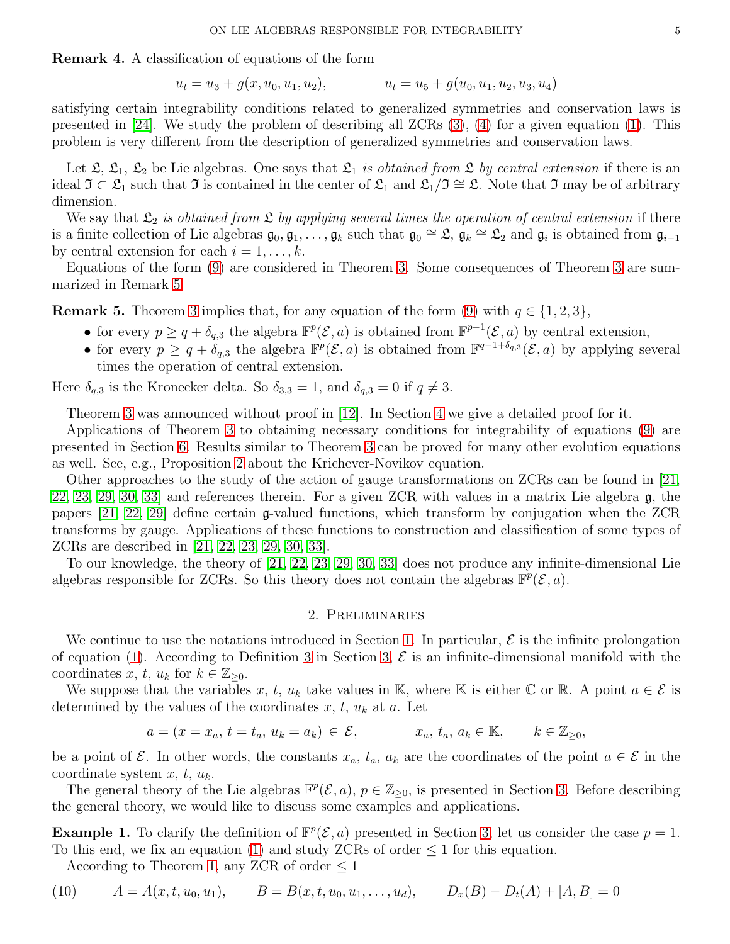Remark 4. A classification of equations of the form

$$
u_t = u_3 + g(x, u_0, u_1, u_2), \qquad u_t = u_5 + g(u_0, u_1, u_2, u_3, u_4)
$$

satisfying certain integrability conditions related to generalized symmetries and conservation laws is presented in [\[24\]](#page-28-3). We study the problem of describing all ZCRs [\(3\)](#page-1-1), [\(4\)](#page-1-0) for a given equation [\(1\)](#page-0-0). This problem is very different from the description of generalized symmetries and conservation laws.

Let  $\mathfrak{L}, \mathfrak{L}_1, \mathfrak{L}_2$  be Lie algebras. One says that  $\mathfrak{L}_1$  is obtained from  $\mathfrak{L}$  by central extension if there is an ideal  $\mathfrak{I} \subset \mathfrak{L}_1$  such that  $\mathfrak{I}$  is contained in the center of  $\mathfrak{L}_1$  and  $\mathfrak{L}_1/\mathfrak{I} \cong \mathfrak{L}$ . Note that  $\mathfrak{I}$  may be of arbitrary dimension.

We say that  $\mathfrak{L}_2$  is obtained from  $\mathfrak{L}$  by applying several times the operation of central extension if there is a finite collection of Lie algebras  $\mathfrak{g}_0, \mathfrak{g}_1, \ldots, \mathfrak{g}_k$  such that  $\mathfrak{g}_0 \cong \mathfrak{L}, \mathfrak{g}_k \cong \mathfrak{L}_2$  and  $\mathfrak{g}_i$  is obtained from  $\mathfrak{g}_{i-1}$ by central extension for each  $i = 1, \ldots, k$ .

Equations of the form [\(9\)](#page-3-1) are considered in Theorem [3.](#page-18-0) Some consequences of Theorem [3](#page-18-0) are summarized in Remark [5.](#page-4-1)

<span id="page-4-1"></span>**Remark 5.** Theorem [3](#page-18-0) implies that, for any equation of the form [\(9\)](#page-3-1) with  $q \in \{1, 2, 3\}$ ,

- for every  $p \ge q + \delta_{q,3}$  the algebra  $\mathbb{F}^p(\mathcal{E}, a)$  is obtained from  $\mathbb{F}^{p-1}(\mathcal{E}, a)$  by central extension,
- for every  $p \geq q + \delta_{q,3}$  the algebra  $\mathbb{F}^p(\mathcal{E}, a)$  is obtained from  $\mathbb{F}^{q-1+\delta_{q,3}}(\mathcal{E}, a)$  by applying several times the operation of central extension.

Here  $\delta_{q,3}$  is the Kronecker delta. So  $\delta_{3,3} = 1$ , and  $\delta_{q,3} = 0$  if  $q \neq 3$ .

Theorem [3](#page-18-0) was announced without proof in [\[12\]](#page-28-0). In Section [4](#page-13-0) we give a detailed proof for it.

Applications of Theorem [3](#page-18-0) to obtaining necessary conditions for integrability of equations [\(9\)](#page-3-1) are presented in Section [6.](#page-22-0) Results similar to Theorem [3](#page-18-0) can be proved for many other evolution equations as well. See, e.g., Proposition [2](#page-7-1) about the Krichever-Novikov equation.

Other approaches to the study of the action of gauge transformations on ZCRs can be found in [\[21,](#page-28-13) [22,](#page-28-14) [23,](#page-28-15) [29,](#page-28-16) [30,](#page-28-17) [33\]](#page-28-18) and references therein. For a given ZCR with values in a matrix Lie algebra g, the papers [\[21,](#page-28-13) [22,](#page-28-14) [29\]](#page-28-16) define certain g-valued functions, which transform by conjugation when the ZCR transforms by gauge. Applications of these functions to construction and classification of some types of ZCRs are described in [\[21,](#page-28-13) [22,](#page-28-14) [23,](#page-28-15) [29,](#page-28-16) [30,](#page-28-17) [33\]](#page-28-18).

<span id="page-4-3"></span>To our knowledge, the theory of [\[21,](#page-28-13) [22,](#page-28-14) [23,](#page-28-15) [29,](#page-28-16) [30,](#page-28-17) [33\]](#page-28-18) does not produce any infinite-dimensional Lie algebras responsible for ZCRs. So this theory does not contain the algebras  $\mathbb{F}^p(\mathcal{E},a)$ .

## 2. Preliminaries

We continue to use the notations introduced in Section [1.](#page-0-1) In particular,  $\mathcal E$  is the infinite prolongation of equation [\(1\)](#page-0-0). According to Definition [3](#page-8-0) in Section [3,](#page-7-0)  $\mathcal E$  is an infinite-dimensional manifold with the coordinates x, t,  $u_k$  for  $k \in \mathbb{Z}_{\geq 0}$ .

We suppose that the variables x, t,  $u_k$  take values in K, where K is either  $\mathbb C$  or R. A point  $a \in \mathcal E$  is determined by the values of the coordinates  $x, t, u_k$  at  $a$ . Let

$$
a = (x = x_a, t = t_a, u_k = a_k) \in \mathcal{E}, \qquad x_a, t_a, a_k \in \mathbb{K}, \qquad k \in \mathbb{Z}_{\geq 0},
$$

be a point of  $\mathcal E$ . In other words, the constants  $x_a, t_a, a_k$  are the coordinates of the point  $a \in \mathcal E$  in the coordinate system  $x, t, u_k$ .

The general theory of the Lie algebras  $\mathbb{F}^p(\mathcal{E},a)$ ,  $p \in \mathbb{Z}_{\geq 0}$ , is presented in Section [3.](#page-7-0) Before describing the general theory, we would like to discuss some examples and applications.

<span id="page-4-0"></span>**Example 1.** To clarify the definition of  $\mathbb{F}^p(\mathcal{E}, a)$  presented in Section [3,](#page-7-0) let us consider the case  $p = 1$ . To this end, we fix an equation [\(1\)](#page-0-0) and study ZCRs of order  $\leq 1$  for this equation.

<span id="page-4-2"></span>According to Theorem [1,](#page-9-0) any ZCR of order  $\leq 1$ 

$$
(10) \qquad A = A(x, t, u_0, u_1), \qquad B = B(x, t, u_0, u_1, \dots, u_d), \qquad D_x(B) - D_t(A) + [A, B] = 0
$$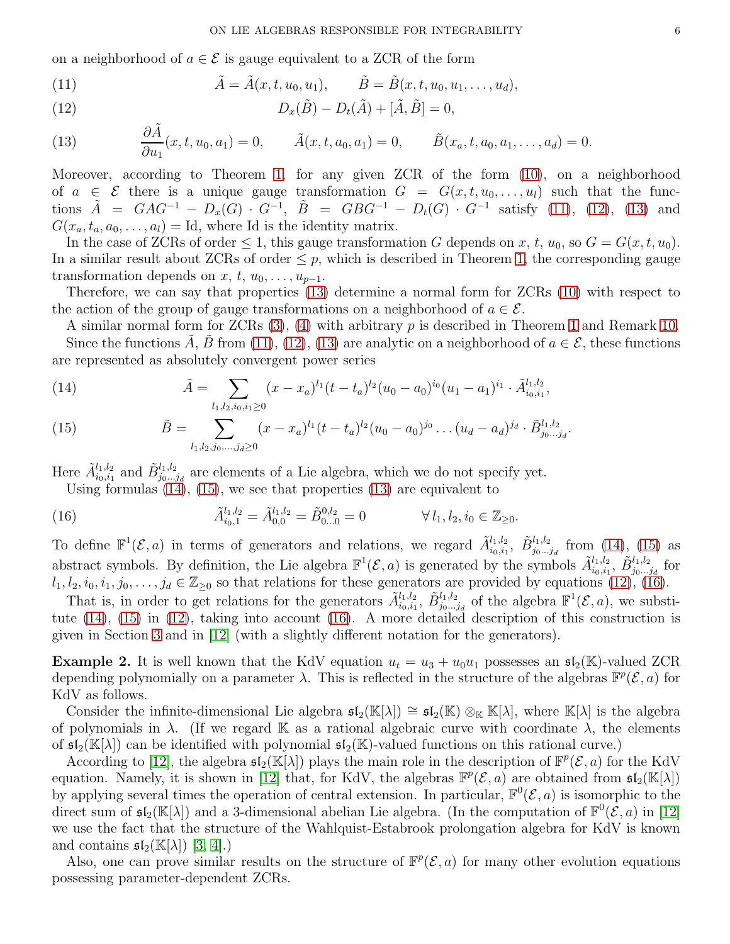on a neighborhood of  $a \in \mathcal{E}$  is gauge equivalent to a ZCR of the form

<span id="page-5-1"></span>(11) 
$$
\tilde{A} = \tilde{A}(x, t, u_0, u_1), \qquad \tilde{B} = \tilde{B}(x, t, u_0, u_1, \dots, u_d),
$$

<span id="page-5-2"></span>(12) 
$$
D_x(\tilde{B}) - D_t(\tilde{A}) + [\tilde{A}, \tilde{B}] = 0,
$$

<span id="page-5-3"></span>(13) 
$$
\frac{\partial \tilde{A}}{\partial u_1}(x, t, u_0, a_1) = 0, \qquad \tilde{A}(x, t, a_0, a_1) = 0, \qquad \tilde{B}(x_a, t, a_0, a_1, \dots, a_d) = 0.
$$

Moreover, according to Theorem [1,](#page-9-0) for any given ZCR of the form [\(10\)](#page-4-2), on a neighborhood of  $a \in \mathcal{E}$  there is a unique gauge transformation  $G = G(x, t, u_0, \ldots, u_l)$  such that the functions  $\tilde{A} = GAG^{-1} - D_x(G) \cdot G^{-1}$ ,  $\tilde{B} = GBG^{-1} - D_t(G) \cdot G^{-1}$  satisfy [\(11\)](#page-5-1), [\(12\)](#page-5-2), [\(13\)](#page-5-3) and  $G(x_a, t_a, a_0, \ldots, a_l) =$  Id, where Id is the identity matrix.

In the case of ZCRs of order  $\leq 1$ , this gauge transformation G depends on x, t,  $u_0$ , so  $G = G(x, t, u_0)$ . In a similar result about ZCRs of order  $\leq p$ , which is described in Theorem [1,](#page-9-0) the corresponding gauge transformation depends on x, t,  $u_0, \ldots, u_{p-1}$ .

Therefore, we can say that properties [\(13\)](#page-5-3) determine a normal form for ZCRs [\(10\)](#page-4-2) with respect to the action of the group of gauge transformations on a neighborhood of  $a \in \mathcal{E}$ .

A similar normal form for ZCRs  $(3)$ ,  $(4)$  with arbitrary p is described in Theorem [1](#page-9-0) and Remark [10.](#page-10-0) Since the functions A, B from [\(11\)](#page-5-1), [\(12\)](#page-5-2), [\(13\)](#page-5-3) are analytic on a neighborhood of  $a \in \mathcal{E}$ , these functions are represented as absolutely convergent power series

<span id="page-5-4"></span>(14) 
$$
\tilde{A} = \sum_{l_1, l_2, i_0, i_1 \ge 0} (x - x_a)^{l_1} (t - t_a)^{l_2} (u_0 - a_0)^{i_0} (u_1 - a_1)^{i_1} \cdot \tilde{A}_{i_0, i_1}^{l_1, l_2},
$$

<span id="page-5-5"></span>(15) 
$$
\tilde{B} = \sum_{l_1, l_2, j_0, \dots, j_d \ge 0} (x - x_a)^{l_1} (t - t_a)^{l_2} (u_0 - a_0)^{j_0} \dots (u_d - a_d)^{j_d} \cdot \tilde{B}_{j_0 \dots j_d}^{l_1, l_2}.
$$

Here  $\tilde{A}_{i_0,i_1}^{l_1,l_2}$  and  $\tilde{B}_{j_0...j_d}^{l_1,l_2}$  are elements of a Lie algebra, which we do not specify yet.

<span id="page-5-6"></span>Using formulas  $(14)$ ,  $(15)$ , we see that properties  $(13)$  are equivalent to

(16) 
$$
\tilde{A}_{i_0,1}^{l_1,l_2} = \tilde{A}_{0,0}^{l_1,l_2} = \tilde{B}_{0...0}^{0,l_2} = 0 \qquad \forall l_1, l_2, i_0 \in \mathbb{Z}_{\geq 0}.
$$

To define  $\mathbb{F}^1(\mathcal{E},a)$  in terms of generators and relations, we regard  $\tilde{A}_{i_0,i_1}^{l_1,l_2}, \tilde{B}_{j_0...j_d}^{l_1,l_2}$  from [\(14\)](#page-5-4), [\(15\)](#page-5-5) as abstract symbols. By definition, the Lie algebra  $\mathbb{F}^1(\mathcal{E}, a)$  is generated by the symbols  $\tilde{A}_{i_0, i_1}^{l_1, l_2}, \tilde{B}_{j_0...j_d}^{l_1, l_2}$  for  $l_1, l_2, i_0, i_1, j_0, \ldots, j_d \in \mathbb{Z}_{\geq 0}$  so that relations for these generators are provided by equations [\(12\)](#page-5-2), [\(16\)](#page-5-6).

That is, in order to get relations for the generators  $\tilde{A}_{i_0,i_1}^{l_1,l_2}, \tilde{B}_{j_0...j_d}^{l_1,l_2}$  of the algebra  $\mathbb{F}^1(\mathcal{E},a)$ , we substitute [\(14\)](#page-5-4), [\(15\)](#page-5-5) in [\(12\)](#page-5-2), taking into account [\(16\)](#page-5-6). A more detailed description of this construction is given in Section [3](#page-7-0) and in [\[12\]](#page-28-0) (with a slightly different notation for the generators).

<span id="page-5-0"></span>**Example 2.** It is well known that the KdV equation  $u_t = u_3 + u_0u_1$  possesses an  $\mathfrak{sl}_2(\mathbb{K})$ -valued ZCR depending polynomially on a parameter  $\lambda$ . This is reflected in the structure of the algebras  $\mathbb{F}^p(\mathcal{E},a)$  for KdV as follows.

Consider the infinite-dimensional Lie algebra  $\mathfrak{sl}_2(\mathbb{K}[\lambda]) \cong \mathfrak{sl}_2(\mathbb{K}) \otimes_{\mathbb{K}} \mathbb{K}[\lambda]$ , where  $\mathbb{K}[\lambda]$  is the algebra of polynomials in  $\lambda$ . (If we regard K as a rational algebraic curve with coordinate  $\lambda$ , the elements of  $\mathfrak{sl}_2(\mathbb{K}[\lambda])$  can be identified with polynomial  $\mathfrak{sl}_2(\mathbb{K})$ -valued functions on this rational curve.)

According to [\[12\]](#page-28-0), the algebra  $\mathfrak{sl}_2(\mathbb{K}[\lambda])$  plays the main role in the description of  $\mathbb{F}^p(\mathcal{E},a)$  for the KdV equation. Namely, it is shown in [\[12\]](#page-28-0) that, for KdV, the algebras  $\mathbb{F}^p(\mathcal{E},a)$  are obtained from  $\mathfrak{sl}_2(\mathbb{K}[\lambda])$ by applying several times the operation of central extension. In particular,  $\mathbb{F}^0(\mathcal{E},a)$  is isomorphic to the direct sum of  $\mathfrak{sl}_2(\mathbb{K}[\lambda])$  and a 3-dimensional abelian Lie algebra. (In the computation of  $\mathbb{F}^0(\mathcal{E},a)$  in [\[12\]](#page-28-0) we use the fact that the structure of the Wahlquist-Estabrook prolongation algebra for KdV is known and contains  $\mathfrak{sl}_2(\mathbb{K}[\lambda])$  [\[3,](#page-27-4) [4\]](#page-27-5).)

Also, one can prove similar results on the structure of  $\mathbb{F}^p(\mathcal{E},a)$  for many other evolution equations possessing parameter-dependent ZCRs.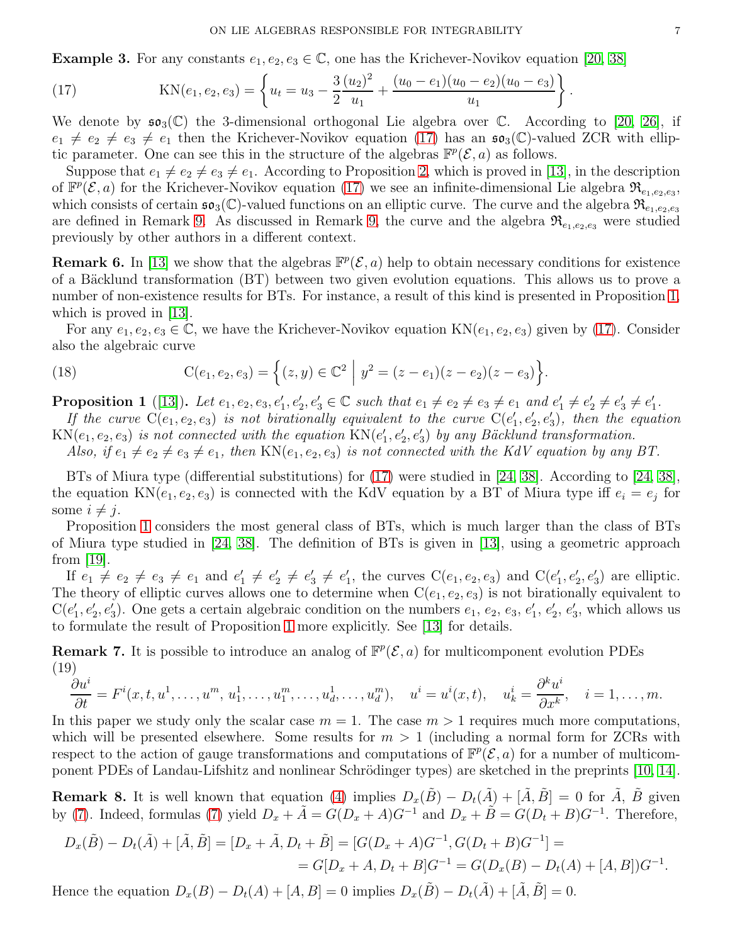<span id="page-6-3"></span>**Example 3.** For any constants  $e_1, e_2, e_3 \in \mathbb{C}$ , one has the Krichever-Novikov equation [\[20,](#page-28-6) [38\]](#page-28-7)

<span id="page-6-4"></span>(17) 
$$
KN(e_1, e_2, e_3) = \left\{ u_t = u_3 - \frac{3}{2} \frac{(u_2)^2}{u_1} + \frac{(u_0 - e_1)(u_0 - e_2)(u_0 - e_3)}{u_1} \right\}.
$$

We denote by  $\mathfrak{so}_3(\mathbb{C})$  the 3-dimensional orthogonal Lie algebra over  $\mathbb{C}$ . According to [\[20,](#page-28-6) [26\]](#page-28-19), if  $e_1 \neq e_2 \neq e_3 \neq e_1$  then the Krichever-Novikov equation [\(17\)](#page-6-4) has an  $\mathfrak{so}_3(\mathbb{C})$ -valued ZCR with elliptic parameter. One can see this in the structure of the algebras  $\mathbb{F}^p(\mathcal{E},a)$  as follows.

Suppose that  $e_1 \neq e_2 \neq e_3 \neq e_1$ . According to Proposition [2,](#page-7-1) which is proved in [\[13\]](#page-28-1), in the description of  $\mathbb{F}^p(\mathcal{E},a)$  for the Krichever-Novikov equation [\(17\)](#page-6-4) we see an infinite-dimensional Lie algebra  $\mathfrak{R}_{e_1,e_2,e_3}$ , which consists of certain  $\mathfrak{so}_3(\mathbb{C})$ -valued functions on an elliptic curve. The curve and the algebra  $\mathfrak{R}_{e_1,e_2,e_3}$ are defined in Remark [9.](#page-7-2) As discussed in Remark [9,](#page-7-2) the curve and the algebra  $\mathfrak{R}_{e_1,e_2,e_3}$  were studied previously by other authors in a different context.

<span id="page-6-2"></span>**Remark 6.** In [\[13\]](#page-28-1) we show that the algebras  $\mathbb{F}^p(\mathcal{E}, a)$  help to obtain necessary conditions for existence of a Bäcklund transformation (BT) between two given evolution equations. This allows us to prove a number of non-existence results for BTs. For instance, a result of this kind is presented in Proposition [1,](#page-6-5) which is proved in [\[13\]](#page-28-1).

For any  $e_1, e_2, e_3 \in \mathbb{C}$ , we have the Krichever-Novikov equation  $KN(e_1, e_2, e_3)$  given by [\(17\)](#page-6-4). Consider also the algebraic curve

(18) 
$$
C(e_1, e_2, e_3) = \{(z, y) \in \mathbb{C}^2 \mid y^2 = (z - e_1)(z - e_2)(z - e_3)\}.
$$

<span id="page-6-5"></span>**Proposition 1** ([\[13\]](#page-28-1)). Let  $e_1, e_2, e_3, e'_1, e'_2, e'_3 \in \mathbb{C}$  such that  $e_1 \neq e_2 \neq e_3 \neq e_1$  and  $e'_1 \neq e'_2 \neq e'_3 \neq e'_1$ .

If the curve  $C(e_1, e_2, e_3)$  is not birationally equivalent to the curve  $C(e'_1, e'_2, e'_3)$ , then the equation  $KN(e_1, e_2, e_3)$  is not connected with the equation  $KN(e'_1, e'_2, e'_3)$  by any Bäcklund transformation.

Also, if  $e_1 \neq e_2 \neq e_3 \neq e_1$ , then  $KN(e_1, e_2, e_3)$  is not connected with the KdV equation by any BT.

BTs of Miura type (differential substitutions) for [\(17\)](#page-6-4) were studied in [\[24,](#page-28-3) [38\]](#page-28-7). According to [\[24,](#page-28-3) [38\]](#page-28-7), the equation  $KN(e_1, e_2, e_3)$  is connected with the KdV equation by a BT of Miura type iff  $e_i = e_j$  for some  $i \neq j$ .

Proposition [1](#page-6-5) considers the most general class of BTs, which is much larger than the class of BTs of Miura type studied in [\[24,](#page-28-3) [38\]](#page-28-7). The definition of BTs is given in [\[13\]](#page-28-1), using a geometric approach from  $|19|$ .

If  $e_1 \neq e_2 \neq e_3 \neq e_1$  and  $e'_1 \neq e'_2 \neq e'_3 \neq e'_1$ , the curves  $C(e_1, e_2, e_3)$  and  $C(e'_1, e'_2, e'_3)$  are elliptic. The theory of elliptic curves allows one to determine when  $C(e_1, e_2, e_3)$  is not birationally equivalent to  $C(e'_1, e'_2, e'_3)$ . One gets a certain algebraic condition on the numbers  $e_1, e_2, e_3, e'_1, e'_2, e'_3$ , which allows us to formulate the result of Proposition [1](#page-6-5) more explicitly. See [\[13\]](#page-28-1) for details.

<span id="page-6-0"></span>**Remark 7.** It is possible to introduce an analog of  $\mathbb{F}^p(\mathcal{E}, a)$  for multicomponent evolution PDEs (19)

<span id="page-6-6"></span>
$$
\frac{\partial u^i}{\partial t} = F^i(x, t, u^1, \dots, u^m, u_1^1, \dots, u_1^m, \dots, u_d^1, \dots, u_d^m), \quad u^i = u^i(x, t), \quad u^i = \frac{\partial^k u^i}{\partial x^k}, \quad i = 1, \dots, m.
$$

In this paper we study only the scalar case  $m = 1$ . The case  $m > 1$  requires much more computations, which will be presented elsewhere. Some results for  $m > 1$  (including a normal form for ZCRs with respect to the action of gauge transformations and computations of  $\mathbb{F}^p(\mathcal{E},a)$  for a number of multicom-ponent PDEs of Landau-Lifshitz and nonlinear Schrödinger types) are sketched in the preprints [\[10,](#page-28-21) [14\]](#page-28-22).

<span id="page-6-1"></span>**Remark 8.** It is well known that equation [\(4\)](#page-1-0) implies  $D_x(\tilde{B}) - D_t(\tilde{A}) + [\tilde{A}, \tilde{B}] = 0$  for  $\tilde{A}$ ,  $\tilde{B}$  given by [\(7\)](#page-2-1). Indeed, formulas (7) yield  $D_x + \tilde{A} = G(D_x + A)G^{-1}$  and  $D_x + \tilde{B} = G(D_t + B)G^{-1}$ . Therefore,

$$
D_x(\tilde{B}) - D_t(\tilde{A}) + [\tilde{A}, \tilde{B}] = [D_x + \tilde{A}, D_t + \tilde{B}] = [G(D_x + A)G^{-1}, G(D_t + B)G^{-1}] =
$$
  
=  $G[D_x + A, D_t + B]G^{-1} = G(D_x(B) - D_t(A) + [A, B])G^{-1}.$ 

Hence the equation  $D_x(B) - D_t(A) + [A, B] = 0$  implies  $D_x(\tilde{B}) - D_t(\tilde{A}) + [\tilde{A}, \tilde{B}] = 0$ .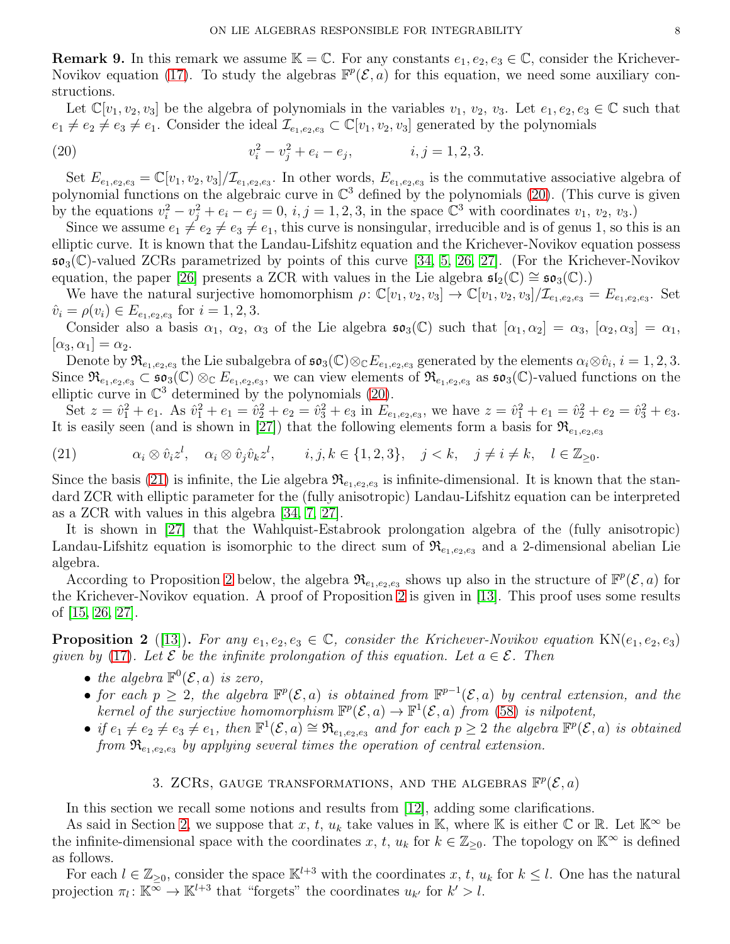<span id="page-7-2"></span>**Remark 9.** In this remark we assume  $\mathbb{K} = \mathbb{C}$ . For any constants  $e_1, e_2, e_3 \in \mathbb{C}$ , consider the Krichever-Novikov equation [\(17\)](#page-6-4). To study the algebras  $\mathbb{F}^p(\mathcal{E},a)$  for this equation, we need some auxiliary constructions.

Let  $\mathbb{C}[v_1, v_2, v_3]$  be the algebra of polynomials in the variables  $v_1, v_2, v_3$ . Let  $e_1, e_2, e_3 \in \mathbb{C}$  such that  $e_1 \neq e_2 \neq e_3 \neq e_1$ . Consider the ideal  $\mathcal{I}_{e_1,e_2,e_3} \subset \mathbb{C}[v_1,v_2,v_3]$  generated by the polynomials

<span id="page-7-3"></span>(20) 
$$
v_i^2 - v_j^2 + e_i - e_j, \qquad i, j = 1, 2, 3.
$$

Set  $E_{e_1,e_2,e_3} = \mathbb{C}[v_1,v_2,v_3]/\mathcal{I}_{e_1,e_2,e_3}$ . In other words,  $E_{e_1,e_2,e_3}$  is the commutative associative algebra of polynomial functions on the algebraic curve in  $\mathbb{C}^3$  defined by the polynomials [\(20\)](#page-7-3). (This curve is given by the equations  $v_i^2 - v_j^2 + e_i - e_j = 0$ ,  $i, j = 1, 2, 3$ , in the space  $\mathbb{C}^3$  with coordinates  $v_1, v_2, v_3$ .

Since we assume  $e_1 \neq e_2 \neq e_3 \neq e_1$ , this curve is nonsingular, irreducible and is of genus 1, so this is an elliptic curve. It is known that the Landau-Lifshitz equation and the Krichever-Novikov equation possess  $\mathfrak{so}_3(\mathbb{C})$ -valued ZCRs parametrized by points of this curve [\[34,](#page-28-23) [5,](#page-27-0) [26,](#page-28-19) [27\]](#page-28-24). (For the Krichever-Novikov equation, the paper [\[26\]](#page-28-19) presents a ZCR with values in the Lie algebra  $\mathfrak{sl}_2(\mathbb{C}) \cong \mathfrak{so}_3(\mathbb{C})$ .

We have the natural surjective homomorphism  $\rho: \mathbb{C}[v_1, v_2, v_3] \to \mathbb{C}[v_1, v_2, v_3] / \mathcal{I}_{e_1, e_2, e_3} = E_{e_1, e_2, e_3}$ . Set  $\hat{v}_i = \rho(v_i) \in E_{e_1, e_2, e_3}$  for  $i = 1, 2, 3$ .

Consider also a basis  $\alpha_1$ ,  $\alpha_2$ ,  $\alpha_3$  of the Lie algebra  $\mathfrak{so}_3(\mathbb{C})$  such that  $[\alpha_1, \alpha_2] = \alpha_3$ ,  $[\alpha_2, \alpha_3] = \alpha_1$ ,  $[\alpha_3, \alpha_1] = \alpha_2.$ 

Denote by  $\mathfrak{R}_{e_1,e_2,e_3}$  the Lie subalgebra of  $\mathfrak{so}_3(\mathbb{C}) \otimes_{\mathbb{C}} E_{e_1,e_2,e_3}$  generated by the elements  $\alpha_i \otimes \hat{v}_i$ ,  $i = 1,2,3$ . Since  $\mathfrak{R}_{e_1,e_2,e_3} \subset \mathfrak{so}_3(\mathbb{C}) \otimes_{\mathbb{C}} E_{e_1,e_2,e_3}$ , we can view elements of  $\mathfrak{R}_{e_1,e_2,e_3}$  as  $\mathfrak{so}_3(\mathbb{C})$ -valued functions on the elliptic curve in  $\mathbb{C}^3$  determined by the polynomials [\(20\)](#page-7-3).

Set  $z = \hat{v}_1^2 + e_1$ . As  $\hat{v}_1^2 + e_1 = \hat{v}_2^2 + e_2 = \hat{v}_3^2 + e_3$  in  $E_{e_1,e_2,e_3}$ , we have  $z = \hat{v}_1^2 + e_1 = \hat{v}_2^2 + e_2 = \hat{v}_3^2 + e_3$ . It is easily seen (and is shown in [\[27\]](#page-28-24)) that the following elements form a basis for  $\mathfrak{R}_{e_1,e_2,e_3}$ 

<span id="page-7-4"></span>(21)  $\alpha_i \otimes \hat{v}_i z^l, \quad \alpha_i \otimes \hat{v}_j \hat{v}_k z^l, \qquad i, j, k \in \{1, 2, 3\}, \quad j < k, \quad j \neq i \neq k, \quad l \in \mathbb{Z}_{\geq 0}.$ 

Since the basis [\(21\)](#page-7-4) is infinite, the Lie algebra  $\mathfrak{R}_{e_1,e_2,e_3}$  is infinite-dimensional. It is known that the standard ZCR with elliptic parameter for the (fully anisotropic) Landau-Lifshitz equation can be interpreted as a ZCR with values in this algebra [\[34,](#page-28-23) [7,](#page-28-25) [27\]](#page-28-24).

It is shown in [\[27\]](#page-28-24) that the Wahlquist-Estabrook prolongation algebra of the (fully anisotropic) Landau-Lifshitz equation is isomorphic to the direct sum of  $\mathfrak{R}_{e_1,e_2,e_3}$  and a 2-dimensional abelian Lie algebra.

According to Proposition [2](#page-7-1) below, the algebra  $\mathfrak{R}_{e_1,e_2,e_3}$  shows up also in the structure of  $\mathbb{F}^p(\mathcal{E},a)$  for the Krichever-Novikov equation. A proof of Proposition [2](#page-7-1) is given in [\[13\]](#page-28-1). This proof uses some results of [\[15,](#page-28-26) [26,](#page-28-19) [27\]](#page-28-24).

<span id="page-7-1"></span>**Proposition 2** ([\[13\]](#page-28-1)). For any  $e_1, e_2, e_3 \in \mathbb{C}$ , consider the Krichever-Novikov equation KN( $e_1, e_2, e_3$ ) given by [\(17\)](#page-6-4). Let  $\mathcal E$  be the infinite prolongation of this equation. Let  $a \in \mathcal E$ . Then

- the algebra  $\mathbb{F}^0(\mathcal{E},a)$  is zero,
- for each  $p \geq 2$ , the algebra  $\mathbb{F}^p(\mathcal{E},a)$  is obtained from  $\mathbb{F}^{p-1}(\mathcal{E},a)$  by central extension, and the kernel of the surjective homomorphism  $\mathbb{F}^p(\mathcal{E},a) \to \mathbb{F}^1(\mathcal{E},a)$  from [\(58\)](#page-13-1) is nilpotent,
- if  $e_1 \neq e_2 \neq e_3 \neq e_1$ , then  $\mathbb{F}^1(\mathcal{E},a) \cong \mathfrak{R}_{e_1,e_2,e_3}$  and for each  $p \geq 2$  the algebra  $\mathbb{F}^p(\mathcal{E},a)$  is obtained from  $\mathfrak{R}_{e_1,e_2,e_3}$  by applying several times the operation of central extension.

# 3. ZCRs, GAUGE TRANSFORMATIONS, AND THE ALGEBRAS  $\mathbb{F}^p(\mathcal{E},a)$

<span id="page-7-0"></span>In this section we recall some notions and results from [\[12\]](#page-28-0), adding some clarifications.

As said in Section [2,](#page-4-3) we suppose that x, t,  $u_k$  take values in K, where K is either  $\mathbb C$  or R. Let  $\mathbb K^{\infty}$  be the infinite-dimensional space with the coordinates x, t,  $u_k$  for  $k \in \mathbb{Z}_{\geq 0}$ . The topology on  $\mathbb{K}^{\infty}$  is defined as follows.

For each  $l \in \mathbb{Z}_{\geq 0}$ , consider the space  $\mathbb{K}^{l+3}$  with the coordinates x, t,  $u_k$  for  $k \leq l$ . One has the natural projection  $\pi_l: \mathbb{K}^{\bar{\infty}} \to \mathbb{K}^{l+3}$  that "forgets" the coordinates  $u_{k'}$  for  $k' > l$ .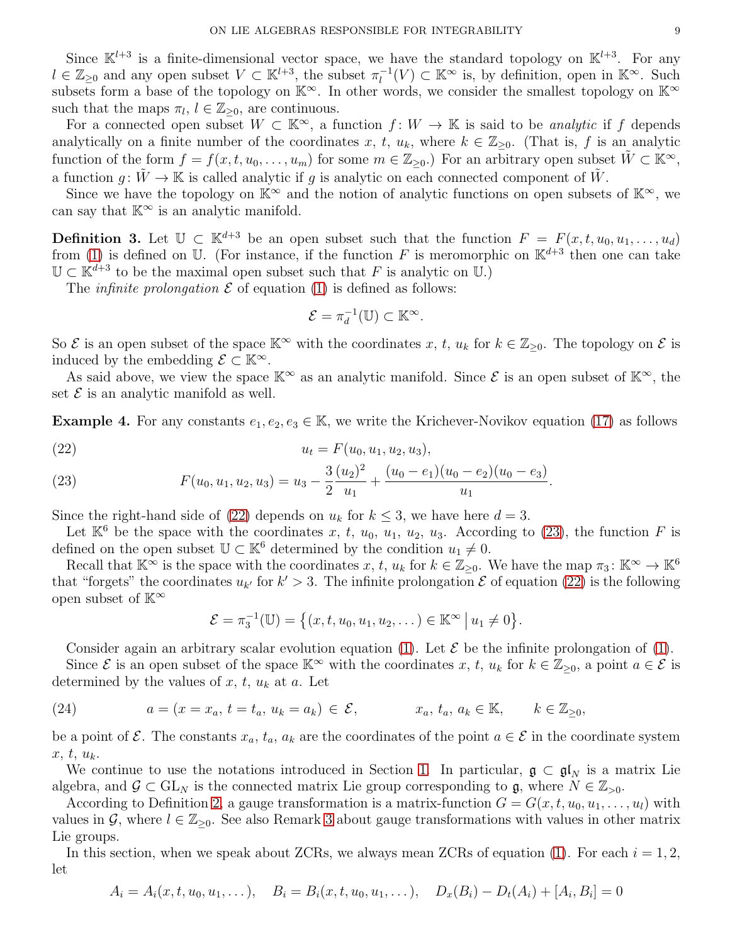Since  $\mathbb{K}^{l+3}$  is a finite-dimensional vector space, we have the standard topology on  $\mathbb{K}^{l+3}$ . For any  $l \in \mathbb{Z}_{\geq 0}$  and any open subset  $V \subset \mathbb{K}^{l+3}$ , the subset  $\pi_l^{-1}(V) \subset \mathbb{K}^\infty$  is, by definition, open in  $\mathbb{K}^\infty$ . Such  $\ell \in \mathbb{Z}_{\geq 0}$  and any open subset  $\ell \subseteq \mathbb{R}^{\infty}$ , the subset  $n_{\ell}(\ell) \subseteq \mathbb{R}^{\infty}$  is, by definition, open in  $\mathbb{R}^{\infty}$ . Such subsets form a base of the topology on  $\mathbb{K}^{\infty}$ . In other words, we consider such that the maps  $\pi_l, l \in \mathbb{Z}_{\geq 0}$ , are continuous.

For a connected open subset  $W \subset \mathbb{K}^{\infty}$ , a function  $f: W \to \mathbb{K}$  is said to be *analytic* if f depends analytically on a finite number of the coordinates x, t,  $u_k$ , where  $k \in \mathbb{Z}_{\geq 0}$ . (That is, f is an analytic function of the form  $f = f(x, t, u_0, \ldots, u_m)$  for some  $m \in \mathbb{Z}_{\geq 0}$ . For an arbitrary open subset  $W \subset \mathbb{K}^{\infty}$ , a function  $q: \tilde{W} \to \mathbb{K}$  is called analytic if q is analytic on each connected component of  $\tilde{W}$ .

Since we have the topology on  $\mathbb{K}^{\infty}$  and the notion of analytic functions on open subsets of  $\mathbb{K}^{\infty}$ , we can say that  $K^{\infty}$  is an analytic manifold.

<span id="page-8-0"></span>**Definition 3.** Let  $\mathbb{U} \subset \mathbb{K}^{d+3}$  be an open subset such that the function  $F = F(x, t, u_0, u_1, \ldots, u_d)$ from [\(1\)](#page-0-0) is defined on U. (For instance, if the function F is meromorphic on  $\mathbb{K}^{d+3}$  then one can take  $\mathbb{U} \subset \mathbb{K}^{d+3}$  to be the maximal open subset such that F is analytic on U.)

The *infinite prolongation*  $\mathcal E$  of equation [\(1\)](#page-0-0) is defined as follows:

$$
\mathcal{E} = \pi_d^{-1}(\mathbb{U}) \subset \mathbb{K}^\infty.
$$

So  $\mathcal E$  is an open subset of the space  $\mathbb K^\infty$  with the coordinates x, t,  $u_k$  for  $k \in \mathbb Z_{\geq 0}$ . The topology on  $\mathcal E$  is induced by the embedding  $\mathcal{E} \subset \mathbb{K}^{\infty}$ .

As said above, we view the space  $\mathbb{K}^{\infty}$  as an analytic manifold. Since  $\mathcal{E}$  is an open subset of  $\mathbb{K}^{\infty}$ , the set  $\mathcal E$  is an analytic manifold as well.

**Example 4.** For any constants  $e_1, e_2, e_3 \in \mathbb{K}$ , we write the Krichever-Novikov equation [\(17\)](#page-6-4) as follows

<span id="page-8-1"></span>(22) 
$$
u_t = F(u_0, u_1, u_2, u_3),
$$

<span id="page-8-2"></span>(23) 
$$
F(u_0, u_1, u_2, u_3) = u_3 - \frac{3}{2} \frac{(u_2)^2}{u_1} + \frac{(u_0 - e_1)(u_0 - e_2)(u_0 - e_3)}{u_1}.
$$

Since the right-hand side of [\(22\)](#page-8-1) depends on  $u_k$  for  $k \leq 3$ , we have here  $d = 3$ .

Let  $\mathbb{K}^6$  be the space with the coordinates x, t,  $u_0$ ,  $u_1$ ,  $u_2$ ,  $u_3$ . According to [\(23\)](#page-8-2), the function F is defined on the open subset  $\mathbb{U} \subset \mathbb{K}^6$  determined by the condition  $u_1 \neq 0$ .

Recall that  $\mathbb{K}^{\infty}$  is the space with the coordinates x, t,  $u_k$  for  $k \in \mathbb{Z}_{\geq 0}$ . We have the map  $\pi_3: \mathbb{K}^{\infty} \to \mathbb{K}^6$ that "forgets" the coordinates  $u_{k'}$  for  $k' > 3$ . The infinite prolongation  $\mathcal E$  of equation [\(22\)](#page-8-1) is the following open subset of  $K^{\infty}$ 

$$
\mathcal{E} = \pi_3^{-1}(\mathbb{U}) = \big\{ (x, t, u_0, u_1, u_2, \dots) \in \mathbb{K}^{\infty} \mid u_1 \neq 0 \big\}.
$$

Consider again an arbitrary scalar evolution equation [\(1\)](#page-0-0). Let  $\mathcal E$  be the infinite prolongation of (1).

Since  $\mathcal E$  is an open subset of the space  $\mathbb K^\infty$  with the coordinates  $x, t, u_k$  for  $k \in \mathbb Z_{\geq 0}$ , a point  $a \in \mathcal E$  is determined by the values of  $x, t, u_k$  at  $a$ . Let

<span id="page-8-3"></span>(24) 
$$
a = (x = x_a, t = t_a, u_k = a_k) \in \mathcal{E}, \qquad x_a, t_a, a_k \in \mathbb{K}, \qquad k \in \mathbb{Z}_{\geq 0},
$$

be a point of  $\mathcal E$ . The constants  $x_a, t_a, a_k$  are the coordinates of the point  $a \in \mathcal E$  in the coordinate system  $x, t, u_k$ .

We continue to use the notations introduced in Section [1.](#page-0-1) In particular,  $\mathfrak{g} \subset \mathfrak{gl}_N$  is a matrix Lie algebra, and  $\mathcal{G} \subset GL_N$  is the connected matrix Lie group corresponding to  $\mathfrak{g}$ , where  $N \in \mathbb{Z}_{>0}$ .

According to Definition [2,](#page-2-2) a gauge transformation is a matrix-function  $G = G(x, t, u_0, u_1, \ldots, u_l)$  with values in G, where  $l \in \mathbb{Z}_{\geq 0}$ . See also Remark [3](#page-2-3) about gauge transformations with values in other matrix Lie groups.

In this section, when we speak about ZCRs, we always mean ZCRs of equation [\(1\)](#page-0-0). For each  $i = 1, 2$ , let

$$
A_i = A_i(x, t, u_0, u_1, \dots), \quad B_i = B_i(x, t, u_0, u_1, \dots), \quad D_x(B_i) - D_t(A_i) + [A_i, B_i] = 0
$$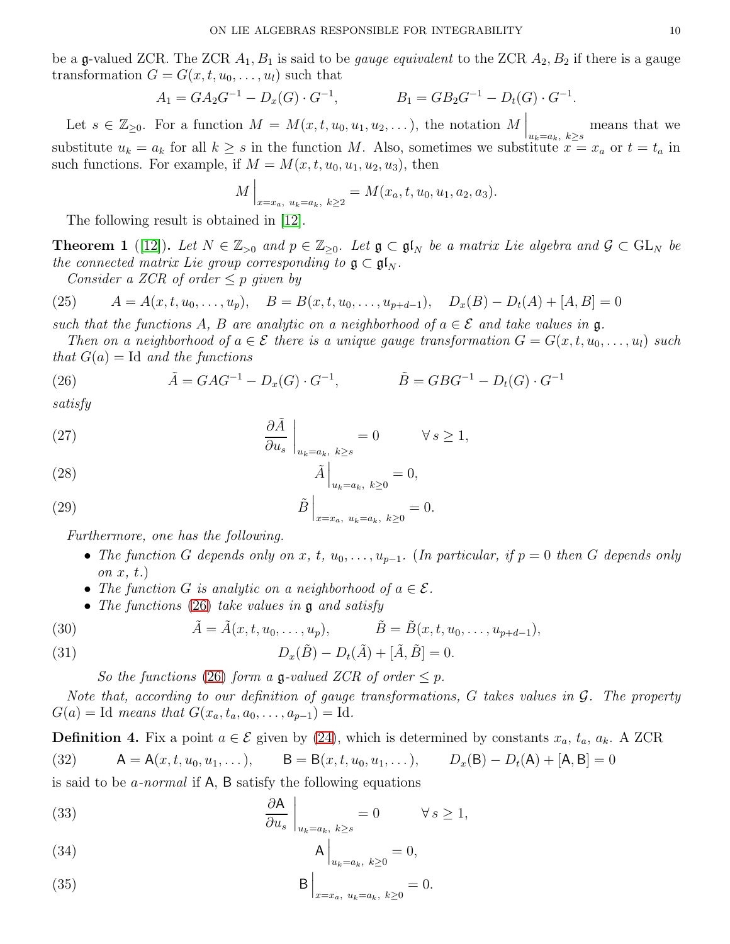be a g-valued ZCR. The ZCR  $A_1, B_1$  is said to be *gauge equivalent* to the ZCR  $A_2, B_2$  if there is a gauge transformation  $G = G(x, t, u_0, \ldots, u_l)$  such that

$$
A_1 = GA_2G^{-1} - D_x(G) \cdot G^{-1}, \qquad B_1 = GB_2G^{-1} - D_t(G) \cdot G^{-1}.
$$

Let  $s \in \mathbb{Z}_{\geq 0}$ . For a function  $M = M(x, t, u_0, u_1, u_2, \ldots)$ , the notation  $M \Big|_{u_k = a_k, k \geq s}$ means that we substitute  $u_k = a_k$  for all  $k \geq s$  in the function M. Also, sometimes we substitute  $x = x_a$  or  $t = t_a$  in such functions. For example, if  $M = M(x, t, u_0, u_1, u_2, u_3)$ , then

$$
M\Big|_{x=x_a, u_k=a_k, k\geq 2} = M(x_a, t, u_0, u_1, a_2, a_3).
$$

The following result is obtained in [\[12\]](#page-28-0).

<span id="page-9-0"></span>**Theorem 1** ([\[12\]](#page-28-0)). Let  $N \in \mathbb{Z}_{>0}$  and  $p \in \mathbb{Z}_{>0}$ . Let  $\mathfrak{g} \subset \mathfrak{gl}_N$  be a matrix Lie algebra and  $\mathcal{G} \subset GL_N$  be the connected matrix Lie group corresponding to  $\mathfrak{g} \subset \mathfrak{gl}_N$ .

<span id="page-9-9"></span>Consider a ZCR of order  $\leq p$  given by

(25) 
$$
A = A(x, t, u_0, \dots, u_p), \quad B = B(x, t, u_0, \dots, u_{p+d-1}), \quad D_x(B) - D_t(A) + [A, B] = 0
$$

such that the functions A, B are analytic on a neighborhood of  $a \in \mathcal{E}$  and take values in g.

Then on a neighborhood of  $a \in \mathcal{E}$  there is a unique gauge transformation  $G = G(x, t, u_0, \ldots, u_l)$  such that  $G(a) = \text{Id}$  and the functions

<span id="page-9-1"></span>(26) 
$$
\tilde{A} = GAG^{-1} - D_x(G) \cdot G^{-1}, \qquad \tilde{B} = GBG^{-1} - D_t(G) \cdot G^{-1}
$$

satisfy

<span id="page-9-2"></span>(27) 
$$
\left.\frac{\partial \tilde{A}}{\partial u_s}\right|_{u_k=a_k, k\geq s}=0 \qquad \forall s\geq 1,
$$

<span id="page-9-3"></span>
$$
\tilde{A}\Big|_{u_k=a_k, k\geq 0} = 0,
$$

<span id="page-9-4"></span>(29) 
$$
\tilde{B}\Big|_{x=x_a, u_k=a_k, k\geq 0} = 0.
$$

Furthermore, one has the following.

- The function G depends only on x, t,  $u_0, \ldots, u_{p-1}$ . (In particular, if  $p = 0$  then G depends only on  $x, t.$
- The function G is analytic on a neighborhood of  $a \in \mathcal{E}$ .
- The functions  $(26)$  take values in  $\mathfrak g$  and satisfy

<span id="page-9-8"></span>(30) 
$$
\tilde{A} = \tilde{A}(x, t, u_0, \dots, u_p), \qquad \tilde{B} = \tilde{B}(x, t, u_0, \dots, u_{p+d-1}),
$$

<span id="page-9-10"></span>(31) 
$$
D_x(\tilde{B}) - D_t(\tilde{A}) + [\tilde{A}, \tilde{B}] = 0.
$$

So the functions [\(26\)](#page-9-1) form a  $\mathfrak{g}\text{-valued ZCR}$  of order  $\leq p$ .

Note that, according to our definition of gauge transformations, G takes values in G. The property  $G(a) = \text{Id}$  means that  $G(x_a, t_a, a_0, \ldots, a_{p-1}) = \text{Id}$ .

**Definition 4.** Fix a point  $a \in \mathcal{E}$  given by [\(24\)](#page-8-3), which is determined by constants  $x_a$ ,  $t_a$ ,  $a_k$ . A ZCR (32)  $A = A(x, t, u_0, u_1, \dots),$   $B = B(x, t, u_0, u_1, \dots),$   $D_x(B) - D_t(A) + [A, B] = 0$ 

is said to be *a-normal* if  $A$ ,  $B$  satisfy the following equations

<span id="page-9-5"></span>(33) 
$$
\left.\frac{\partial \mathsf{A}}{\partial u_s}\right|_{u_k=a_k, k\geq s}=0 \qquad \forall s\geq 1,
$$

<span id="page-9-6"></span>
$$
\mathsf{A}\Big|_{u_k=a_k,\ k\geq 0}=0,
$$

<span id="page-9-7"></span>(35) 
$$
B\Big|_{x=x_a, u_k=a_k, k\geq 0} = 0.
$$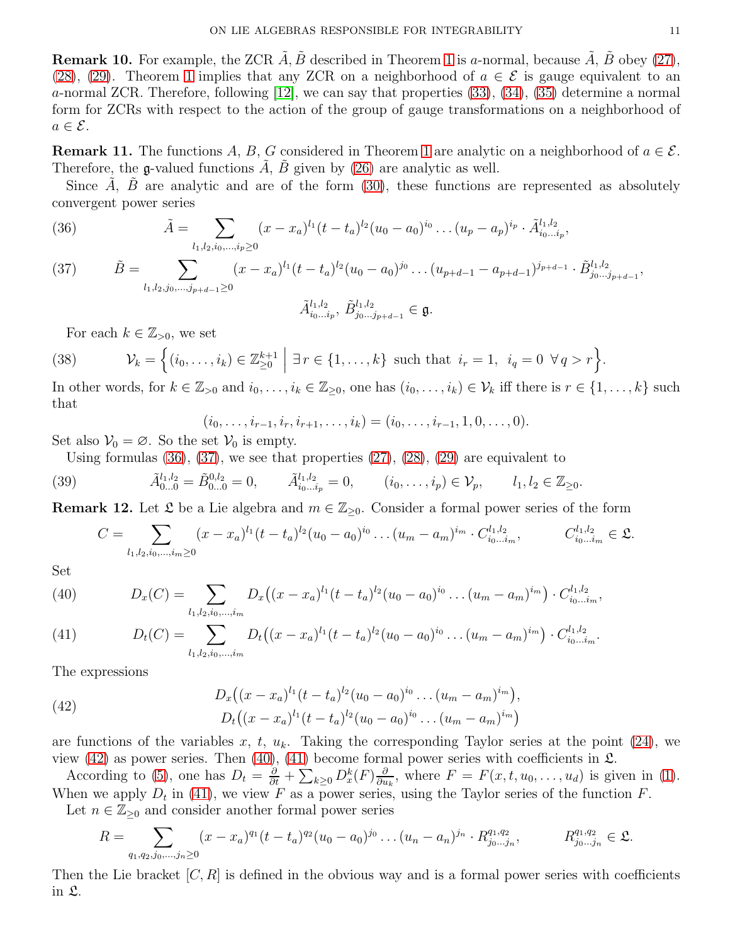<span id="page-10-0"></span>**Remark [1](#page-9-0)0.** For example, the ZCR  $\tilde{A}$ ,  $\tilde{B}$  described in Theorem 1 is a-normal, because  $\tilde{A}$ ,  $\tilde{B}$  obey [\(27\)](#page-9-2), [\(28\)](#page-9-3), [\(29\)](#page-9-4). Theorem [1](#page-9-0) implies that any ZCR on a neighborhood of  $a \in \mathcal{E}$  is gauge equivalent to an a-normal ZCR. Therefore, following [\[12\]](#page-28-0), we can say that properties [\(33\)](#page-9-5), [\(34\)](#page-9-6), [\(35\)](#page-9-7) determine a normal form for ZCRs with respect to the action of the group of gauge transformations on a neighborhood of  $a \in \mathcal{E}$ .

<span id="page-10-6"></span>**Remark [1](#page-9-0)1.** The functions A, B, G considered in Theorem 1 are analytic on a neighborhood of  $a \in \mathcal{E}$ . Therefore, the g-valued functions  $\ddot{A}$ ,  $\ddot{B}$  given by [\(26\)](#page-9-1) are analytic as well.

Since  $\tilde{A}$ ,  $\tilde{B}$  are analytic and are of the form [\(30\)](#page-9-8), these functions are represented as absolutely convergent power series

<span id="page-10-1"></span>(36) 
$$
\tilde{A} = \sum_{l_1,l_2,i_0,\dots,i_p\geq 0} (x-x_a)^{l_1} (t-t_a)^{l_2} (u_0-a_0)^{i_0} \dots (u_p-a_p)^{i_p} \cdot \tilde{A}_{i_0\dots i_p}^{l_1,l_2},
$$

<span id="page-10-2"></span>(37) 
$$
\tilde{B} = \sum_{l_1, l_2, j_0, \dots, j_{p+d-1} \ge 0} (x - x_a)^{l_1} (t - t_a)^{l_2} (u_0 - a_0)^{j_0} \dots (u_{p+d-1} - a_{p+d-1})^{j_{p+d-1}} \cdot \tilde{B}_{j_0 \dots j_{p+d-1}}^{l_1, l_2},
$$

$$
\tilde{A}_{i_0 \dots i_p}^{l_1, l_2}, \tilde{B}_{j_0 \dots j_{p+d-1}}^{l_1, l_2} \in \mathfrak{g}.
$$

For each 
$$
k \in \mathbb{Z}_{>0}
$$
, we set

(38) 
$$
\mathcal{V}_k = \left\{ (i_0, \ldots, i_k) \in \mathbb{Z}_{\geq 0}^{k+1} \; \middle| \; \exists \, r \in \{1, \ldots, k\} \text{ such that } i_r = 1, \ i_q = 0 \; \forall q > r \right\}.
$$

In other words, for  $k \in \mathbb{Z}_{>0}$  and  $i_0, \ldots, i_k \in \mathbb{Z}_{\geq 0}$ , one has  $(i_0, \ldots, i_k) \in \mathcal{V}_k$  iff there is  $r \in \{1, \ldots, k\}$  such that

$$
(i_0,\ldots,i_{r-1},i_r,i_{r+1},\ldots,i_k)=(i_0,\ldots,i_{r-1},1,0,\ldots,0).
$$

Set also  $\mathcal{V}_0 = \emptyset$ . So the set  $\mathcal{V}_0$  is empty.

Using formulas  $(36)$ ,  $(37)$ , we see that properties  $(27)$ ,  $(28)$ ,  $(29)$  are equivalent to

(39) 
$$
\tilde{A}_{0...0}^{l_1,l_2} = \tilde{B}_{0...0}^{0,l_2} = 0, \qquad \tilde{A}_{i_0...i_p}^{l_1,l_2} = 0, \qquad (i_0,\ldots,i_p) \in \mathcal{V}_p, \qquad l_1, l_2 \in \mathbb{Z}_{\geq 0}.
$$

<span id="page-10-8"></span>**Remark 12.** Let  $\mathfrak{L}$  be a Lie algebra and  $m \in \mathbb{Z}_{\geq 0}$ . Consider a formal power series of the form

<span id="page-10-7"></span>
$$
C = \sum_{l_1,l_2,i_0,\dots,i_m\geq 0} (x-x_a)^{l_1} (t-t_a)^{l_2} (u_0-a_0)^{i_0} \dots (u_m-a_m)^{i_m} \cdot C_{i_0\dots i_m}^{l_1,l_2}, \qquad C_{i_0\dots i_m}^{l_1,l_2} \in \mathfrak{L}.
$$

Set

<span id="page-10-4"></span>(40) 
$$
D_x(C) = \sum_{l_1,l_2,i_0,\dots,i_m} D_x((x-x_a)^{l_1}(t-t_a)^{l_2}(u_0-a_0)^{i_0}\dots(u_m-a_m)^{i_m}) \cdot C_{i_0\dots i_m}^{l_1,l_2},
$$

<span id="page-10-5"></span>(41) 
$$
D_t(C) = \sum_{l_1,l_2,i_0,\dots,i_m} D_t\big((x-x_a)^{l_1}(t-t_a)^{l_2}(u_0-a_0)^{i_0}\dots(u_m-a_m)^{i_m}\big) \cdot C_{i_0\dots i_m}^{l_1,l_2}.
$$

The expressions

<span id="page-10-3"></span>(42) 
$$
D_x((x-x_a)^{l_1}(t-t_a)^{l_2}(u_0-a_0)^{i_0}\dots (u_m-a_m)^{i_m}),
$$

$$
D_t((x-x_a)^{l_1}(t-t_a)^{l_2}(u_0-a_0)^{i_0}\dots (u_m-a_m)^{i_m})
$$

are functions of the variables x, t,  $u_k$ . Taking the corresponding Taylor series at the point [\(24\)](#page-8-3), we view [\(42\)](#page-10-3) as power series. Then [\(40\)](#page-10-4), [\(41\)](#page-10-5) become formal power series with coefficients in  $\mathfrak{L}$ .

According to [\(5\)](#page-1-2), one has  $D_t = \frac{\partial}{\partial t} + \sum_{k \geq 0} D_x^k(F) \frac{\partial}{\partial u^k}$  $\frac{\partial}{\partial u_k}$ , where  $F = F(x, t, u_0, \dots, u_d)$  is given in [\(1\)](#page-0-0). When we apply  $D_t$  in [\(41\)](#page-10-5), we view F as a power series, using the Taylor series of the function F.

Let  $n \in \mathbb{Z}_{\geq 0}$  and consider another formal power series

$$
R = \sum_{q_1, q_2, j_0, \dots, j_n \ge 0} (x - x_a)^{q_1} (t - t_a)^{q_2} (u_0 - a_0)^{j_0} \dots (u_n - a_n)^{j_n} \cdot R_{j_0 \dots j_n}^{q_1, q_2}, \qquad R_{j_0 \dots j_n}^{q_1, q_2} \in \mathfrak{L}.
$$

Then the Lie bracket  $[C, R]$  is defined in the obvious way and is a formal power series with coefficients in L.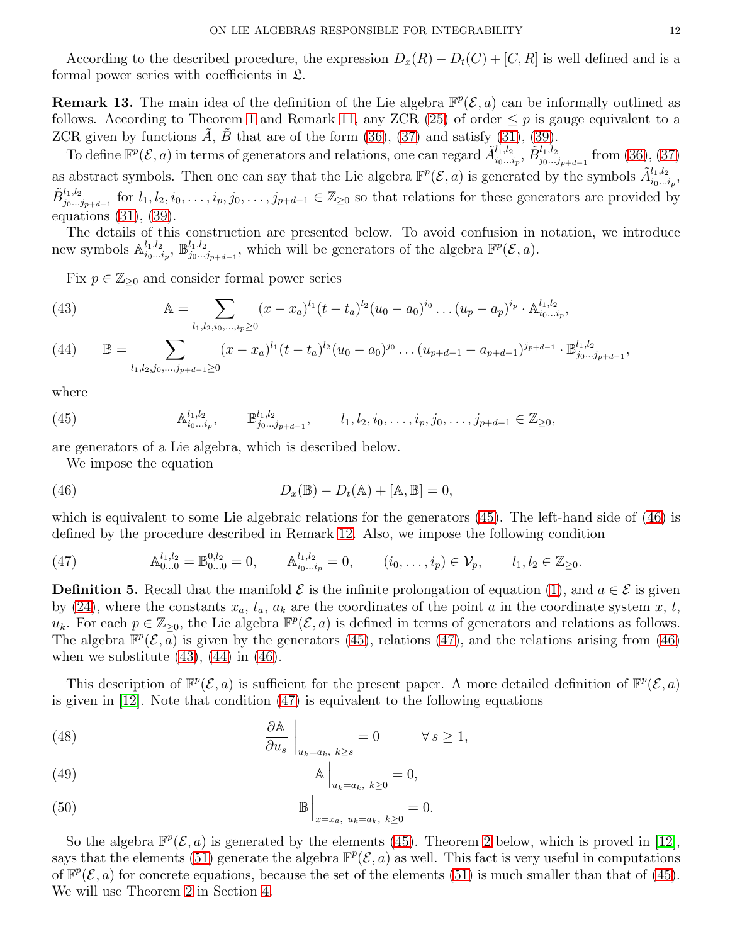According to the described procedure, the expression  $D_x(R) - D_t(C) + [C, R]$  is well defined and is a formal power series with coefficients in L.

**Remark 13.** The main idea of the definition of the Lie algebra  $\mathbb{F}^p(\mathcal{E}, a)$  can be informally outlined as follows. According to Theorem [1](#page-9-0) and Remark [11,](#page-10-6) any ZCR [\(25\)](#page-9-9) of order  $\leq p$  is gauge equivalent to a ZCR given by functions  $A, B$  that are of the form  $(36), (37)$  $(36), (37)$  and satisfy  $(31), (39)$  $(31), (39)$ .

To define  $\mathbb{F}^p(\mathcal{E},a)$  in terms of generators and relations, one can regard  $\tilde{A}_{i_0...i_p}^{l_1,l_2}, \tilde{B}_{j_0...j_{p+d-1}}^{l_1,l_2}$  from [\(36\)](#page-10-1), [\(37\)](#page-10-2) as abstract symbols. Then one can say that the Lie algebra  $\mathbb{F}^p(\mathcal{E},a)$  is generated by the symbols  $\tilde{A}_{i_0...i_p}^{l_1,l_2}$ ,  $\tilde{B}_{j_0...j_{p+d-1}}^{l_1,l_2}$  for  $l_1, l_2, i_0, \ldots, i_p, j_0, \ldots, j_{p+d-1} \in \mathbb{Z}_{\geq 0}$  so that relations for these generators are provided by equations [\(31\)](#page-9-10), [\(39\)](#page-10-7).

The details of this construction are presented below. To avoid confusion in notation, we introduce new symbols  $\mathbb{A}_{i_0...i}^{l_1,l_2}$  $\frac{l_1, l_2}{i_0...i_p}, \ \mathbb{B}^{l_1, l_2}_{j_0...j_p}$  $j_{0}^{l_1,l_2}$ , which will be generators of the algebra  $\mathbb{F}^p(\mathcal{E},a)$ .

Fix  $p \in \mathbb{Z}_{\geq 0}$  and consider formal power series

<span id="page-11-3"></span>(43) 
$$
\mathbb{A} = \sum_{l_1, l_2, i_0, \dots, i_p \ge 0} (x - x_a)^{l_1} (t - t_a)^{l_2} (u_0 - a_0)^{i_0} \dots (u_p - a_p)^{i_p} \cdot \mathbb{A}_{i_0 \dots i_p}^{l_1, l_2},
$$

<span id="page-11-4"></span>
$$
(44) \qquad \mathbb{B} = \sum_{l_1,l_2,j_0,\dots,j_{p+d-1}\geq 0} (x-x_a)^{l_1} (t-t_a)^{l_2} (u_0-a_0)^{j_0} \dots (u_{p+d-1}-a_{p+d-1})^{j_{p+d-1}} \cdot \mathbb{B}_{j_0\dots j_{p+d-1}}^{l_1,l_2},
$$

where

(45) 
$$
\mathbb{A}_{i_0...i_p}^{l_1,l_2}, \qquad \mathbb{B}_{j_0...j_{p+d-1}}^{l_1,l_2}, \qquad l_1, l_2, i_0, \ldots, i_p, j_0, \ldots, j_{p+d-1} \in \mathbb{Z}_{\geq 0},
$$

are generators of a Lie algebra, which is described below.

<span id="page-11-1"></span><span id="page-11-0"></span>We impose the equation

(46) 
$$
D_x(\mathbb{B}) - D_t(\mathbb{A}) + [\mathbb{A}, \mathbb{B}] = 0,
$$

which is equivalent to some Lie algebraic relations for the generators [\(45\)](#page-11-0). The left-hand side of [\(46\)](#page-11-1) is defined by the procedure described in Remark [12.](#page-10-8) Also, we impose the following condition

<span id="page-11-2"></span>(47) 
$$
\mathbb{A}_{0...0}^{l_1,l_2} = \mathbb{B}_{0...0}^{0,l_2} = 0, \qquad \mathbb{A}_{i_0...i_p}^{l_1,l_2} = 0, \qquad (i_0,\ldots,i_p) \in \mathcal{V}_p, \qquad l_1, l_2 \in \mathbb{Z}_{\geq 0}.
$$

<span id="page-11-5"></span>**Definition 5.** Recall that the manifold  $\mathcal{E}$  is the infinite prolongation of equation [\(1\)](#page-0-0), and  $a \in \mathcal{E}$  is given by [\(24\)](#page-8-3), where the constants  $x_a$ ,  $t_a$ ,  $a_k$  are the coordinates of the point a in the coordinate system x, t,  $u_k$ . For each  $p \in \mathbb{Z}_{\geq 0}$ , the Lie algebra  $\mathbb{F}^p(\mathcal{E}, a)$  is defined in terms of generators and relations as follows. The algebra  $\mathbb{F}^p(\mathcal{E}, \overline{a})$  is given by the generators [\(45\)](#page-11-0), relations [\(47\)](#page-11-2), and the relations arising from [\(46\)](#page-11-1) when we substitute  $(43)$ ,  $(44)$  in  $(46)$ .

This description of  $\mathbb{F}^p(\mathcal{E},a)$  is sufficient for the present paper. A more detailed definition of  $\mathbb{F}^p(\mathcal{E},a)$ is given in  $[12]$ . Note that condition  $(47)$  is equivalent to the following equations

<span id="page-11-6"></span>(48) 
$$
\frac{\partial \mathbb{A}}{\partial u_s}\Big|_{u_k=a_k, k\geq s} = 0 \qquad \forall s \geq 1,
$$

<span id="page-11-7"></span>
$$
\mathbb{A}\Big|_{u_k=a_k,\ k\geq 0}=0,
$$

<span id="page-11-8"></span>(50) 
$$
\mathbb{B}\Big|_{x=x_a, u_k=a_k, k\geq 0} = 0.
$$

So the algebra  $\mathbb{F}^p(\mathcal{E}, a)$  is generated by the elements [\(45\)](#page-11-0). Theorem [2](#page-12-2) below, which is proved in [\[12\]](#page-28-0), says that the elements [\(51\)](#page-12-3) generate the algebra  $\mathbb{F}^p(\mathcal{E},a)$  as well. This fact is very useful in computations of  $\mathbb{F}^p(\mathcal{E}, a)$  for concrete equations, because the set of the elements [\(51\)](#page-12-3) is much smaller than that of [\(45\)](#page-11-0). We will use Theorem [2](#page-12-2) in Section [4.](#page-13-0)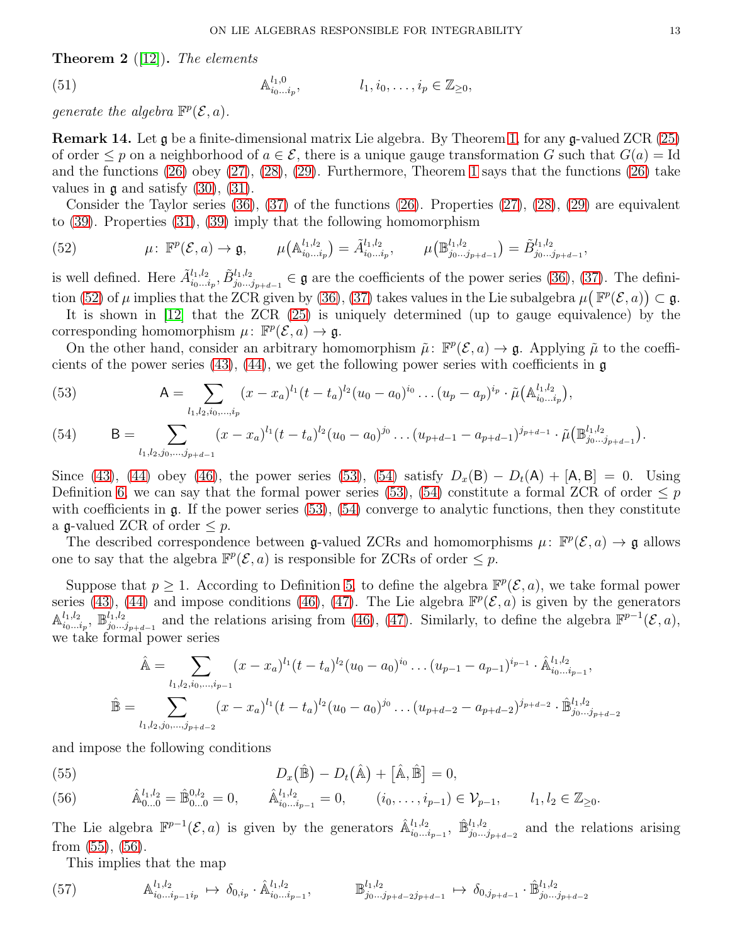<span id="page-12-2"></span>**Theorem 2** ([\[12\]](#page-28-0)). The elements

<span id="page-12-3"></span>(51) 
$$
\mathbb{A}_{i_0...i_p}^{l_1,0}, \qquad l_1, i_0,..., i_p \in \mathbb{Z}_{\geq 0},
$$

generate the algebra  $\mathbb{F}^p(\mathcal{E},a)$ .

<span id="page-12-0"></span>Remark 14. Let g be a finite-dimensional matrix Lie algebra. By Theorem [1,](#page-9-0) for any g-valued ZCR [\(25\)](#page-9-9) of order  $\leq p$  on a neighborhood of  $a \in \mathcal{E}$ , there is a unique gauge transformation G such that  $G(a) = \mathrm{Id}$ and the functions  $(26)$  obey  $(27)$ ,  $(28)$ ,  $(29)$ . Furthermore, Theorem [1](#page-9-0) says that the functions  $(26)$  take values in  $\mathfrak g$  and satisfy [\(30\)](#page-9-8), [\(31\)](#page-9-10).

Consider the Taylor series  $(36)$ ,  $(37)$  of the functions  $(26)$ . Properties  $(27)$ ,  $(28)$ ,  $(29)$  are equivalent to [\(39\)](#page-10-7). Properties [\(31\)](#page-9-10), [\(39\)](#page-10-7) imply that the following homomorphism

<span id="page-12-4"></span>(52) 
$$
\mu: \mathbb{F}^p(\mathcal{E}, a) \to \mathfrak{g}, \qquad \mu(\mathbb{A}_{i_0 \dots i_p}^{l_1, l_2}) = \tilde{A}_{i_0 \dots i_p}^{l_1, l_2}, \qquad \mu(\mathbb{B}_{j_0 \dots j_{p+d-1}}^{l_1, l_2}) = \tilde{B}_{j_0 \dots j_{p+d-1}}^{l_1, l_2},
$$

is well defined. Here  $\tilde{A}_{i_0...i_p}^{l_1,l_2}, \tilde{B}_{j_0...j_{p+d-1}}^{l_1,l_2} \in \mathfrak{g}$  are the coefficients of the power series [\(36\)](#page-10-1), [\(37\)](#page-10-2). The defini-tion [\(52\)](#page-12-4) of  $\mu$  implies that the ZCR given by [\(36\)](#page-10-1), [\(37\)](#page-10-2) takes values in the Lie subalgebra  $\mu(\mathbb{F}^p(\mathcal{E},a)) \subset \mathfrak{g}$ .

It is shown in [\[12\]](#page-28-0) that the ZCR [\(25\)](#page-9-9) is uniquely determined (up to gauge equivalence) by the corresponding homomorphism  $\mu: \mathbb{F}^p(\mathcal{E}, a) \to \mathfrak{g}.$ 

On the other hand, consider an arbitrary homomorphism  $\tilde{\mu}$ :  $\mathbb{F}^p(\mathcal{E},a) \to \mathfrak{g}$ . Applying  $\tilde{\mu}$  to the coefficients of the power series  $(43)$ ,  $(44)$ , we get the following power series with coefficients in g

<span id="page-12-5"></span>(53) 
$$
\mathsf{A} = \sum_{l_1,l_2,i_0,\dots,i_p} (x-x_a)^{l_1} (t-t_a)^{l_2} (u_0-a_0)^{i_0} \dots (u_p-a_p)^{i_p} \cdot \tilde{\mu}(\mathbb{A}_{i_0\dots i_p}^{l_1,l_2}),
$$

<span id="page-12-6"></span>(54) 
$$
B = \sum_{l_1, l_2, j_0, \dots, j_{p+d-1}} (x - x_a)^{l_1} (t - t_a)^{l_2} (u_0 - a_0)^{j_0} \dots (u_{p+d-1} - a_{p+d-1})^{j_{p+d-1}} \cdot \tilde{\mu} \left( \mathbb{B}_{j_0 \dots j_{p+d-1}}^{l_1, l_2} \right).
$$

Since [\(43\)](#page-11-3), [\(44\)](#page-11-4) obey [\(46\)](#page-11-1), the power series [\(53\)](#page-12-5), [\(54\)](#page-12-6) satisfy  $D_x(B) - D_t(A) + [A, B] = 0$ . Using Definition [6,](#page-20-1) we can say that the formal power series [\(53\)](#page-12-5), [\(54\)](#page-12-6) constitute a formal ZCR of order  $\leq p$ with coefficients in  $\mathfrak{g}$ . If the power series [\(53\)](#page-12-5), [\(54\)](#page-12-6) converge to analytic functions, then they constitute a g-valued ZCR of order  $\leq p$ .

The described correspondence between g-valued ZCRs and homomorphisms  $\mu$ :  $\mathbb{F}^p(\mathcal{E},a) \to \mathfrak{g}$  allows one to say that the algebra  $\mathbb{F}^p(\mathcal{E}, a)$  is responsible for ZCRs of order  $\leq p$ .

Suppose that  $p \geq 1$ . According to Definition [5,](#page-11-5) to define the algebra  $\mathbb{F}^p(\mathcal{E},a)$ , we take formal power series [\(43\)](#page-11-3), [\(44\)](#page-11-4) and impose conditions [\(46\)](#page-11-1), [\(47\)](#page-11-2). The Lie algebra  $\mathbb{F}^p(\mathcal{E},a)$  is given by the generators  $\mathbb{A}^{l_1,l_2}$  $\frac{l_1, l_2}{i_0...i_p}, \ \mathbb{B}^{l_1, l_2}_{j_0...j}$  $j_{0}^{l_1,l_2}$  and the relations arising from [\(46\)](#page-11-1), [\(47\)](#page-11-2). Similarly, to define the algebra  $\mathbb{F}^{p-1}(\mathcal{E},a)$ , we take formal power series

$$
\hat{\mathbb{A}} = \sum_{l_1, l_2, i_0, \dots, i_{p-1}} (x - x_a)^{l_1} (t - t_a)^{l_2} (u_0 - a_0)^{i_0} \dots (u_{p-1} - a_{p-1})^{i_{p-1}} \cdot \hat{\mathbb{A}}_{i_0 \dots i_{p-1}}^{l_1, l_2},
$$
  

$$
\hat{\mathbb{B}} = \sum_{l_1, l_2, j_0, \dots, j_{p+d-2}} (x - x_a)^{l_1} (t - t_a)^{l_2} (u_0 - a_0)^{j_0} \dots (u_{p+d-2} - a_{p+d-2})^{j_{p+d-2}} \cdot \hat{\mathbb{B}}_{j_0 \dots j_{p+d-2}}^{l_1, l_2}
$$

and impose the following conditions

<span id="page-12-8"></span><span id="page-12-7"></span>(55)  
\n
$$
D_x(\hat{\mathbb{B}}) - D_t(\hat{\mathbb{A}}) + [\hat{\mathbb{A}}, \hat{\mathbb{B}}] = 0,
$$
\n(56)  
\n
$$
\hat{\mathbb{A}}_{0...0}^{l_1, l_2} = \hat{\mathbb{B}}_{0...0}^{0, l_2} = 0, \qquad \hat{\mathbb{A}}_{i_0...i_{p-1}}^{l_1, l_2} = 0, \qquad (i_0, \ldots, i_{p-1}) \in \mathcal{V}_{p-1}, \qquad l_1, l_2 \in \mathbb{Z}_{\geq 0}.
$$

The Lie algebra  $\mathbb{F}^{p-1}(\mathcal{E},a)$  is given by the generators  $\hat{\mathbb{A}}_{i_0...i_{p-1}}^{l_1,l_2}$ ,  $\hat{\mathbb{B}}_{j_0...j_{p+d-2}}^{l_1,l_2}$  and the relations arising from [\(55\)](#page-12-7), [\(56\)](#page-12-8).

<span id="page-12-1"></span>This implies that the map

$$
(57) \qquad \mathbb{A}_{i_0...i_{p-1}i_p}^{l_1,l_2} \mapsto \delta_{0,i_p} \cdot \hat{\mathbb{A}}_{i_0...i_{p-1}}^{l_1,l_2}, \qquad \mathbb{B}_{j_0...j_{p+d-2}j_{p+d-1}}^{l_1,l_2} \mapsto \delta_{0,j_{p+d-1}} \cdot \hat{\mathbb{B}}_{j_0...j_{p+d-2}}^{l_1,l_2}
$$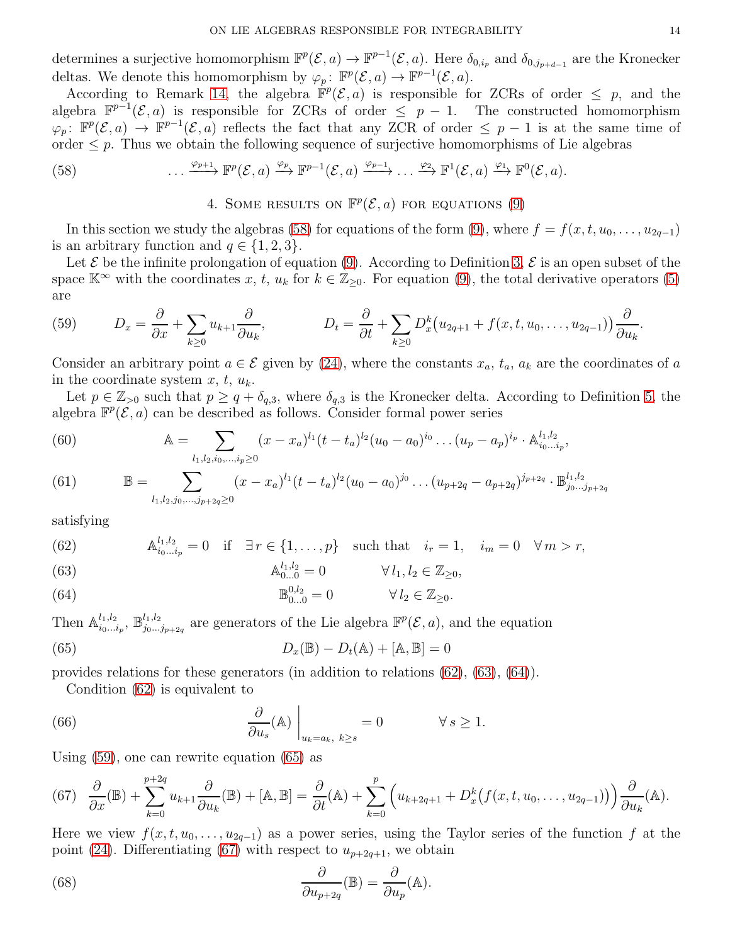determines a surjective homomorphism  $\mathbb{F}^p(\mathcal{E},a) \to \mathbb{F}^{p-1}(\mathcal{E},a)$ . Here  $\delta_{0,i_p}$  and  $\delta_{0,j_{p+d-1}}$  are the Kronecker deltas. We denote this homomorphism by  $\varphi_p: \mathbb{F}^p(\mathcal{E}, a) \to \mathbb{F}^{p-1}(\mathcal{E}, a)$ .

According to Remark [14,](#page-12-0) the algebra  $\mathbb{F}^p(\mathcal{E},a)$  is responsible for ZCRs of order  $\leq p$ , and the algebra  $\mathbb{F}^{p-1}(\mathcal{E},a)$  is responsible for ZCRs of order  $\leq p-1$ . The constructed homomorphism  $\varphi_p: \mathbb{F}^p(\mathcal{E}, a) \to \mathbb{F}^{p-1}(\mathcal{E}, a)$  reflects the fact that any ZCR of order  $\leq p-1$  is at the same time of order  $\leq p$ . Thus we obtain the following sequence of surjective homomorphisms of Lie algebras

<span id="page-13-0"></span>(58) 
$$
\cdots \xrightarrow{\varphi_{p+1}} \mathbb{F}^p(\mathcal{E},a) \xrightarrow{\varphi_p} \mathbb{F}^{p-1}(\mathcal{E},a) \xrightarrow{\varphi_{p-1}} \cdots \xrightarrow{\varphi_2} \mathbb{F}^1(\mathcal{E},a) \xrightarrow{\varphi_1} \mathbb{F}^0(\mathcal{E},a).
$$

<span id="page-13-1"></span>4. SOME RESULTS ON  $\mathbb{F}^p(\mathcal{E},a)$  for equations [\(9\)](#page-3-1)

In this section we study the algebras [\(58\)](#page-13-1) for equations of the form [\(9\)](#page-3-1), where  $f = f(x, t, u_0, \ldots, u_{2q-1})$ is an arbitrary function and  $q \in \{1, 2, 3\}.$ 

Let  $\mathcal E$  be the infinite prolongation of equation [\(9\)](#page-3-1). According to Definition [3,](#page-8-0)  $\mathcal E$  is an open subset of the space  $\mathbb{K}^{\infty}$  with the coordinates x, t,  $u_k$  for  $k \in \mathbb{Z}_{\geq 0}$ . For equation [\(9\)](#page-3-1), the total derivative operators [\(5\)](#page-1-2) are

<span id="page-13-5"></span>(59) 
$$
D_x = \frac{\partial}{\partial x} + \sum_{k \ge 0} u_{k+1} \frac{\partial}{\partial u_k}, \qquad D_t = \frac{\partial}{\partial t} + \sum_{k \ge 0} D_x^k (u_{2q+1} + f(x, t, u_0, \dots, u_{2q-1})) \frac{\partial}{\partial u_k}.
$$

Consider an arbitrary point  $a \in \mathcal{E}$  given by [\(24\)](#page-8-3), where the constants  $x_a$ ,  $t_a$ ,  $a_k$  are the coordinates of a in the coordinate system  $x, t, u_k$ .

Let  $p \in \mathbb{Z}_{>0}$  such that  $p \geq q + \delta_{q,3}$ , where  $\delta_{q,3}$  is the Kronecker delta. According to Definition [5,](#page-11-5) the algebra  $\mathbb{F}^p(\mathcal{E},a)$  can be described as follows. Consider formal power series

<span id="page-13-10"></span>(60) 
$$
\mathbb{A} = \sum_{l_1, l_2, i_0, \dots, i_p \ge 0} (x - x_a)^{l_1} (t - t_a)^{l_2} (u_0 - a_0)^{i_0} \dots (u_p - a_p)^{i_p} \cdot \mathbb{A}_{i_0 \dots i_p}^{l_1, l_2},
$$

(61) 
$$
\mathbb{B} = \sum_{l_1, l_2, j_0, \dots, j_{p+2q} \ge 0} (x - x_a)^{l_1} (t - t_a)^{l_2} (u_0 - a_0)^{j_0} \dots (u_{p+2q} - a_{p+2q})^{j_{p+2q}} \cdot \mathbb{B}_{j_0 \dots j_{p+2q}}^{l_1, l_2}
$$

satisfying

<span id="page-13-2"></span>(62) 
$$
\mathbb{A}_{i_0...i_p}^{l_1,l_2} = 0 \text{ if } \exists r \in \{1,...,p\} \text{ such that } i_r = 1, i_m = 0 \forall m > r,
$$

<span id="page-13-3"></span>(63) 
$$
\mathbb{A}_{0...0}^{l_1,l_2} = 0 \qquad \forall l_1, l_2 \in \mathbb{Z}_{\geq 0},
$$

<span id="page-13-4"></span>(64) 
$$
\mathbb{B}_{0...0}^{0,l_2} = 0 \qquad \forall l_2 \in \mathbb{Z}_{\geq 0}.
$$

Then  $\mathbb{A}_{i_0...i}^{l_1,l_2}$  $\frac{l_1, l_2}{i_0 \dots i_p}, \ \mathbb{B}^{l_1, l_2}_{j_0 \dots}$  $j_{0}^{l_1,l_2}$  are generators of the Lie algebra  $\mathbb{F}^p(\mathcal{E},a)$ , and the equation

(65) 
$$
D_x(\mathbb{B}) - D_t(\mathbb{A}) + [\mathbb{A}, \mathbb{B}] = 0
$$

provides relations for these generators (in addition to relations [\(62\)](#page-13-2), [\(63\)](#page-13-3), [\(64\)](#page-13-4)).

<span id="page-13-9"></span><span id="page-13-6"></span>Condition [\(62\)](#page-13-2) is equivalent to

(66) 
$$
\left.\frac{\partial}{\partial u_s}(\mathbb{A})\right|_{u_k=a_k, k\geq s}=0 \qquad \forall s\geq 1.
$$

Using [\(59\)](#page-13-5), one can rewrite equation [\(65\)](#page-13-6) as

<span id="page-13-7"></span>
$$
(67) \quad \frac{\partial}{\partial x}(\mathbb{B}) + \sum_{k=0}^{p+2q} u_{k+1} \frac{\partial}{\partial u_k}(\mathbb{B}) + [\mathbb{A}, \mathbb{B}] = \frac{\partial}{\partial t}(\mathbb{A}) + \sum_{k=0}^p \left( u_{k+2q+1} + D_x^k \big( f(x, t, u_0, \dots, u_{2q-1}) \big) \right) \frac{\partial}{\partial u_k}(\mathbb{A}).
$$

Here we view  $f(x, t, u_0, \ldots, u_{2q-1})$  as a power series, using the Taylor series of the function f at the point [\(24\)](#page-8-3). Differentiating [\(67\)](#page-13-7) with respect to  $u_{p+2q+1}$ , we obtain

<span id="page-13-8"></span>(68) 
$$
\frac{\partial}{\partial u_{p+2q}}(\mathbb{B}) = \frac{\partial}{\partial u_p}(\mathbb{A}).
$$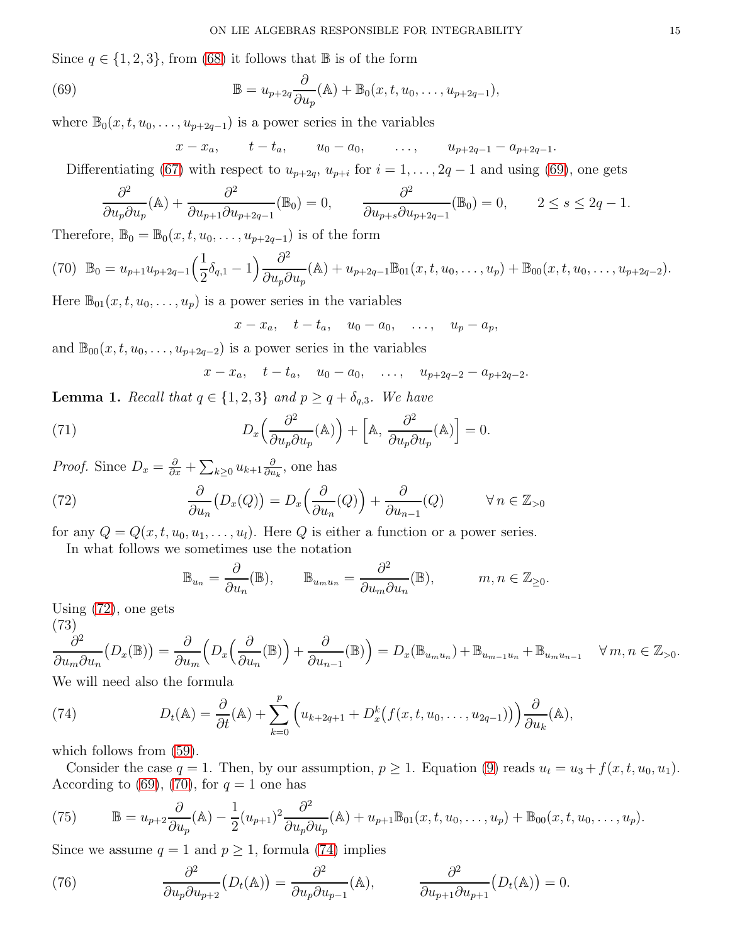Since  $q \in \{1, 2, 3\}$ , from [\(68\)](#page-13-8) it follows that  $\mathbb{B}$  is of the form

(69) 
$$
\mathbb{B} = u_{p+2q} \frac{\partial}{\partial u_p}(\mathbb{A}) + \mathbb{B}_0(x, t, u_0, \dots, u_{p+2q-1}),
$$

where  $\mathbb{B}_0(x, t, u_0, \ldots, u_{p+2q-1})$  is a power series in the variables

<span id="page-14-0"></span>
$$
x - x_a
$$
,  $t - t_a$ ,  $u_0 - a_0$ , ...,  $u_{p+2q-1} - a_{p+2q-1}$ .

Differentiating [\(67\)](#page-13-7) with respect to  $u_{p+2q}$ ,  $u_{p+i}$  for  $i = 1, \ldots, 2q-1$  and using [\(69\)](#page-14-0), one gets

$$
\frac{\partial^2}{\partial u_p \partial u_p}(\mathbb{A}) + \frac{\partial^2}{\partial u_{p+1} \partial u_{p+2q-1}}(\mathbb{B}_0) = 0, \qquad \frac{\partial^2}{\partial u_{p+s} \partial u_{p+2q-1}}(\mathbb{B}_0) = 0, \qquad 2 \le s \le 2q-1.
$$

Therefore,  $\mathbb{B}_0 = \mathbb{B}_0(x, t, u_0, \dots, u_{p+2q-1})$  is of the form

<span id="page-14-2"></span>
$$
(70) \mathbb{B}_0 = u_{p+1}u_{p+2q-1}\left(\frac{1}{2}\delta_{q,1}-1\right)\frac{\partial^2}{\partial u_p\partial u_p}(\mathbb{A})+u_{p+2q-1}\mathbb{B}_{01}(x,t,u_0,\ldots,u_p)+\mathbb{B}_{00}(x,t,u_0,\ldots,u_{p+2q-2}).
$$

Here  $\mathbb{B}_{01}(x, t, u_0, \ldots, u_p)$  is a power series in the variables

 $x - x_a$ ,  $t - t_a$ ,  $u_0 - a_0$ , ...,  $u_p - a_p$ ,

and  $\mathbb{B}_{00}(x, t, u_0, \ldots, u_{p+2q-2})$  is a power series in the variables

<span id="page-14-7"></span>
$$
x - x_a
$$
,  $t - t_a$ ,  $u_0 - a_0$ , ...,  $u_{p+2q-2} - a_{p+2q-2}$ .

**Lemma 1.** Recall that  $q \in \{1, 2, 3\}$  and  $p \geq q + \delta_{q,3}$ . We have

(71) 
$$
D_x\left(\frac{\partial^2}{\partial u_p \partial u_p}(\mathbb{A})\right) + \left[\mathbb{A}, \frac{\partial^2}{\partial u_p \partial u_p}(\mathbb{A})\right] = 0.
$$

*Proof.* Since  $D_x = \frac{\partial}{\partial x} + \sum_{k \geq 0} u_{k+1} \frac{\partial}{\partial u}$  $\frac{\partial}{\partial u_k}$ , one has

(72) 
$$
\frac{\partial}{\partial u_n}(D_x(Q)) = D_x\left(\frac{\partial}{\partial u_n}(Q)\right) + \frac{\partial}{\partial u_{n-1}}(Q) \qquad \forall n \in \mathbb{Z}_{>0}
$$

for any  $Q = Q(x, t, u_0, u_1, \dots, u_l)$ . Here Q is either a function or a power series.

In what follows we sometimes use the notation

<span id="page-14-1"></span>
$$
\mathbb{B}_{u_n} = \frac{\partial}{\partial u_n}(\mathbb{B}), \qquad \mathbb{B}_{u_m u_n} = \frac{\partial^2}{\partial u_m \partial u_n}(\mathbb{B}), \qquad m, n \in \mathbb{Z}_{\geq 0}.
$$

Using [\(72\)](#page-14-1), one gets

(73)

<span id="page-14-4"></span>
$$
\frac{\partial^2}{\partial u_m \partial u_n} (D_x(\mathbb{B})) = \frac{\partial}{\partial u_m} \left( D_x \left( \frac{\partial}{\partial u_n} (\mathbb{B}) \right) + \frac{\partial}{\partial u_{n-1}} (\mathbb{B}) \right) = D_x(\mathbb{B}_{u_m u_n}) + \mathbb{B}_{u_{m-1} u_n} + \mathbb{B}_{u_m u_{n-1}} \quad \forall m, n \in \mathbb{Z}_{>0}.
$$

We will need also the formula

<span id="page-14-3"></span>(74) 
$$
D_t(\mathbb{A}) = \frac{\partial}{\partial t}(\mathbb{A}) + \sum_{k=0}^p \left( u_{k+2q+1} + D_x^k \big(f(x,t,u_0,\ldots,u_{2q-1})\big) \right) \frac{\partial}{\partial u_k}(\mathbb{A}),
$$

which follows from  $(59)$ .

Consider the case  $q = 1$ . Then, by our assumption,  $p \ge 1$ . Equation [\(9\)](#page-3-1) reads  $u_t = u_3 + f(x, t, u_0, u_1)$ . According to [\(69\)](#page-14-0), [\(70\)](#page-14-2), for  $q = 1$  one has

<span id="page-14-5"></span>(75) 
$$
\mathbb{B} = u_{p+2} \frac{\partial}{\partial u_p} (A) - \frac{1}{2} (u_{p+1})^2 \frac{\partial^2}{\partial u_p \partial u_p} (A) + u_{p+1} \mathbb{B}_{01}(x, t, u_0, \dots, u_p) + \mathbb{B}_{00}(x, t, u_0, \dots, u_p).
$$

Since we assume  $q = 1$  and  $p \ge 1$ , formula [\(74\)](#page-14-3) implies

<span id="page-14-6"></span>(76) 
$$
\frac{\partial^2}{\partial u_p \partial u_{p+2}} (D_t(\mathbb{A})) = \frac{\partial^2}{\partial u_p \partial u_{p-1}} (\mathbb{A}), \qquad \frac{\partial^2}{\partial u_{p+1} \partial u_{p+1}} (D_t(\mathbb{A})) = 0.
$$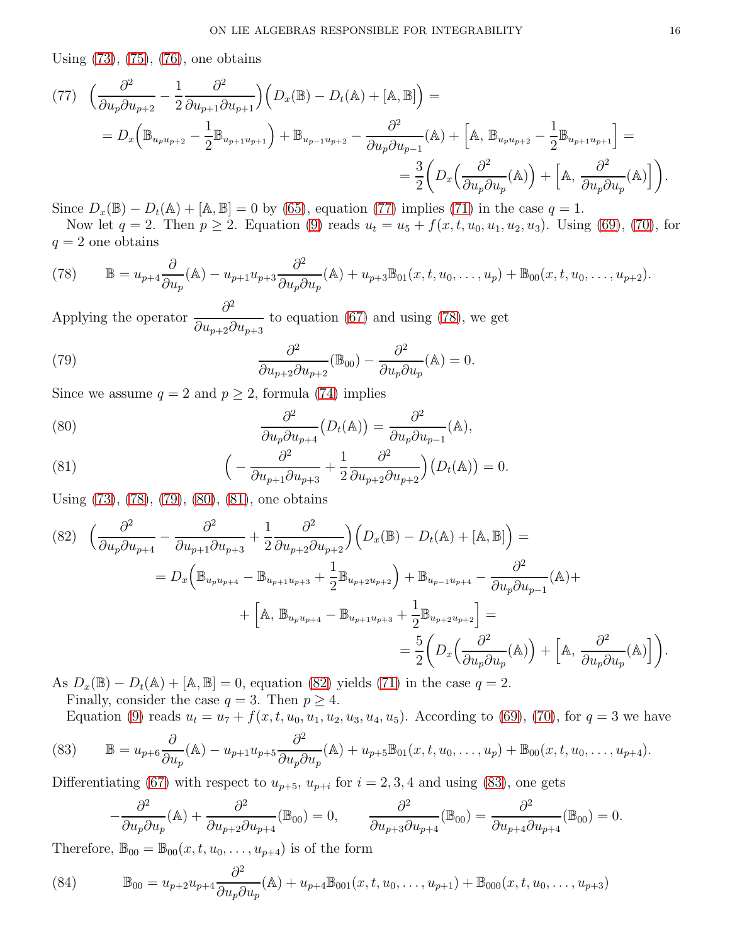Using [\(73\)](#page-14-4), [\(75\)](#page-14-5), [\(76\)](#page-14-6), one obtains

<span id="page-15-0"></span>
$$
(77) \quad \left(\frac{\partial^2}{\partial u_p \partial u_{p+2}} - \frac{1}{2} \frac{\partial^2}{\partial u_{p+1} \partial u_{p+1}}\right) \left(D_x(\mathbb{B}) - D_t(\mathbb{A}) + [\mathbb{A}, \mathbb{B}]\right) =
$$
\n
$$
= D_x \left(\mathbb{B}_{u_p u_{p+2}} - \frac{1}{2} \mathbb{B}_{u_{p+1} u_{p+1}}\right) + \mathbb{B}_{u_{p-1} u_{p+2}} - \frac{\partial^2}{\partial u_p \partial u_{p-1}}(\mathbb{A}) + \left[\mathbb{A}, \mathbb{B}_{u_p u_{p+2}} - \frac{1}{2} \mathbb{B}_{u_{p+1} u_{p+1}}\right] =
$$
\n
$$
= \frac{3}{2} \left(D_x \left(\frac{\partial^2}{\partial u_p \partial u_p}(\mathbb{A})\right) + \left[\mathbb{A}, \frac{\partial^2}{\partial u_p \partial u_p}(\mathbb{A})\right]\right).
$$

Since  $D_x(\mathbb{B}) - D_t(\mathbb{A}) + [\mathbb{A}, \mathbb{B}] = 0$  by [\(65\)](#page-13-6), equation [\(77\)](#page-15-0) implies [\(71\)](#page-14-7) in the case  $q = 1$ .

Now let  $q = 2$ . Then  $p \ge 2$ . Equation [\(9\)](#page-3-1) reads  $u_t = u_5 + f(x, t, u_0, u_1, u_2, u_3)$ . Using [\(69\)](#page-14-0), [\(70\)](#page-14-2), for  $q = 2$  one obtains

<span id="page-15-1"></span>(78) 
$$
\mathbb{B} = u_{p+4} \frac{\partial}{\partial u_p} (\mathbb{A}) - u_{p+1} u_{p+3} \frac{\partial^2}{\partial u_p \partial u_p} (\mathbb{A}) + u_{p+3} \mathbb{B}_{01}(x, t, u_0, \dots, u_p) + \mathbb{B}_{00}(x, t, u_0, \dots, u_{p+2}).
$$

Applying the operator  $\frac{\partial^2}{\partial x^2}$  $\partial u_{p+2}\partial u_{p+3}$ to equation [\(67\)](#page-13-7) and using [\(78\)](#page-15-1), we get

<span id="page-15-2"></span>(79) 
$$
\frac{\partial^2}{\partial u_{p+2}\partial u_{p+2}}(\mathbb{B}_{00}) - \frac{\partial^2}{\partial u_p\partial u_p}(\mathbb{A}) = 0.
$$

Since we assume  $q = 2$  and  $p \ge 2$ , formula [\(74\)](#page-14-3) implies

<span id="page-15-3"></span>(80) 
$$
\frac{\partial^2}{\partial u_p \partial u_{p+4}} \left( D_t(\mathbb{A}) \right) = \frac{\partial^2}{\partial u_p \partial u_{p-1}} (\mathbb{A}),
$$

<span id="page-15-4"></span>(81) 
$$
\left(-\frac{\partial^2}{\partial u_{p+1}\partial u_{p+3}}+\frac{1}{2}\frac{\partial^2}{\partial u_{p+2}\partial u_{p+2}}\right)(D_t(\mathbb{A}))=0.
$$

Using [\(73\)](#page-14-4), [\(78\)](#page-15-1), [\(79\)](#page-15-2), [\(80\)](#page-15-3), [\(81\)](#page-15-4), one obtains

<span id="page-15-5"></span>
$$
(82) \quad \left(\frac{\partial^2}{\partial u_p \partial u_{p+4}} - \frac{\partial^2}{\partial u_{p+1} \partial u_{p+3}} + \frac{1}{2} \frac{\partial^2}{\partial u_{p+2} \partial u_{p+2}}\right) \left(D_x(\mathbb{B}) - D_t(\mathbb{A}) + [\mathbb{A}, \mathbb{B}]\right) =
$$
  
\n
$$
= D_x \left(\mathbb{B}_{u_p u_{p+4}} - \mathbb{B}_{u_{p+1} u_{p+3}} + \frac{1}{2} \mathbb{B}_{u_{p+2} u_{p+2}}\right) + \mathbb{B}_{u_{p-1} u_{p+4}} - \frac{\partial^2}{\partial u_p \partial u_{p-1}}(\mathbb{A}) +
$$
  
\n
$$
+ \left[\mathbb{A}, \mathbb{B}_{u_p u_{p+4}} - \mathbb{B}_{u_{p+1} u_{p+3}} + \frac{1}{2} \mathbb{B}_{u_{p+2} u_{p+2}}\right] =
$$
  
\n
$$
= \frac{5}{2} \left(D_x \left(\frac{\partial^2}{\partial u_p \partial u_p}(\mathbb{A})\right) + \left[\mathbb{A}, \frac{\partial^2}{\partial u_p \partial u_p}(\mathbb{A})\right]\right).
$$

As  $D_x(\mathbb{B}) - D_t(\mathbb{A}) + [\mathbb{A}, \mathbb{B}] = 0$ , equation [\(82\)](#page-15-5) yields [\(71\)](#page-14-7) in the case  $q = 2$ .

Finally, consider the case  $q = 3$ . Then  $p \geq 4$ .

<span id="page-15-6"></span>Equation [\(9\)](#page-3-1) reads  $u_t = u_7 + f(x, t, u_0, u_1, u_2, u_3, u_4, u_5)$ . According to [\(69\)](#page-14-0), [\(70\)](#page-14-2), for  $q = 3$  we have

(83) 
$$
\mathbb{B} = u_{p+6} \frac{\partial}{\partial u_p} (A) - u_{p+1} u_{p+5} \frac{\partial^2}{\partial u_p \partial u_p} (A) + u_{p+5} \mathbb{B}_{01}(x, t, u_0, \dots, u_p) + \mathbb{B}_{00}(x, t, u_0, \dots, u_{p+4}).
$$

Differentiating [\(67\)](#page-13-7) with respect to  $u_{p+5}$ ,  $u_{p+i}$  for  $i = 2, 3, 4$  and using [\(83\)](#page-15-6), one gets

$$
-\frac{\partial^2}{\partial u_p \partial u_p}(\mathbb{A}) + \frac{\partial^2}{\partial u_{p+2} \partial u_{p+4}}(\mathbb{B}_{00}) = 0, \qquad \frac{\partial^2}{\partial u_{p+3} \partial u_{p+4}}(\mathbb{B}_{00}) = \frac{\partial^2}{\partial u_{p+4} \partial u_{p+4}}(\mathbb{B}_{00}) = 0.
$$

Therefore,  $\mathbb{B}_{00} = \mathbb{B}_{00}(x, t, u_0, \dots, u_{p+4})$  is of the form

<span id="page-15-7"></span>(84) 
$$
\mathbb{B}_{00} = u_{p+2}u_{p+4}\frac{\partial^2}{\partial u_p \partial u_p}(\mathbb{A}) + u_{p+4} \mathbb{B}_{001}(x, t, u_0, \dots, u_{p+1}) + \mathbb{B}_{000}(x, t, u_0, \dots, u_{p+3})
$$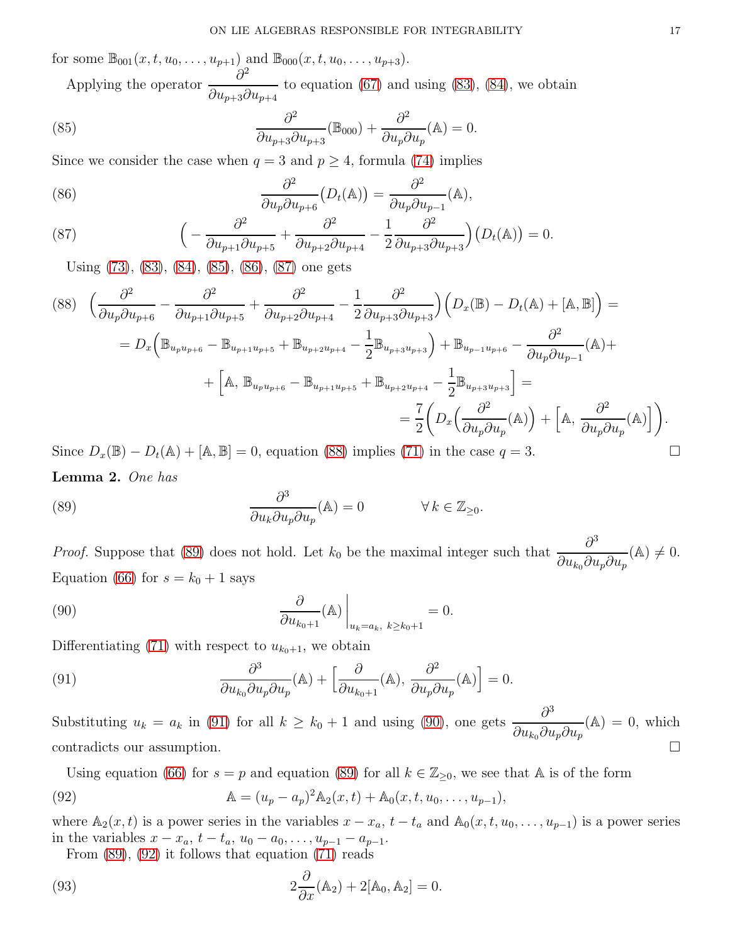for some  $\mathbb{B}_{001}(x, t, u_0, \ldots, u_{p+1})$  and  $\mathbb{B}_{000}(x, t, u_0, \ldots, u_{p+3})$ . Applying the operator  $\frac{\partial^2}{\partial \theta^2}$ 

<span id="page-16-0"></span> $\partial u_{p+3}\partial u_{p+4}$ to equation  $(67)$  and using  $(83)$ ,  $(84)$ , we obtain

(85) 
$$
\frac{\partial^2}{\partial u_{p+3}\partial u_{p+3}}(\mathbb{B}_{000}) + \frac{\partial^2}{\partial u_p \partial u_p}(\mathbb{A}) = 0.
$$

Since we consider the case when  $q = 3$  and  $p \ge 4$ , formula [\(74\)](#page-14-3) implies

<span id="page-16-1"></span>(86) 
$$
\frac{\partial^2}{\partial u_p \partial u_{p+6}} (D_t(\mathbb{A})) = \frac{\partial^2}{\partial u_p \partial u_{p-1}} (\mathbb{A}),
$$

<span id="page-16-2"></span>(87) 
$$
\left(-\frac{\partial^2}{\partial u_{p+1}\partial u_{p+5}} + \frac{\partial^2}{\partial u_{p+2}\partial u_{p+4}} - \frac{1}{2}\frac{\partial^2}{\partial u_{p+3}\partial u_{p+3}}\right)(D_t(\mathbb{A})) = 0.
$$

Using [\(73\)](#page-14-4), [\(83\)](#page-15-6), [\(84\)](#page-15-7), [\(85\)](#page-16-0), [\(86\)](#page-16-1), [\(87\)](#page-16-2) one gets

<span id="page-16-3"></span>
$$
(88) \quad \left(\frac{\partial^2}{\partial u_p \partial u_{p+6}} - \frac{\partial^2}{\partial u_{p+1} \partial u_{p+5}} + \frac{\partial^2}{\partial u_{p+2} \partial u_{p+4}} - \frac{1}{2} \frac{\partial^2}{\partial u_{p+3} \partial u_{p+3}}\right) \left(D_x(\mathbb{B}) - D_t(\mathbb{A}) + [\mathbb{A}, \mathbb{B}]\right) =
$$
  
\n
$$
= D_x \left(\mathbb{B}_{u_p u_{p+6}} - \mathbb{B}_{u_{p+1} u_{p+5}} + \mathbb{B}_{u_{p+2} u_{p+4}} - \frac{1}{2} \mathbb{B}_{u_{p+3} u_{p+3}}\right) + \mathbb{B}_{u_{p-1} u_{p+6}} - \frac{\partial^2}{\partial u_p \partial u_{p-1}}(\mathbb{A}) +
$$
  
\n
$$
+ \left[\mathbb{A}, \mathbb{B}_{u_p u_{p+6}} - \mathbb{B}_{u_{p+1} u_{p+5}} + \mathbb{B}_{u_{p+2} u_{p+4}} - \frac{1}{2} \mathbb{B}_{u_{p+3} u_{p+3}}\right] =
$$
  
\n
$$
= \frac{7}{2} \left(D_x \left(\frac{\partial^2}{\partial u_p \partial u_p}(\mathbb{A})\right) + \left[\mathbb{A}, \frac{\partial^2}{\partial u_p \partial u_p}(\mathbb{A})\right]\right).
$$

Since  $D_x(\mathbb{B}) - D_t(\mathbb{A}) + [\mathbb{A}, \mathbb{B}] = 0$ , equation [\(88\)](#page-16-3) implies [\(71\)](#page-14-7) in the case  $q = 3$ . Lemma 2. One has

<span id="page-16-4"></span>(89) 
$$
\frac{\partial^3}{\partial u_k \partial u_p \partial u_p}(\mathbb{A}) = 0 \qquad \forall k \in \mathbb{Z}_{\geq 0}.
$$

*Proof.* Suppose that [\(89\)](#page-16-4) does not hold. Let  $k_0$  be the maximal integer such that  $\frac{\partial^3}{\partial x^2}$  $\partial u_{k_0}\partial u_p\partial u_p$  $(A) \neq 0.$ Equation [\(66\)](#page-13-9) for  $s = k_0 + 1$  says

<span id="page-16-6"></span>(90) 
$$
\left.\frac{\partial}{\partial u_{k_0+1}}(\mathbb{A})\right|_{u_k=a_k, k\geq k_0+1}=0.
$$

Differentiating [\(71\)](#page-14-7) with respect to  $u_{k_0+1}$ , we obtain

<span id="page-16-5"></span>(91) 
$$
\frac{\partial^3}{\partial u_{k_0} \partial u_p \partial u_p}(\mathbb{A}) + \left[ \frac{\partial}{\partial u_{k_0+1}}(\mathbb{A}), \frac{\partial^2}{\partial u_p \partial u_p}(\mathbb{A}) \right] = 0.
$$

Substituting  $u_k = a_k$  in [\(91\)](#page-16-5) for all  $k \geq k_0 + 1$  and using [\(90\)](#page-16-6), one gets  $\frac{\partial^3}{\partial x_k}$  ${\partial u_{k_0} \partial u_p \partial u_p}$  $(A) = 0$ , which contradicts our assumption.

Using equation [\(66\)](#page-13-9) for  $s = p$  and equation [\(89\)](#page-16-4) for all  $k \in \mathbb{Z}_{\geq 0}$ , we see that A is of the form

(92) 
$$
\mathbb{A} = (u_p - a_p)^2 \mathbb{A}_2(x, t) + \mathbb{A}_0(x, t, u_0, \dots, u_{p-1}),
$$

where  $\mathbb{A}_2(x,t)$  is a power series in the variables  $x - x_a$ ,  $t - t_a$  and  $\mathbb{A}_0(x,t,u_0,\ldots,u_{p-1})$  is a power series in the variables  $x - x_a$ ,  $t - t_a$ ,  $u_0 - a_0$ , ...,  $u_{p-1} - a_{p-1}$ .

<span id="page-16-8"></span><span id="page-16-7"></span>From [\(89\)](#page-16-4), [\(92\)](#page-16-7) it follows that equation [\(71\)](#page-14-7) reads

(93) 
$$
2\frac{\partial}{\partial x}(\mathbb{A}_2) + 2[\mathbb{A}_0, \mathbb{A}_2] = 0.
$$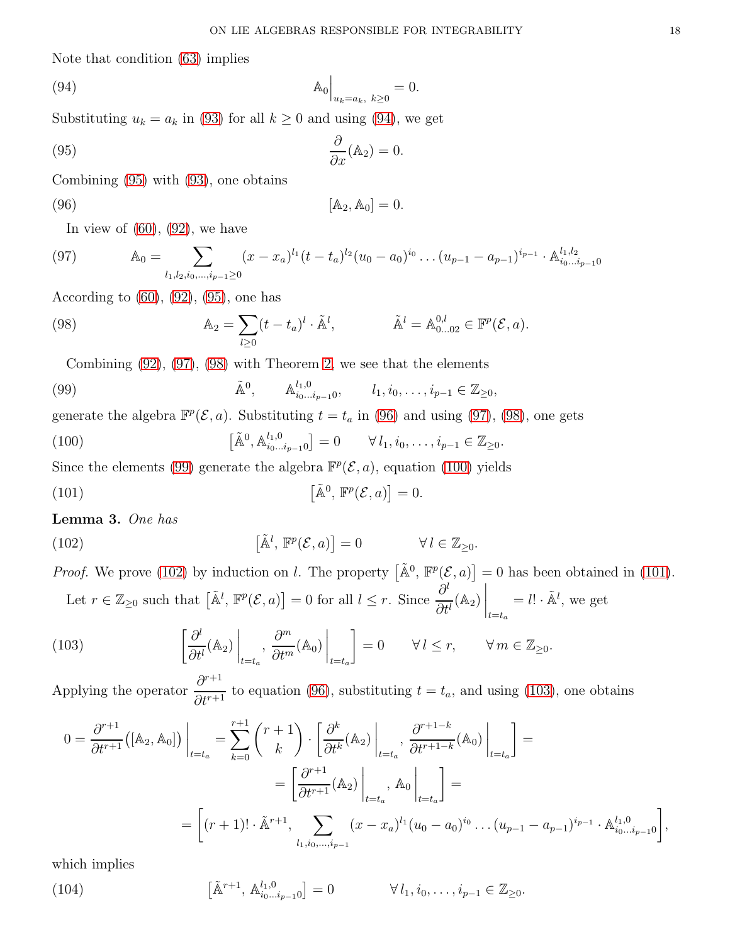Note that condition [\(63\)](#page-13-3) implies

<span id="page-17-0"></span>(94) 
$$
\mathbb{A}_0 \Big|_{u_k = a_k, k \ge 0} = 0.
$$

Substituting  $u_k = a_k$  in [\(93\)](#page-16-8) for all  $k \ge 0$  and using [\(94\)](#page-17-0), we get

<span id="page-17-1"></span>(95) 
$$
\frac{\partial}{\partial x}(\mathbb{A}_2) = 0.
$$

Combining [\(95\)](#page-17-1) with [\(93\)](#page-16-8), one obtains

$$
[A_2, A_0] = 0.
$$

<span id="page-17-4"></span><span id="page-17-2"></span>In view of  $(60)$ ,  $(92)$ , we have

(97) 
$$
\mathbb{A}_0 = \sum_{l_1, l_2, i_0, \dots, i_{p-1} \ge 0} (x - x_a)^{l_1} (t - t_a)^{l_2} (u_0 - a_0)^{i_0} \dots (u_{p-1} - a_{p-1})^{i_{p-1}} \cdot \mathbb{A}_{i_0 \dots i_{p-1} 0}^{l_1, l_2}
$$

According to  $(60)$ ,  $(92)$ ,  $(95)$ , one has

(98) 
$$
\mathbb{A}_2 = \sum_{l \geq 0} (t - t_a)^l \cdot \tilde{\mathbb{A}}^l, \qquad \tilde{\mathbb{A}}^l = \mathbb{A}_{0...02}^{0,l} \in \mathbb{F}^p(\mathcal{E}, a).
$$

<span id="page-17-5"></span><span id="page-17-3"></span>Combining [\(92\)](#page-16-7), [\(97\)](#page-17-2), [\(98\)](#page-17-3) with Theorem [2,](#page-12-2) we see that the elements

(99) 
$$
\tilde{A}^0
$$
,  $A^{l_1,0}_{i_0...i_{p-1}0}$ ,  $l_1, i_0,..., i_{p-1} \in \mathbb{Z}_{\geq 0}$ ,

generate the algebra  $\mathbb{F}^p(\mathcal{E}, a)$ . Substituting  $t = t_a$  in [\(96\)](#page-17-4) and using [\(97\)](#page-17-2), [\(98\)](#page-17-3), one gets

<span id="page-17-6"></span>(100) 
$$
\left[\tilde{A}^0, A_{i_0...i_{p-1}0}^{l_1,0}\right] = 0 \qquad \forall l_1, i_0,..., i_{p-1} \in \mathbb{Z}_{\geq 0}.
$$

Since the elements [\(99\)](#page-17-5) generate the algebra  $\mathbb{F}^p(\mathcal{E}, a)$ , equation [\(100\)](#page-17-6) yields

<span id="page-17-8"></span>(101) 
$$
\left[\tilde{\mathbb{A}}^0, \mathbb{F}^p(\mathcal{E}, a)\right] = 0.
$$

Lemma 3. One has

(102) 
$$
\left[\tilde{\mathbb{A}}^l, \mathbb{F}^p(\mathcal{E}, a)\right] = 0 \qquad \forall l \in \mathbb{Z}_{\geq 0}.
$$

<span id="page-17-7"></span>*Proof.* We prove [\(102\)](#page-17-7) by induction on l. The property  $[\tilde{\mathbb{A}}^0, \mathbb{F}^p(\mathcal{E}, a)] = 0$  has been obtained in [\(101\)](#page-17-8). Let  $r \in \mathbb{Z}_{\geq 0}$  such that  $\left[\tilde{\mathbb{A}}^l, \mathbb{F}^p(\mathcal{E}, a)\right] = 0$  for all  $l \leq r$ . Since  $\frac{\partial^l}{\partial t^l}$  $\partial t^l$  $(\mathbb{A}_2)$ <sub> $\Big|_{t=t_a}$ </sub>  $=$   $l! \cdot \tilde{\mathbb{A}}^l$ , we get

<span id="page-17-9"></span>(103) 
$$
\left[\frac{\partial^l}{\partial t^l}(\mathbb{A}_2)\bigg|_{t=t_a}, \frac{\partial^m}{\partial t^m}(\mathbb{A}_0)\bigg|_{t=t_a}\right] = 0 \qquad \forall l \leq r, \qquad \forall m \in \mathbb{Z}_{\geq 0}.
$$

Applying the operator  $\frac{\partial^{r+1}}{\partial^{r+1}}$  $\frac{\partial}{\partial t^{r+1}}$  to equation [\(96\)](#page-17-4), substituting  $t = t_a$ , and using [\(103\)](#page-17-9), one obtains

$$
0 = \frac{\partial^{r+1}}{\partial t^{r+1}}([\mathbb{A}_2, \mathbb{A}_0])\Big|_{t=t_a} = \sum_{k=0}^{r+1} {r+1 \choose k} \cdot \left[\frac{\partial^k}{\partial t^k}(\mathbb{A}_2)\Big|_{t=t_a}, \frac{\partial^{r+1-k}}{\partial t^{r+1-k}}(\mathbb{A}_0)\Big|_{t=t_a}\right] =
$$
  

$$
= \left[\frac{\partial^{r+1}}{\partial t^{r+1}}(\mathbb{A}_2)\Big|_{t=t_a}, \mathbb{A}_0\Big|_{t=t_a}\right] =
$$
  

$$
= \left[(r+1)! \cdot \tilde{\mathbb{A}}^{r+1}, \sum_{l_1, i_0, \dots, i_{p-1}} (x - x_a)^{l_1} (u_0 - a_0)^{i_0} \dots (u_{p-1} - a_{p-1})^{i_{p-1}} \cdot \mathbb{A}_{i_0 \dots i_{p-1} 0}^{l_1, 0}\right],
$$

which implies

<span id="page-17-10"></span>(104) 
$$
\left[\tilde{A}^{r+1}, A_{i_0...i_{p-1}0}^{l_1,0}\right] = 0 \qquad \forall l_1, i_0,..., i_{p-1} \in \mathbb{Z}_{\geq 0}.
$$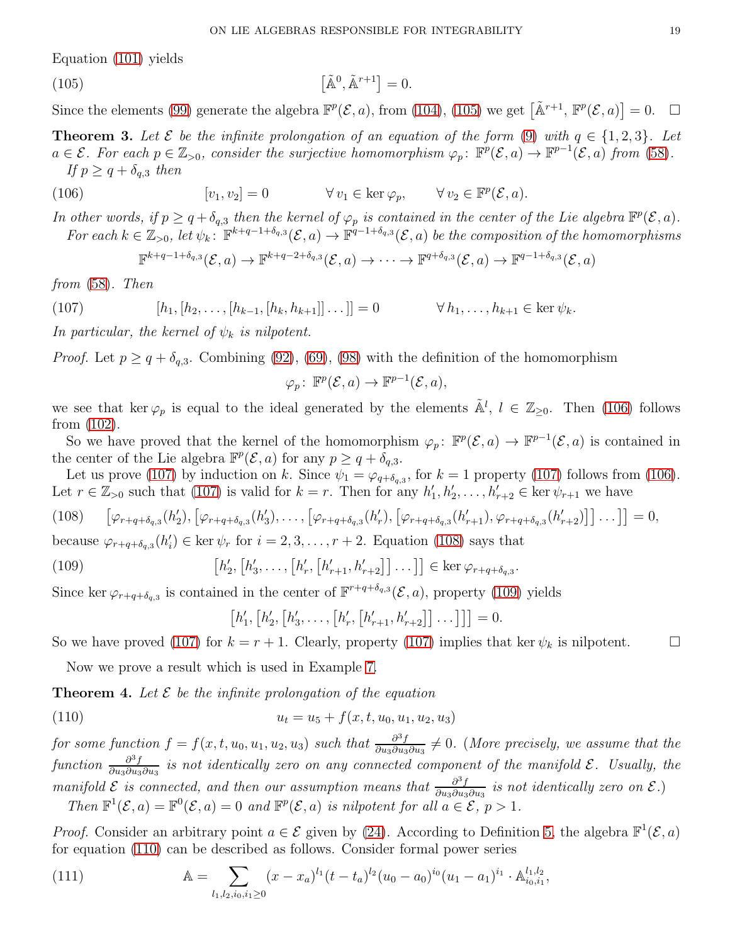Equation [\(101\)](#page-17-8) yields

(105) 
$$
\left[\tilde{\mathbb{A}}^0, \tilde{\mathbb{A}}^{r+1}\right] = 0.
$$

Since the elements [\(99\)](#page-17-5) generate the algebra  $\mathbb{F}^p(\mathcal{E}, a)$ , from [\(104\)](#page-17-10), [\(105\)](#page-18-1) we get  $[\tilde{\mathbb{A}}^{r+1}, \mathbb{F}^p(\mathcal{E}, a)] = 0$ .  $\Box$ 

<span id="page-18-0"></span>**Theorem 3.** Let  $\mathcal{E}$  be the infinite prolongation of an equation of the form [\(9\)](#page-3-1) with  $q \in \{1,2,3\}$ . Let  $a \in \mathcal{E}$ . For each  $p \in \mathbb{Z}_{>0}$ , consider the surjective homomorphism  $\varphi_p \colon \mathbb{F}^p(\mathcal{E},a) \to \mathbb{F}^{p-1}(\mathcal{E},a)$  from [\(58\)](#page-13-1). If  $p \geq q + \delta_{q,3}$  then

(106) 
$$
[v_1, v_2] = 0 \qquad \forall v_1 \in \ker \varphi_p, \qquad \forall v_2 \in \mathbb{F}^p(\mathcal{E}, a).
$$

In other words, if  $p \geq q + \delta_{q,3}$  then the kernel of  $\varphi_p$  is contained in the center of the Lie algebra  $\mathbb{F}^p(\mathcal{E},a)$ . For each  $k \in \mathbb{Z}_{>0}$ , let  $\psi_k$ :  $\mathbb{F}^{k+q-1+\delta_{q,3}}(\mathcal{E},a) \to \mathbb{F}^{q-1+\delta_{q,3}}(\mathcal{E},a)$  be the composition of the homomorphisms

<span id="page-18-3"></span><span id="page-18-2"></span><span id="page-18-1"></span>
$$
\mathbb{F}^{k+q-1+\delta_{q,3}}(\mathcal{E},a)\to \mathbb{F}^{k+q-2+\delta_{q,3}}(\mathcal{E},a)\to\cdots\to \mathbb{F}^{q+\delta_{q,3}}(\mathcal{E},a)\to \mathbb{F}^{q-1+\delta_{q,3}}(\mathcal{E},a)
$$

from [\(58\)](#page-13-1). Then

(107) 
$$
[h_1, [h_2, \ldots, [h_{k-1}, [h_k, h_{k+1}]] \ldots]] = 0 \qquad \forall h_1, \ldots, h_{k+1} \in \ker \psi_k.
$$

In particular, the kernel of  $\psi_k$  is nilpotent.

*Proof.* Let  $p \ge q + \delta_{q,3}$ . Combining [\(92\)](#page-16-7), [\(69\)](#page-14-0), [\(98\)](#page-17-3) with the definition of the homomorphism

$$
\varphi_p\colon\,\mathbb{F}^p(\mathcal{E},a)\to\mathbb{F}^{p-1}(\mathcal{E},a),
$$

we see that ker  $\varphi_p$  is equal to the ideal generated by the elements  $\tilde{\mathbb{A}}^l$ ,  $l \in \mathbb{Z}_{\geq 0}$ . Then [\(106\)](#page-18-2) follows from [\(102\)](#page-17-7).

So we have proved that the kernel of the homomorphism  $\varphi_p: \mathbb{F}^p(\mathcal{E}, a) \to \mathbb{F}^{p-1}(\mathcal{E}, a)$  is contained in the center of the Lie algebra  $\mathbb{F}^p(\mathcal{E}, a)$  for any  $p \geq q + \delta_{q,3}$ .

Let us prove [\(107\)](#page-18-3) by induction on k. Since  $\psi_1 = \varphi_{q+\delta_{q,3}}$ , for  $k = 1$  property (107) follows from [\(106\)](#page-18-2). Let  $r \in \mathbb{Z}_{>0}$  such that [\(107\)](#page-18-3) is valid for  $k = r$ . Then for any  $h'_1, h'_2, \ldots, h'_{r+2} \in \ker \psi_{r+1}$  we have

<span id="page-18-4"></span>
$$
(108) \qquad [\varphi_{r+q+\delta_{q,3}}(h'_2), [\varphi_{r+q+\delta_{q,3}}(h'_3), \ldots, [\varphi_{r+q+\delta_{q,3}}(h'_r), [\varphi_{r+q+\delta_{q,3}}(h'_{r+1}), \varphi_{r+q+\delta_{q,3}}(h'_{r+2})]] \ldots]] = 0,
$$

because  $\varphi_{r+q+\delta_{q,3}}(h'_i) \in \text{ker } \psi_r$  for  $i = 2, 3, \ldots, r+2$ . Equation [\(108\)](#page-18-4) says that

(109) 
$$
[h'_2, [h'_3, \ldots, [h'_r, [h'_{r+1}, h'_{r+2}]] \ldots]] \in \ker \varphi_{r+q+\delta_{q,3}}.
$$

Since ker  $\varphi_{r+q+\delta_{q,3}}$  is contained in the center of  $\mathbb{F}^{r+q+\delta_{q,3}}(\mathcal{E},a)$ , property [\(109\)](#page-18-5) yields

<span id="page-18-6"></span><span id="page-18-5"></span>
$$
[h'_1, [h'_2, [h'_3, \ldots, [h'_r, [h'_{r+1}, h'_{r+2}]] \ldots]]] = 0.
$$

So we have proved [\(107\)](#page-18-3) for  $k = r + 1$ . Clearly, property (107) implies that ker  $\psi_k$  is nilpotent.

Now we prove a result which is used in Example [7.](#page-24-1)

<span id="page-18-8"></span>**Theorem 4.** Let  $\mathcal{E}$  be the infinite prolongation of the equation

(110) 
$$
u_t = u_5 + f(x, t, u_0, u_1, u_2, u_3)
$$

for some function  $f = f(x, t, u_0, u_1, u_2, u_3)$  such that  $\frac{\partial^3 f}{\partial u_0 \partial u_3}$  $\frac{\partial^{\alpha} f}{\partial u_3 \partial u_3 \partial u_3} \neq 0$ . (More precisely, we assume that the function  $\frac{\partial^3 f}{\partial u_2 \partial u_3}$  $\frac{\partial^{\alpha} f}{\partial u_3 \partial u_3 \partial u_3}$  is not identically zero on any connected component of the manifold  $\mathcal{E}$ . Usually, the manifold  $\mathcal{E}$  is connected, and then our assumption means that  $\frac{\partial^3 f}{\partial w \partial w}$  $\frac{\partial^{\sigma} f}{\partial u_3 \partial u_3 \partial u_3}$  is not identically zero on  $\mathcal{E}.$ ) Then  $\mathbb{F}^1(\mathcal{E}, a) = \mathbb{F}^0(\mathcal{E}, a) = 0$  and  $\mathbb{F}^p(\mathcal{E}, a)$  is nilpotent for all  $a \in \mathcal{E}, p > 1$ .

*Proof.* Consider an arbitrary point  $a \in \mathcal{E}$  given by [\(24\)](#page-8-3). According to Definition [5,](#page-11-5) the algebra  $\mathbb{F}^1(\mathcal{E}, a)$ for equation [\(110\)](#page-18-6) can be described as follows. Consider formal power series

<span id="page-18-7"></span>(111) 
$$
\mathbb{A} = \sum_{l_1, l_2, i_0, i_1 \geq 0} (x - x_a)^{l_1} (t - t_a)^{l_2} (u_0 - a_0)^{i_0} (u_1 - a_1)^{i_1} \cdot \mathbb{A}_{i_0, i_1}^{l_1, l_2},
$$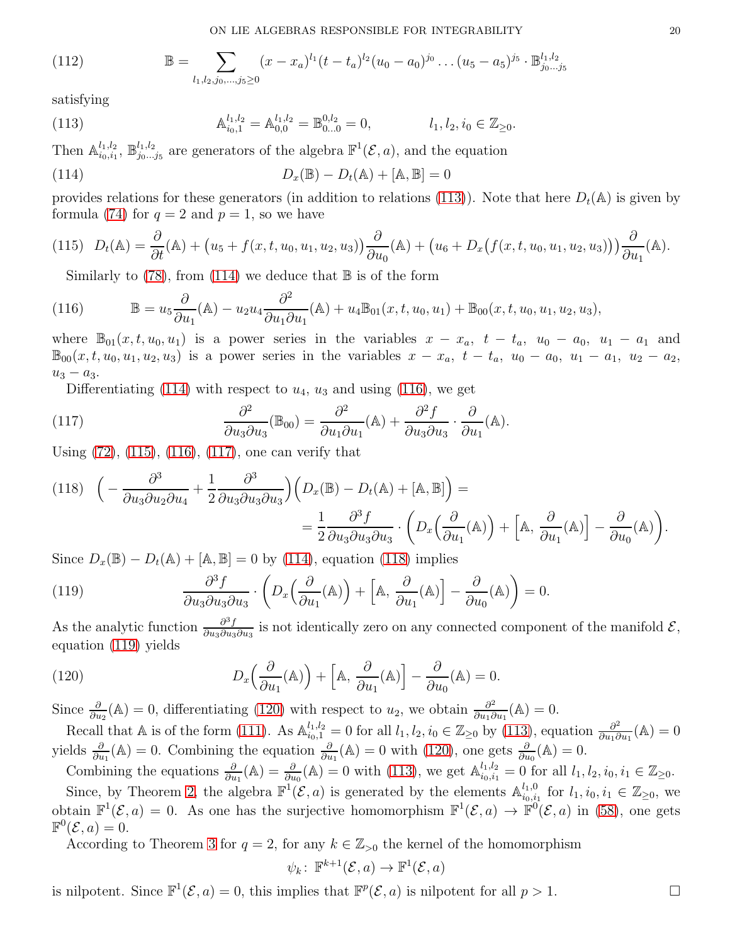(112) 
$$
\mathbb{B} = \sum_{l_1, l_2, j_0, \dots, j_5 \ge 0} (x - x_a)^{l_1} (t - t_a)^{l_2} (u_0 - a_0)^{j_0} \dots (u_5 - a_5)^{j_5} \cdot \mathbb{B}_{j_0 \dots j_5}^{l_1, l_2}
$$

satisfying

<span id="page-19-0"></span>(113) 
$$
\mathbb{A}_{i_0,1}^{l_1,l_2} = \mathbb{A}_{0,0}^{l_1,l_2} = \mathbb{B}_{0...0}^{0,l_2} = 0, \qquad l_1, l_2, i_0 \in \mathbb{Z}_{\geq 0}.
$$

Then  $\mathbb{A}_{i_0,i_1}^{l_1,l_2}$  $\frac{l_1, l_2}{i_0, i_1}, \mathbb{B}^{l_1, l_2}_{j_0...}$  $j_{0}^{l_1,l_2}$  are generators of the algebra  $\mathbb{F}^1(\mathcal{E},a)$ , and the equation

<span id="page-19-1"></span>(114) 
$$
D_x(\mathbb{B}) - D_t(\mathbb{A}) + [\mathbb{A}, \mathbb{B}] = 0
$$

provides relations for these generators (in addition to relations [\(113\)](#page-19-0)). Note that here  $D_t(\mathbb{A})$  is given by formula [\(74\)](#page-14-3) for  $q = 2$  and  $p = 1$ , so we have

<span id="page-19-3"></span>(115) 
$$
D_t(\mathbb{A}) = \frac{\partial}{\partial t}(\mathbb{A}) + (u_5 + f(x, t, u_0, u_1, u_2, u_3)) \frac{\partial}{\partial u_0}(\mathbb{A}) + (u_6 + D_x(f(x, t, u_0, u_1, u_2, u_3))) \frac{\partial}{\partial u_1}(\mathbb{A}).
$$

<span id="page-19-2"></span>Similarly to  $(78)$ , from  $(114)$  we deduce that  $\mathbb B$  is of the form

(116) 
$$
\mathbb{B} = u_5 \frac{\partial}{\partial u_1}(\mathbb{A}) - u_2 u_4 \frac{\partial^2}{\partial u_1 \partial u_1}(\mathbb{A}) + u_4 \mathbb{B}_{01}(x, t, u_0, u_1) + \mathbb{B}_{00}(x, t, u_0, u_1, u_2, u_3),
$$

where  $\mathbb{B}_{01}(x, t, u_0, u_1)$  is a power series in the variables  $x - x_a$ ,  $t - t_a$ ,  $u_0 - a_0$ ,  $u_1 - a_1$  and  $\mathbb{B}_{00}(x, t, u_0, u_1, u_2, u_3)$  is a power series in the variables  $x - x_a$ ,  $t - t_a$ ,  $u_0 - a_0$ ,  $u_1 - a_1$ ,  $u_2 - a_2$ ,  $u_3 - a_3$ .

<span id="page-19-4"></span>Differentiating [\(114\)](#page-19-1) with respect to  $u_4$ ,  $u_3$  and using [\(116\)](#page-19-2), we get

(117) 
$$
\frac{\partial^2}{\partial u_3 \partial u_3} (\mathbb{B}_{00}) = \frac{\partial^2}{\partial u_1 \partial u_1} (\mathbb{A}) + \frac{\partial^2 f}{\partial u_3 \partial u_3} \cdot \frac{\partial}{\partial u_1} (\mathbb{A}).
$$

Using [\(72\)](#page-14-1), [\(115\)](#page-19-3), [\(116\)](#page-19-2), [\(117\)](#page-19-4), one can verify that

<span id="page-19-5"></span>(118) 
$$
\left(-\frac{\partial^3}{\partial u_3 \partial u_2 \partial u_4} + \frac{1}{2} \frac{\partial^3}{\partial u_3 \partial u_3 \partial u_3}\right) \left(D_x(\mathbb{B}) - D_t(\mathbb{A}) + [\mathbb{A}, \mathbb{B}]\right) =
$$
  

$$
= \frac{1}{2} \frac{\partial^3 f}{\partial u_3 \partial u_3 \partial u_3} \cdot \left(D_x\left(\frac{\partial}{\partial u_1}(\mathbb{A})\right) + [\mathbb{A}, \frac{\partial}{\partial u_1}(\mathbb{A})] - \frac{\partial}{\partial u_0}(\mathbb{A})\right).
$$

Since  $D_x(\mathbb{B}) - D_t(\mathbb{A}) + [\mathbb{A}, \mathbb{B}] = 0$  by [\(114\)](#page-19-1), equation [\(118\)](#page-19-5) implies

<span id="page-19-6"></span>(119) 
$$
\frac{\partial^3 f}{\partial u_3 \partial u_3 \partial u_3} \cdot \left( D_x \left( \frac{\partial}{\partial u_1} (\mathbb{A}) \right) + \left[ \mathbb{A}, \frac{\partial}{\partial u_1} (\mathbb{A}) \right] - \frac{\partial}{\partial u_0} (\mathbb{A}) \right) = 0.
$$

As the analytic function  $\frac{\partial^3 f}{\partial u \partial u \partial u}$  $\frac{\partial^{\alpha} J}{\partial u_3 \partial u_3 \partial u_3}$  is not identically zero on any connected component of the manifold  $\mathcal{E},$ equation [\(119\)](#page-19-6) yields

<span id="page-19-7"></span>(120) 
$$
D_x\left(\frac{\partial}{\partial u_1}(\mathbb{A})\right) + \left[\mathbb{A}, \frac{\partial}{\partial u_1}(\mathbb{A})\right] - \frac{\partial}{\partial u_0}(\mathbb{A}) = 0.
$$

Since  $\frac{\partial}{\partial u_2}(\mathbb{A})=0$ , differentiating [\(120\)](#page-19-7) with respect to  $u_2$ , we obtain  $\frac{\partial^2}{\partial u_1 \partial u_2}$  $\frac{\partial^2}{\partial u_1 \partial u_1}(\mathbb{A}) = 0.$ 

Recall that A is of the form [\(111\)](#page-18-7). As  $\mathbb{A}_{i_0,1}^{l_1,l_2} = 0$  for all  $l_1, l_2, i_0 \in \mathbb{Z}_{\geq 0}$  by [\(113\)](#page-19-0), equation  $\frac{\partial^2}{\partial u_1 \partial u_2}$  $\frac{\partial^2}{\partial u_1 \partial u_1}(\mathbb{A}) = 0$ yields  $\frac{\partial}{\partial u_1}(\mathbb{A}) = 0$ . Combining the equation  $\frac{\partial}{\partial u_1}(\mathbb{A}) = 0$  with [\(120\)](#page-19-7), one gets  $\frac{\partial}{\partial u_0}(\mathbb{A}) = 0$ .

Combining the equations  $\frac{\partial}{\partial u_1}(\mathbb{A}) = \frac{\partial}{\partial u_0}(\mathbb{A}) = 0$  with [\(113\)](#page-19-0), we get  $\mathbb{A}_{i_0, i_1}^{l_1, l_2} = 0$  for all  $l_1, l_2, i_0, i_1 \in \mathbb{Z}_{\geq 0}$ . Since, by Theorem [2,](#page-12-2) the algebra  $\mathbb{F}^1(\mathcal{E}, a)$  is generated by the elements  $\mathbb{A}_{i_0,i}^{l_1,0}$  $i_{i_0,i_1}^{l_1,0}$  for  $l_1, i_0, i_1 \in \mathbb{Z}_{\geq 0}$ , we

obtain  $\mathbb{F}^1(\mathcal{E}, a) = 0$ . As one has the surjective homomorphism  $\mathbb{F}^1(\mathcal{E}, a) \to \mathbb{F}^0(\mathcal{E}, a)$  in [\(58\)](#page-13-1), one gets  $\mathbb{F}^0(\mathcal{E},a)=0.$ 

According to Theorem [3](#page-18-0) for  $q = 2$ , for any  $k \in \mathbb{Z}_{>0}$  the kernel of the homomorphism

$$
\psi_k\colon\,\mathbb F^{k+1}(\mathcal E,a)\to\mathbb F^1(\mathcal E,a)
$$

is nilpotent. Since  $\mathbb{F}^1(\mathcal{E}, a) = 0$ , this implies that  $\mathbb{F}^p(\mathcal{E}, a)$  is nilpotent for all  $p > 1$ .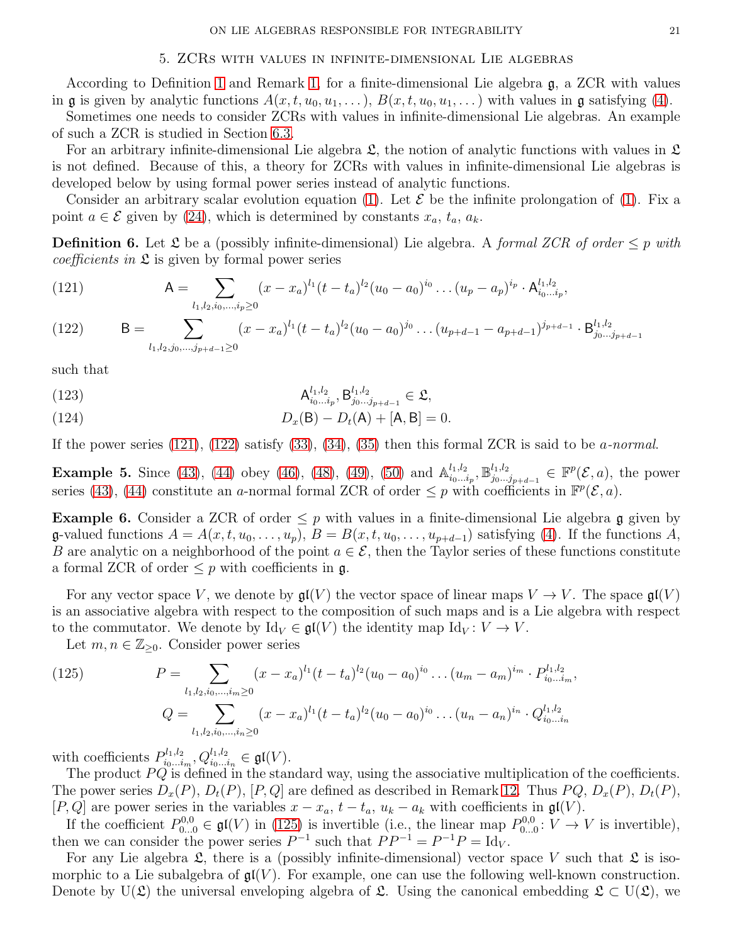### 5. ZCRs with values in infinite-dimensional Lie algebras

<span id="page-20-0"></span>According to Definition [1](#page-1-3) and Remark [1,](#page-1-4) for a finite-dimensional Lie algebra g, a ZCR with values in **g** is given by analytic functions  $A(x, t, u_0, u_1, \ldots), B(x, t, u_0, u_1, \ldots)$  with values in **g** satisfying [\(4\)](#page-1-0).

Sometimes one needs to consider ZCRs with values in infinite-dimensional Lie algebras. An example of such a ZCR is studied in Section [6.3.](#page-26-0)

For an arbitrary infinite-dimensional Lie algebra  $\mathfrak{L}$ , the notion of analytic functions with values in  $\mathfrak{L}$ is not defined. Because of this, a theory for ZCRs with values in infinite-dimensional Lie algebras is developed below by using formal power series instead of analytic functions.

Consider an arbitrary scalar evolution equation [\(1\)](#page-0-0). Let  $\mathcal E$  be the infinite prolongation of (1). Fix a point  $a \in \mathcal{E}$  given by [\(24\)](#page-8-3), which is determined by constants  $x_a, t_a, a_k$ .

<span id="page-20-1"></span>**Definition 6.** Let  $\mathfrak L$  be a (possibly infinite-dimensional) Lie algebra. A formal ZCR of order  $\leq p$  with *coefficients in*  $\mathfrak L$  is given by formal power series

<span id="page-20-2"></span>(121) 
$$
\mathsf{A} = \sum_{l_1,l_2,i_0,\dots,i_p\geq 0} (x-x_a)^{l_1} (t-t_a)^{l_2} (u_0-a_0)^{i_0} \dots (u_p-a_p)^{i_p} \cdot \mathsf{A}_{i_0\dots i_p}^{l_1,l_2},
$$

<span id="page-20-3"></span>(122) 
$$
B = \sum_{l_1, l_2, j_0, \dots, j_{p+d-1} \ge 0} (x - x_a)^{l_1} (t - t_a)^{l_2} (u_0 - a_0)^{j_0} \dots (u_{p+d-1} - a_{p+d-1})^{j_{p+d-1}} \cdot B_{j_0 \dots j_{p+d-1}}^{l_1, l_2}
$$

such that

<span id="page-20-5"></span>(123) 
$$
\mathsf{A}_{i_0...i_p}^{l_1,l_2}, \mathsf{B}_{j_0...j_{p+d-1}}^{l_1,l_2} \in \mathfrak{L},
$$

<span id="page-20-6"></span>(124) 
$$
D_x(B) - D_t(A) + [A, B] = 0.
$$

If the power series  $(121)$ ,  $(122)$  satisfy  $(33)$ ,  $(34)$ ,  $(35)$  then this formal ZCR is said to be *a-normal*.

**Example 5.** Since [\(43\)](#page-11-3), [\(44\)](#page-11-4) obey [\(46\)](#page-11-1), [\(48\)](#page-11-6), [\(49\)](#page-11-7), [\(50\)](#page-11-8) and  $\mathbb{A}_{i_0...i_n}^{l_1,l_2}$  $\{a_1, a_2, \ldots, a_p\}$ ,  $\mathbb{B}_{j_0 \ldots j_p}^{l_1, l_2}$  $j_{0}^{l_{1},l_{2}}_{j_{0}...j_{p+d-1}} \in \mathbb{F}^{p}(\mathcal{E},a)$ , the power series [\(43\)](#page-11-3), [\(44\)](#page-11-4) constitute an a-normal formal ZCR of order  $\leq p$  with coefficients in  $\mathbb{F}^p(\mathcal{E},a)$ .

**Example 6.** Consider a ZCR of order  $\leq p$  with values in a finite-dimensional Lie algebra g given by  $\mathfrak{g}\text{-valued functions } A = A(x, t, u_0, \ldots, u_p), B = B(x, t, u_0, \ldots, u_{p+d-1})$  satisfying [\(4\)](#page-1-0). If the functions A, B are analytic on a neighborhood of the point  $a \in \mathcal{E}$ , then the Taylor series of these functions constitute a formal ZCR of order  $\leq p$  with coefficients in g.

For any vector space V, we denote by  $\mathfrak{gl}(V)$  the vector space of linear maps  $V \to V$ . The space  $\mathfrak{gl}(V)$ is an associative algebra with respect to the composition of such maps and is a Lie algebra with respect to the commutator. We denote by  $\mathrm{Id}_V \in \mathfrak{gl}(V)$  the identity map  $\mathrm{Id}_V : V \to V$ .

Let  $m, n \in \mathbb{Z}_{\geq 0}$ . Consider power series

<span id="page-20-4"></span>(125) 
$$
P = \sum_{l_1, l_2, i_0, \dots, i_m \ge 0} (x - x_a)^{l_1} (t - t_a)^{l_2} (u_0 - a_0)^{i_0} \dots (u_m - a_m)^{i_m} \cdot P_{i_0 \dots i_m}^{l_1, l_2},
$$

$$
Q = \sum_{l_1, l_2, i_0, \dots, i_n \ge 0} (x - x_a)^{l_1} (t - t_a)^{l_2} (u_0 - a_0)^{i_0} \dots (u_n - a_n)^{i_n} \cdot Q_{i_0 \dots i_n}^{l_1, l_2}
$$

with coefficients  $P_{i_0...i}^{l_1,l_2}$  $b^{l_1,l_2}_{i_0...i_m}, Q^{l_1,l_2}_{i_0...i_n} \in \mathfrak{gl}(V).$ 

The product  $PQ$  is defined in the standard way, using the associative multiplication of the coefficients. The power series  $D_x(P)$ ,  $D_t(P)$ ,  $[P,Q]$  are defined as described in Remark [12.](#page-10-8) Thus  $PQ$ ,  $D_x(P)$ ,  $D_t(P)$ , [P, Q] are power series in the variables  $x - x_a$ ,  $t - t_a$ ,  $u_k - a_k$  with coefficients in  $\mathfrak{gl}(V)$ .

If the coefficient  $P_{0...0}^{0,0} \in \mathfrak{gl}(V)$  in [\(125\)](#page-20-4) is invertible (i.e., the linear map  $P_{0...0}^{0,0}$  $V_{0...0}^{0,0}: V \rightarrow V$  is invertible), then we can consider the power series  $P^{-1}$  such that  $PP^{-1} = P^{-1}P = \text{Id}_V$ .

For any Lie algebra  $\mathfrak{L}$ , there is a (possibly infinite-dimensional) vector space V such that  $\mathfrak{L}$  is isomorphic to a Lie subalgebra of  $\mathfrak{gl}(V)$ . For example, one can use the following well-known construction. Denote by U( $\mathfrak{L}$ ) the universal enveloping algebra of  $\mathfrak{L}$ . Using the canonical embedding  $\mathfrak{L} \subset U(\mathfrak{L})$ , we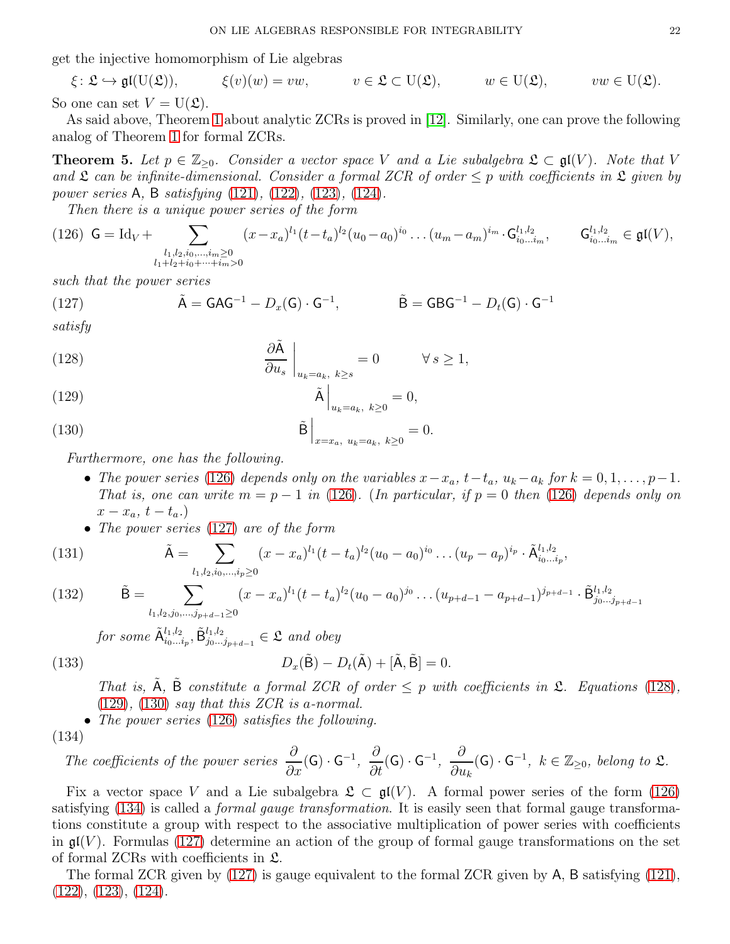get the injective homomorphism of Lie algebras

 $\xi \colon \mathfrak{L} \hookrightarrow \mathfrak{gl}(U(\mathfrak{L})), \qquad \xi(v)(w) = vw, \qquad v \in \mathfrak{L} \subset U(\mathfrak{L}), \qquad w \in U(\mathfrak{L}), \qquad vw \in U(\mathfrak{L}).$ So one can set  $V = U(\mathfrak{L})$ .

As said above, Theorem [1](#page-9-0) about analytic ZCRs is proved in [\[12\]](#page-28-0). Similarly, one can prove the following analog of Theorem [1](#page-9-0) for formal ZCRs.

<span id="page-21-9"></span>**Theorem 5.** Let  $p \in \mathbb{Z}_{\geq 0}$ . Consider a vector space V and a Lie subalgebra  $\mathfrak{L} \subset \mathfrak{gl}(V)$ . Note that V and  $\mathfrak L$  can be infinite-dimensional. Consider a formal ZCR of order  $\leq p$  with coefficients in  $\mathfrak L$  given by power series A, B satisfying [\(121\)](#page-20-2), [\(122\)](#page-20-3), [\(123\)](#page-20-5), [\(124\)](#page-20-6).

<span id="page-21-0"></span>Then there is a unique power series of the form

$$
(126) \tG = Id_V + \sum_{\substack{l_1, l_2, i_0, \dots, i_m \ge 0 \\ l_1 + l_2 + i_0 + \dots + i_m > 0}} (x - x_a)^{l_1} (t - t_a)^{l_2} (u_0 - a_0)^{i_0} \dots (u_m - a_m)^{i_m} \cdot G_{i_0 \dots i_m}^{l_1, l_2}, \tG_{i_0 \dots i_m}^{l_1, l_2} \in \mathfrak{gl}(V),
$$

such that the power series

<span id="page-21-1"></span>(127) 
$$
\tilde{A} = GAG^{-1} - D_x(G) \cdot G^{-1}, \qquad \tilde{B} = GBG^{-1} - D_t(G) \cdot G^{-1}
$$

satisfy

<span id="page-21-2"></span>(128) 
$$
\frac{\partial \tilde{A}}{\partial u_s}\Big|_{u_k=a_k, k\geq s} = 0 \qquad \forall s \geq 1,
$$

<span id="page-21-3"></span>
$$
\tilde{\mathbf{A}}\Big|_{u_k=a_k, k\geq 0} = 0,
$$

<span id="page-21-4"></span>(130) 
$$
\tilde{\mathbf{B}}\Big|_{x=x_a, u_k=a_k, k\geq 0} = 0.
$$

Furthermore, one has the following.

- The power series [\(126\)](#page-21-0) depends only on the variables  $x-x_a$ ,  $t-t_a$ ,  $u_k-a_k$  for  $k=0,1,\ldots,p-1$ . That is, one can write  $m = p - 1$  in [\(126\)](#page-21-0). (In particular, if  $p = 0$  then (126) depends only on  $x-x_a, t-t_a.$
- The power series [\(127\)](#page-21-1) are of the form

$$
(131)
$$

<span id="page-21-7"></span>(131) 
$$
\tilde{A} = \sum_{l_1, l_2, i_0, ..., i_p \ge 0} (x - x_a)^{l_1} (t - t_a)^{l_2} (u_0 - a_0)^{i_0} ... (u_p - a_p)^{i_p} \cdot \tilde{A}_{i_0...i_p}^{l_1, l_2},
$$

<span id="page-21-8"></span>(132) 
$$
\tilde{\mathbf{B}} = \sum_{l_1, l_2, j_0, \dots, j_{p+d-1} \ge 0} (x - x_a)^{l_1} (t - t_a)^{l_2} (u_0 - a_0)^{j_0} \dots (u_{p+d-1} - a_{p+d-1})^{j_{p+d-1}} \cdot \tilde{\mathbf{B}}_{j_0 \dots j_{p+d-1}}^{l_1, l_2}
$$

for some  $\tilde{\mathsf{A}}_{i_0...i_p}^{l_1,l_2}, \tilde{\mathsf{B}}_{j_0...j_{p+d-1}}^{l_1,l_2} \in \mathfrak{L}$  and obey  $D_x(\tilde{\mathsf{B}}) - D_t(\tilde{\mathsf{A}}) + [\tilde{\mathsf{A}}, \tilde{\mathsf{B}}] = 0.$ 

$$
(133)
$$

<span id="page-21-6"></span>That is,  $\hat{A}$ ,  $\hat{B}$  constitute a formal ZCR of order  $\leq p$  with coefficients in  $\hat{\mathcal{L}}$ . Equations [\(128\)](#page-21-2),  $(129)$ ,  $(130)$  say that this ZCR is a-normal.

• The power series [\(126\)](#page-21-0) satisfies the following.

$$
(134)
$$

<span id="page-21-5"></span>The coefficients of the power series 
$$
\frac{\partial}{\partial x}(G) \cdot G^{-1}
$$
,  $\frac{\partial}{\partial t}(G) \cdot G^{-1}$ ,  $\frac{\partial}{\partial u_k}(G) \cdot G^{-1}$ ,  $k \in \mathbb{Z}_{\geq 0}$ , belong to  $\mathfrak{L}$ .

Fix a vector space V and a Lie subalgebra  $\mathfrak{L} \subset \mathfrak{gl}(V)$ . A formal power series of the form [\(126\)](#page-21-0) satisfying [\(134\)](#page-21-5) is called a formal gauge transformation. It is easily seen that formal gauge transformations constitute a group with respect to the associative multiplication of power series with coefficients in  $\mathfrak{gl}(V)$ . Formulas [\(127\)](#page-21-1) determine an action of the group of formal gauge transformations on the set of formal ZCRs with coefficients in L.

The formal ZCR given by [\(127\)](#page-21-1) is gauge equivalent to the formal ZCR given by A, B satisfying [\(121\)](#page-20-2), [\(122\)](#page-20-3), [\(123\)](#page-20-5), [\(124\)](#page-20-6).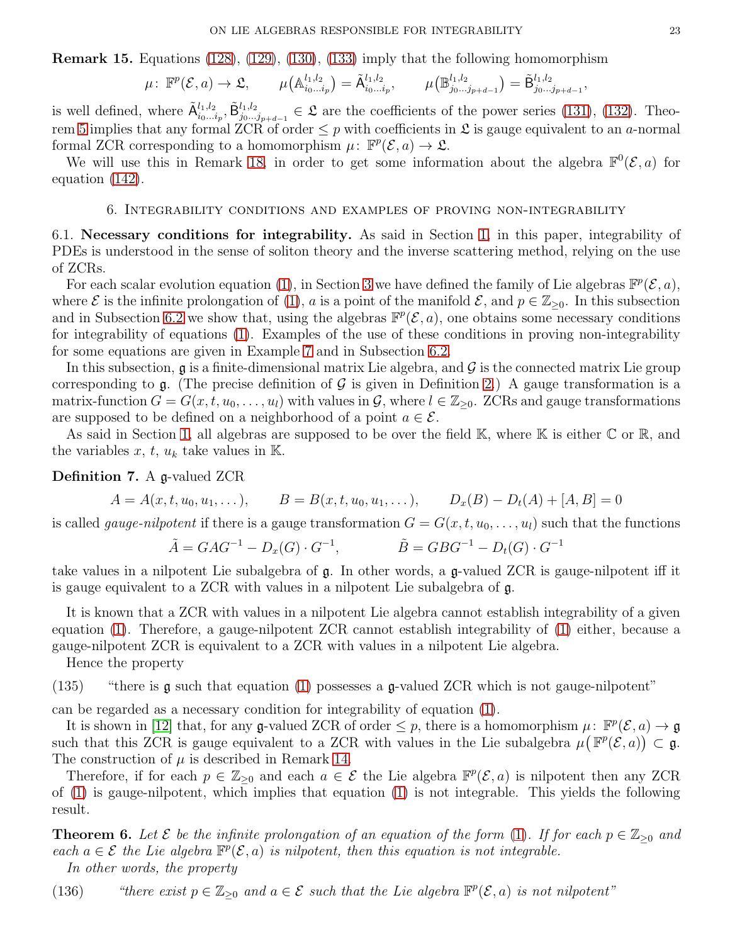<span id="page-22-3"></span>Remark 15. Equations [\(128\)](#page-21-2), [\(129\)](#page-21-3), [\(130\)](#page-21-4), [\(133\)](#page-21-6) imply that the following homomorphism

$$
\mu\colon \mathbb{F}^p(\mathcal{E},a)\to \mathfrak{L}, \qquad \mu\big(\mathbb{A}_{i_0\ldots i_p}^{l_1,l_2}\big)=\tilde{\mathsf{A}}_{i_0\ldots i_p}^{l_1,l_2}, \qquad \mu\big(\mathbb{B}_{j_0\ldots j_{p+d-1}}^{l_1,l_2}\big)=\tilde{\mathsf{B}}_{j_0\ldots j_{p+d-1}}^{l_1,l_2},
$$

is well defined, where  $\tilde{\mathsf{A}}_{i_0...i_p}^{l_1,l_2}, \tilde{\mathsf{B}}_{j_0...j_{p+d-1}}^{l_1,l_2} \in \mathfrak{L}$  are the coefficients of the power series [\(131\)](#page-21-7), [\(132\)](#page-21-8). Theo-rem [5](#page-21-9) implies that any formal ZCR of order  $\leq p$  with coefficients in  $\mathfrak L$  is gauge equivalent to an *a*-normal formal ZCR corresponding to a homomorphism  $\mu: \mathbb{F}^p(\mathcal{E}, a) \to \mathfrak{L}$ .

<span id="page-22-0"></span>We will use this in Remark [18,](#page-26-1) in order to get some information about the algebra  $\mathbb{F}^0(\mathcal{E},a)$  for equation [\(142\)](#page-26-2).

### 6. Integrability conditions and examples of proving non-integrability

6.1. Necessary conditions for integrability. As said in Section [1,](#page-0-1) in this paper, integrability of PDEs is understood in the sense of soliton theory and the inverse scattering method, relying on the use of ZCRs.

For each scalar evolution equation [\(1\)](#page-0-0), in Section [3](#page-7-0) we have defined the family of Lie algebras  $\mathbb{F}^p(\mathcal{E},a)$ , where  $\mathcal E$  is the infinite prolongation of [\(1\)](#page-0-0), a is a point of the manifold  $\mathcal E$ , and  $p \in \mathbb{Z}_{\geq 0}$ . In this subsection and in Subsection [6.2](#page-24-0) we show that, using the algebras  $\mathbb{F}^p(\mathcal{E},a)$ , one obtains some necessary conditions for integrability of equations [\(1\)](#page-0-0). Examples of the use of these conditions in proving non-integrability for some equations are given in Example [7](#page-24-1) and in Subsection [6.2.](#page-24-0)

In this subsection,  $\mathfrak g$  is a finite-dimensional matrix Lie algebra, and  $\mathcal G$  is the connected matrix Lie group corresponding to  $\mathfrak g$ . (The precise definition of  $\mathcal G$  is given in Definition [2.](#page-2-2)) A gauge transformation is a matrix-function  $G = G(x, t, u_0, \ldots, u_l)$  with values in  $\mathcal{G}$ , where  $l \in \mathbb{Z}_{\geq 0}$ . ZCRs and gauge transformations are supposed to be defined on a neighborhood of a point  $a \in \mathcal{E}$ .

As said in Section [1,](#page-0-1) all algebras are supposed to be over the field K, where K is either  $\mathbb C$  or  $\mathbb R$ , and the variables  $x, t, u_k$  take values in K.

Definition 7. A g-valued ZCR

$$
A = A(x, t, u_0, u_1, \dots), \qquad B = B(x, t, u_0, u_1, \dots), \qquad D_x(B) - D_t(A) + [A, B] = 0
$$

is called *gauge-nilpotent* if there is a gauge transformation  $G = G(x, t, u_0, \ldots, u_l)$  such that the functions

$$
\tilde{A} = GAG^{-1} - D_x(G) \cdot G^{-1},
$$
  $\tilde{B} = GBG^{-1} - D_t(G) \cdot G^{-1}$ 

take values in a nilpotent Lie subalgebra of g. In other words, a g-valued ZCR is gauge-nilpotent iff it is gauge equivalent to a ZCR with values in a nilpotent Lie subalgebra of g.

It is known that a ZCR with values in a nilpotent Lie algebra cannot establish integrability of a given equation [\(1\)](#page-0-0). Therefore, a gauge-nilpotent ZCR cannot establish integrability of [\(1\)](#page-0-0) either, because a gauge-nilpotent ZCR is equivalent to a ZCR with values in a nilpotent Lie algebra.

Hence the property

(135) "there is g such that equation [\(1\)](#page-0-0) possesses a g-valued ZCR which is not gauge-nilpotent"

can be regarded as a necessary condition for integrability of equation [\(1\)](#page-0-0).

It is shown in [\[12\]](#page-28-0) that, for any g-valued ZCR of order  $\leq p$ , there is a homomorphism  $\mu: \mathbb{F}^p(\mathcal{E}, a) \to \mathfrak{g}$ such that this ZCR is gauge equivalent to a ZCR with values in the Lie subalgebra  $\mu(F^p(\mathcal{E}, a)) \subset \mathfrak{g}$ . The construction of  $\mu$  is described in Remark [14.](#page-12-0)

Therefore, if for each  $p \in \mathbb{Z}_{\geq 0}$  and each  $a \in \mathcal{E}$  the Lie algebra  $\mathbb{F}^p(\mathcal{E}, a)$  is nilpotent then any ZCR of [\(1\)](#page-0-0) is gauge-nilpotent, which implies that equation [\(1\)](#page-0-0) is not integrable. This yields the following result.

<span id="page-22-2"></span>**Theorem 6.** Let  $\mathcal{E}$  be the infinite prolongation of an equation of the form [\(1\)](#page-0-0). If for each  $p \in \mathbb{Z}_{\geq 0}$  and each  $a \in \mathcal{E}$  the Lie algebra  $\mathbb{F}^p(\mathcal{E}, a)$  is nilpotent, then this equation is not integrable. In other words, the property

<span id="page-22-1"></span>(136) "there exist  $p \in \mathbb{Z}_{\geq 0}$  and  $a \in \mathcal{E}$  such that the Lie algebra  $\mathbb{F}^p(\mathcal{E}, a)$  is not nilpotent"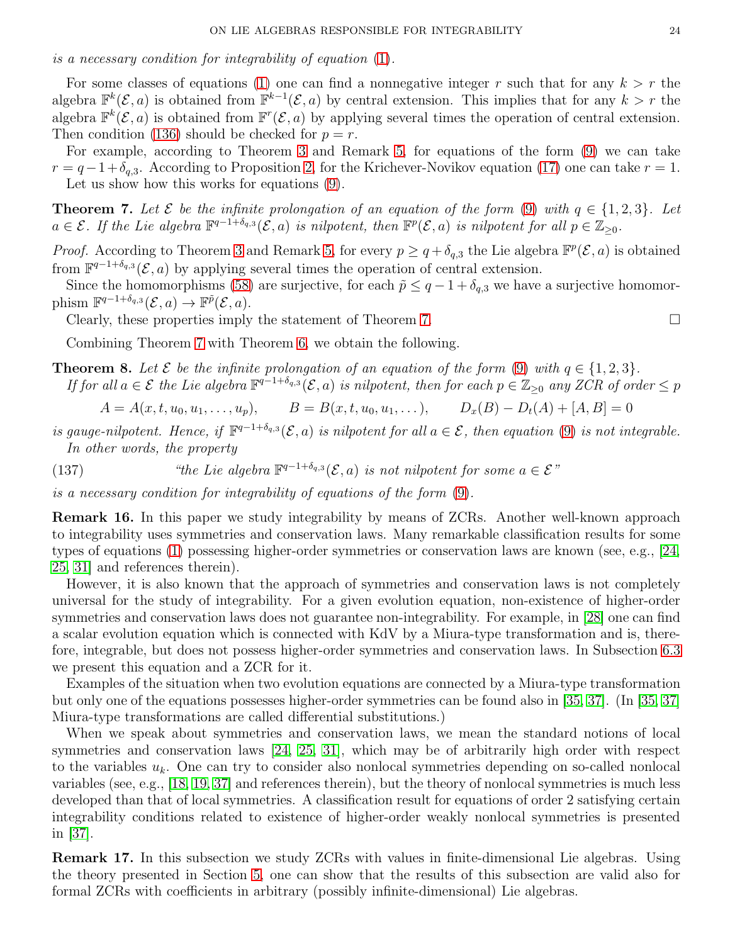is a necessary condition for integrability of equation [\(1\)](#page-0-0).

For some classes of equations [\(1\)](#page-0-0) one can find a nonnegative integer r such that for any  $k > r$  the algebra  $\mathbb{F}^k(\mathcal{E},a)$  is obtained from  $\mathbb{F}^{k-1}(\mathcal{E},a)$  by central extension. This implies that for any  $k > r$  the algebra  $\mathbb{F}^k(\mathcal{E},a)$  is obtained from  $\mathbb{F}^r(\mathcal{E},a)$  by applying several times the operation of central extension. Then condition [\(136\)](#page-22-1) should be checked for  $p = r$ .

For example, according to Theorem [3](#page-18-0) and Remark [5,](#page-4-1) for equations of the form [\(9\)](#page-3-1) we can take  $r = q-1+\delta_{q,3}$ . According to Proposition [2,](#page-7-1) for the Krichever-Novikov equation [\(17\)](#page-6-4) one can take  $r = 1$ . Let us show how this works for equations [\(9\)](#page-3-1).

<span id="page-23-1"></span>**Theorem 7.** Let  $\mathcal{E}$  be the infinite prolongation of an equation of the form [\(9\)](#page-3-1) with  $q \in \{1,2,3\}$ . Let  $a \in \mathcal{E}$ . If the Lie algebra  $\mathbb{F}^{q-1+\delta_{q,3}}(\mathcal{E},a)$  is nilpotent, then  $\mathbb{F}^p(\mathcal{E},a)$  is nilpotent for all  $p \in \mathbb{Z}_{\geq 0}$ .

*Proof.* According to Theorem [3](#page-18-0) and Remark [5,](#page-4-1) for every  $p \geq q + \delta_{q,3}$  the Lie algebra  $\mathbb{F}^p(\mathcal{E},a)$  is obtained from  $\mathbb{F}^{q-1+\delta_{q,3}}(\mathcal{E},a)$  by applying several times the operation of central extension.

Since the homomorphisms [\(58\)](#page-13-1) are surjective, for each  $\tilde{p} \leq q - 1 + \delta_{q,3}$  we have a surjective homomorphism  $\mathbb{F}^{q-1+\delta_{q,3}}(\mathcal{E},a) \to \mathbb{F}^{\tilde{p}}(\mathcal{E},a).$ 

Clearly, these properties imply the statement of Theorem [7.](#page-23-1)  $\Box$ 

Combining Theorem [7](#page-23-1) with Theorem [6,](#page-22-2) we obtain the following.

<span id="page-23-2"></span>**Theorem 8.** Let  $\mathcal{E}$  be the infinite prolongation of an equation of the form [\(9\)](#page-3-1) with  $q \in \{1,2,3\}$ . If for all  $a \in \mathcal{E}$  the Lie algebra  $\mathbb{F}^{q-1+\delta_{q,3}}(\mathcal{E},a)$  is nilpotent, then for each  $p \in \mathbb{Z}_{\geq 0}$  any ZCR of order  $\leq p$ 

$$
A = A(x, t, u_0, u_1, \dots, u_p), \qquad B = B(x, t, u_0, u_1, \dots), \qquad D_x(B) - D_t(A) + [A, B] = 0
$$

- is gauge-nilpotent. Hence, if  $\mathbb{F}^{q-1+\delta_{q,3}}(\mathcal{E},a)$  is nilpotent for all  $a \in \mathcal{E}$ , then equation [\(9\)](#page-3-1) is not integrable. In other words, the property
- (137) "the Lie algebra  $\mathbb{F}^{q-1+\delta_{q,3}}(\mathcal{E},a)$  is not nilpotent for some  $a \in \mathcal{E}$ "

is a necessary condition for integrability of equations of the form [\(9\)](#page-3-1).

<span id="page-23-0"></span>Remark 16. In this paper we study integrability by means of ZCRs. Another well-known approach to integrability uses symmetries and conservation laws. Many remarkable classification results for some types of equations [\(1\)](#page-0-0) possessing higher-order symmetries or conservation laws are known (see, e.g., [\[24,](#page-28-3) [25,](#page-28-4) [31\]](#page-28-5) and references therein).

However, it is also known that the approach of symmetries and conservation laws is not completely universal for the study of integrability. For a given evolution equation, non-existence of higher-order symmetries and conservation laws does not guarantee non-integrability. For example, in [\[28\]](#page-28-27) one can find a scalar evolution equation which is connected with KdV by a Miura-type transformation and is, therefore, integrable, but does not possess higher-order symmetries and conservation laws. In Subsection [6.3](#page-26-0) we present this equation and a ZCR for it.

Examples of the situation when two evolution equations are connected by a Miura-type transformation but only one of the equations possesses higher-order symmetries can be found also in [\[35,](#page-28-28) [37\]](#page-28-29). (In [\[35,](#page-28-28) [37\]](#page-28-29) Miura-type transformations are called differential substitutions.)

When we speak about symmetries and conservation laws, we mean the standard notions of local symmetries and conservation laws [\[24,](#page-28-3) [25,](#page-28-4) [31\]](#page-28-5), which may be of arbitrarily high order with respect to the variables  $u_k$ . One can try to consider also nonlocal symmetries depending on so-called nonlocal variables (see, e.g., [\[18,](#page-28-30) [19,](#page-28-20) [37\]](#page-28-29) and references therein), but the theory of nonlocal symmetries is much less developed than that of local symmetries. A classification result for equations of order 2 satisfying certain integrability conditions related to existence of higher-order weakly nonlocal symmetries is presented in [\[37\]](#page-28-29).

Remark 17. In this subsection we study ZCRs with values in finite-dimensional Lie algebras. Using the theory presented in Section [5,](#page-20-0) one can show that the results of this subsection are valid also for formal ZCRs with coefficients in arbitrary (possibly infinite-dimensional) Lie algebras.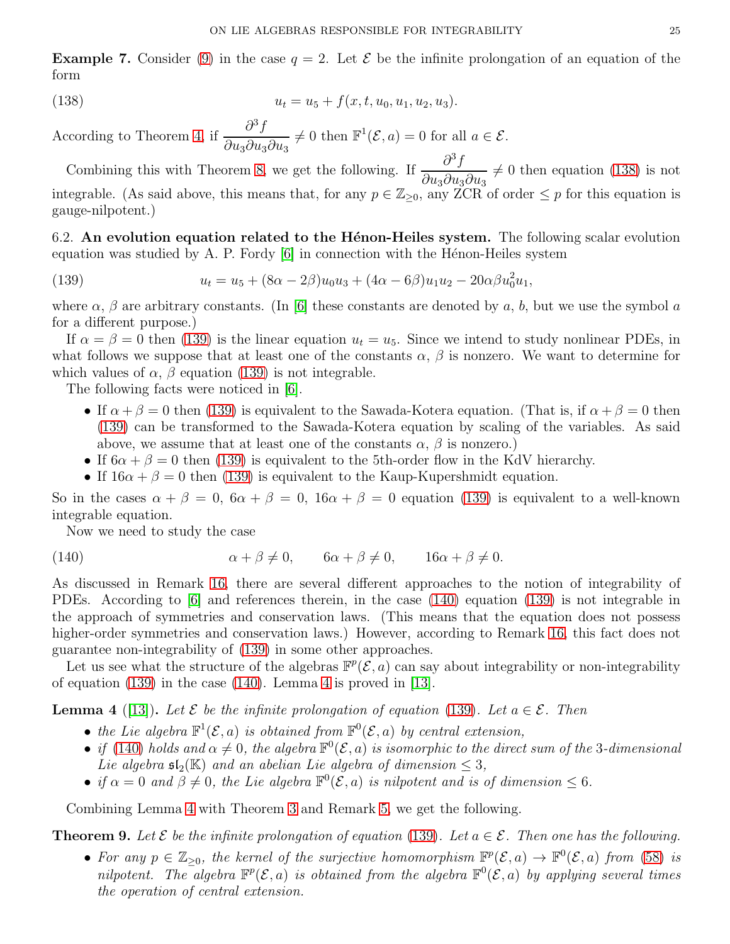<span id="page-24-1"></span>**Example 7.** Consider [\(9\)](#page-3-1) in the case  $q = 2$ . Let  $\mathcal{E}$  be the infinite prolongation of an equation of the form

<span id="page-24-2"></span>(138) 
$$
u_t = u_5 + f(x, t, u_0, u_1, u_2, u_3).
$$

According to Theorem [4,](#page-18-8) if  $\frac{\partial^3 f}{\partial x^2}$  $\partial u_3\partial u_3\partial u_3$  $\neq 0$  then  $\mathbb{F}^1(\mathcal{E}, a) = 0$  for all  $a \in \mathcal{E}$ .

Combining this with Theorem [8,](#page-23-2) we get the following. If  $\frac{\partial^3 f}{\partial x^2}$  $\partial u_3\partial u_3\partial u_3$  $\neq 0$  then equation [\(138\)](#page-24-2) is not integrable. (As said above, this means that, for any  $p \in \mathbb{Z}_{\geq 0}$ , any  $\check{ZCR}$  of order  $\leq p$  for this equation is gauge-nilpotent.)

<span id="page-24-0"></span>6.2. An evolution equation related to the Hénon-Heiles system. The following scalar evolution equation was studied by A. P. Fordy  $[6]$  in connection with the Hénon-Heiles system

<span id="page-24-3"></span>(139) 
$$
u_t = u_5 + (8\alpha - 2\beta)u_0u_3 + (4\alpha - 6\beta)u_1u_2 - 20\alpha\beta u_0^2u_1,
$$

where  $\alpha$ ,  $\beta$  are arbitrary constants. (In [\[6\]](#page-27-3) these constants are denoted by a, b, but we use the symbol a for a different purpose.)

If  $\alpha = \beta = 0$  then [\(139\)](#page-24-3) is the linear equation  $u_t = u_5$ . Since we intend to study nonlinear PDEs, in what follows we suppose that at least one of the constants  $\alpha$ ,  $\beta$  is nonzero. We want to determine for which values of  $\alpha$ ,  $\beta$  equation [\(139\)](#page-24-3) is not integrable.

The following facts were noticed in [\[6\]](#page-27-3).

- If  $\alpha + \beta = 0$  then [\(139\)](#page-24-3) is equivalent to the Sawada-Kotera equation. (That is, if  $\alpha + \beta = 0$  then [\(139\)](#page-24-3) can be transformed to the Sawada-Kotera equation by scaling of the variables. As said above, we assume that at least one of the constants  $\alpha$ ,  $\beta$  is nonzero.)
- If  $6\alpha + \beta = 0$  then [\(139\)](#page-24-3) is equivalent to the 5th-order flow in the KdV hierarchy.
- If  $16\alpha + \beta = 0$  then [\(139\)](#page-24-3) is equivalent to the Kaup-Kupershmidt equation.

So in the cases  $\alpha + \beta = 0$ ,  $6\alpha + \beta = 0$ ,  $16\alpha + \beta = 0$  equation [\(139\)](#page-24-3) is equivalent to a well-known integrable equation.

<span id="page-24-4"></span>Now we need to study the case

(140) 
$$
\alpha + \beta \neq 0, \qquad 6\alpha + \beta \neq 0, \qquad 16\alpha + \beta \neq 0.
$$

As discussed in Remark [16,](#page-23-0) there are several different approaches to the notion of integrability of PDEs. According to [\[6\]](#page-27-3) and references therein, in the case [\(140\)](#page-24-4) equation [\(139\)](#page-24-3) is not integrable in the approach of symmetries and conservation laws. (This means that the equation does not possess higher-order symmetries and conservation laws.) However, according to Remark [16,](#page-23-0) this fact does not guarantee non-integrability of [\(139\)](#page-24-3) in some other approaches.

Let us see what the structure of the algebras  $\mathbb{F}^p(\mathcal{E},a)$  can say about integrability or non-integrability of equation [\(139\)](#page-24-3) in the case [\(140\)](#page-24-4). Lemma [4](#page-24-5) is proved in [\[13\]](#page-28-1).

<span id="page-24-5"></span>**Lemma 4** ([\[13\]](#page-28-1)). Let  $\mathcal{E}$  be the infinite prolongation of equation [\(139\)](#page-24-3). Let  $a \in \mathcal{E}$ . Then

- the Lie algebra  $\mathbb{F}^1(\mathcal{E}, a)$  is obtained from  $\mathbb{F}^0(\mathcal{E}, a)$  by central extension,
- if [\(140\)](#page-24-4) holds and  $\alpha \neq 0$ , the algebra  $\mathbb{F}^0(\mathcal{E},a)$  is isomorphic to the direct sum of the 3-dimensional Lie algebra  $\mathfrak{sl}_2(\mathbb{K})$  and an abelian Lie algebra of dimension  $\leq 3$ ,
- if  $\alpha = 0$  and  $\beta \neq 0$ , the Lie algebra  $\mathbb{F}^0(\mathcal{E}, a)$  is nilpotent and is of dimension  $\leq 6$ .

Combining Lemma [4](#page-24-5) with Theorem [3](#page-18-0) and Remark [5,](#page-4-1) we get the following.

<span id="page-24-6"></span>**Theorem 9.** Let  $\mathcal{E}$  be the infinite prolongation of equation [\(139\)](#page-24-3). Let  $a \in \mathcal{E}$ . Then one has the following.

• For any  $p \in \mathbb{Z}_{\geq 0}$ , the kernel of the surjective homomorphism  $\mathbb{F}^p(\mathcal{E},a) \to \mathbb{F}^0(\mathcal{E},a)$  from [\(58\)](#page-13-1) is nilpotent. The algebra  $\mathbb{F}^p(\mathcal{E},a)$  is obtained from the algebra  $\mathbb{F}^0(\mathcal{E},a)$  by applying several times the operation of central extension.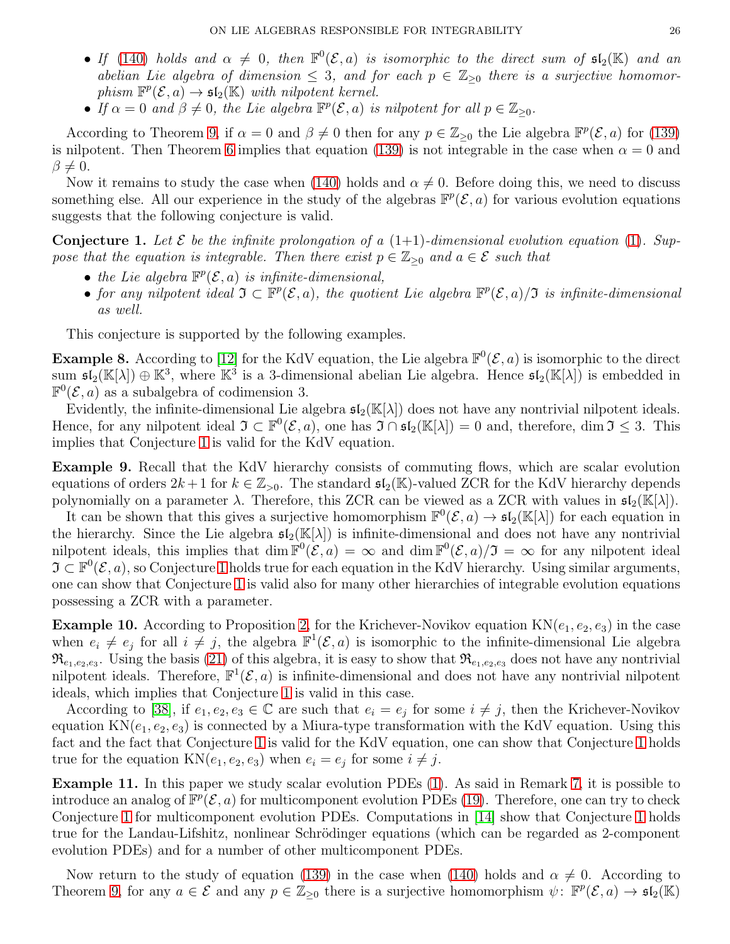- If [\(140\)](#page-24-4) holds and  $\alpha \neq 0$ , then  $\mathbb{F}^0(\mathcal{E},a)$  is isomorphic to the direct sum of  $\mathfrak{sl}_2(\mathbb{K})$  and an abelian Lie algebra of dimension  $\leq 3$ , and for each  $p \in \mathbb{Z}_{\geq 0}$  there is a surjective homomorphism  $\mathbb{F}^p(\mathcal{E}, a) \to \mathfrak{sl}_2(\mathbb{K})$  with nilpotent kernel.
- If  $\alpha = 0$  and  $\beta \neq 0$ , the Lie algebra  $\mathbb{F}^p(\mathcal{E}, a)$  is nilpotent for all  $p \in \mathbb{Z}_{\geq 0}$ .

According to Theorem [9,](#page-24-6) if  $\alpha = 0$  and  $\beta \neq 0$  then for any  $p \in \mathbb{Z}_{\geq 0}$  the Lie algebra  $\mathbb{F}^p(\mathcal{E}, a)$  for [\(139\)](#page-24-3) is nilpotent. Then Theorem [6](#page-22-2) implies that equation [\(139\)](#page-24-3) is not integrable in the case when  $\alpha = 0$  and  $\beta \neq 0.$ 

Now it remains to study the case when [\(140\)](#page-24-4) holds and  $\alpha \neq 0$ . Before doing this, we need to discuss something else. All our experience in the study of the algebras  $\mathbb{F}^p(\mathcal{E},a)$  for various evolution equations suggests that the following conjecture is valid.

<span id="page-25-0"></span>**Conjecture 1.** Let  $\mathcal{E}$  be the infinite prolongation of a  $(1+1)$ -dimensional evolution equation  $(1)$ . Suppose that the equation is integrable. Then there exist  $p \in \mathbb{Z}_{\geq 0}$  and  $a \in \mathcal{E}$  such that

- the Lie algebra  $\mathbb{F}^p(\mathcal{E},a)$  is infinite-dimensional,
- for any nilpotent ideal  $\mathfrak{I} \subset \mathbb{F}^p(\mathcal{E},a)$ , the quotient Lie algebra  $\mathbb{F}^p(\mathcal{E},a)/\mathfrak{I}$  is infinite-dimensional as well.

This conjecture is supported by the following examples.

**Example 8.** According to [\[12\]](#page-28-0) for the KdV equation, the Lie algebra  $\mathbb{F}^0(\mathcal{E}, a)$  is isomorphic to the direct sum  $\mathfrak{sl}_2(\mathbb{K}[\lambda]) \oplus \mathbb{K}^3$ , where  $\mathbb{K}^3$  is a 3-dimensional abelian Lie algebra. Hence  $\mathfrak{sl}_2(\mathbb{K}[\lambda])$  is embedded in  $\mathbb{F}^0(\mathcal{E}, a)$  as a subalgebra of codimension 3.

Evidently, the infinite-dimensional Lie algebra  $\mathfrak{sl}_2(\mathbb{K}[\lambda])$  does not have any nontrivial nilpotent ideals. Hence, for any nilpotent ideal  $\mathfrak{I} \subset \mathbb{F}^0(\mathcal{E},a)$ , one has  $\mathfrak{I} \cap \mathfrak{sl}_2(\mathbb{K}[\lambda]) = 0$  and, therefore, dim  $\mathfrak{I} \leq 3$ . This implies that Conjecture [1](#page-25-0) is valid for the KdV equation.

Example 9. Recall that the KdV hierarchy consists of commuting flows, which are scalar evolution equations of orders  $2k+1$  for  $k \in \mathbb{Z}_{>0}$ . The standard  $\mathfrak{sl}_2(\mathbb{K})$ -valued ZCR for the KdV hierarchy depends polynomially on a parameter  $\lambda$ . Therefore, this ZCR can be viewed as a ZCR with values in  $\mathfrak{sl}_2(\mathbb{K}[\lambda])$ .

It can be shown that this gives a surjective homomorphism  $\mathbb{F}^0(\mathcal{E},a) \to \mathfrak{sl}_2(\mathbb{K}[\lambda])$  for each equation in the hierarchy. Since the Lie algebra  $\mathfrak{sl}_2(\mathbb{K}[\lambda])$  is infinite-dimensional and does not have any nontrivial nilpotent ideals, this implies that dim  $\mathbb{F}^0(\mathcal{E},a) = \infty$  and dim  $\mathbb{F}^0(\mathcal{E},a)/\mathfrak{I} = \infty$  for any nilpotent ideal  $\mathfrak{I} \subset \mathbb{F}^0(\mathcal{E}, a)$ , so Conjecture [1](#page-25-0) holds true for each equation in the KdV hierarchy. Using similar arguments, one can show that Conjecture [1](#page-25-0) is valid also for many other hierarchies of integrable evolution equations possessing a ZCR with a parameter.

**Example 10.** According to Proposition [2,](#page-7-1) for the Krichever-Novikov equation  $KN(e_1, e_2, e_3)$  in the case when  $e_i \neq e_j$  for all  $i \neq j$ , the algebra  $\mathbb{F}^1(\mathcal{E}, a)$  is isomorphic to the infinite-dimensional Lie algebra  $\mathfrak{R}_{e_1,e_2,e_3}$ . Using the basis [\(21\)](#page-7-4) of this algebra, it is easy to show that  $\mathfrak{R}_{e_1,e_2,e_3}$  does not have any nontrivial nilpotent ideals. Therefore,  $\mathbb{F}^1(\mathcal{E}, a)$  is infinite-dimensional and does not have any nontrivial nilpotent ideals, which implies that Conjecture [1](#page-25-0) is valid in this case.

According to [\[38\]](#page-28-7), if  $e_1, e_2, e_3 \in \mathbb{C}$  are such that  $e_i = e_j$  for some  $i \neq j$ , then the Krichever-Novikov equation  $KN(e_1, e_2, e_3)$  is connected by a Miura-type transformation with the KdV equation. Using this fact and the fact that Conjecture [1](#page-25-0) is valid for the KdV equation, one can show that Conjecture [1](#page-25-0) holds true for the equation  $KN(e_1, e_2, e_3)$  when  $e_i = e_j$  for some  $i \neq j$ .

Example 11. In this paper we study scalar evolution PDEs [\(1\)](#page-0-0). As said in Remark [7,](#page-6-0) it is possible to introduce an analog of  $\overline{\mathbb{F}^p}(\mathcal{E},a)$  for multicomponent evolution PDEs [\(19\)](#page-6-6). Therefore, one can try to check Conjecture [1](#page-25-0) for multicomponent evolution PDEs. Computations in [\[14\]](#page-28-22) show that Conjecture [1](#page-25-0) holds true for the Landau-Lifshitz, nonlinear Schrödinger equations (which can be regarded as 2-component evolution PDEs) and for a number of other multicomponent PDEs.

Now return to the study of equation [\(139\)](#page-24-3) in the case when [\(140\)](#page-24-4) holds and  $\alpha \neq 0$ . According to Theorem [9,](#page-24-6) for any  $a \in \mathcal{E}$  and any  $p \in \mathbb{Z}_{\geq 0}$  there is a surjective homomorphism  $\psi \colon \mathbb{F}^p(\mathcal{E}, a) \to \mathfrak{sl}_2(\mathbb{K})$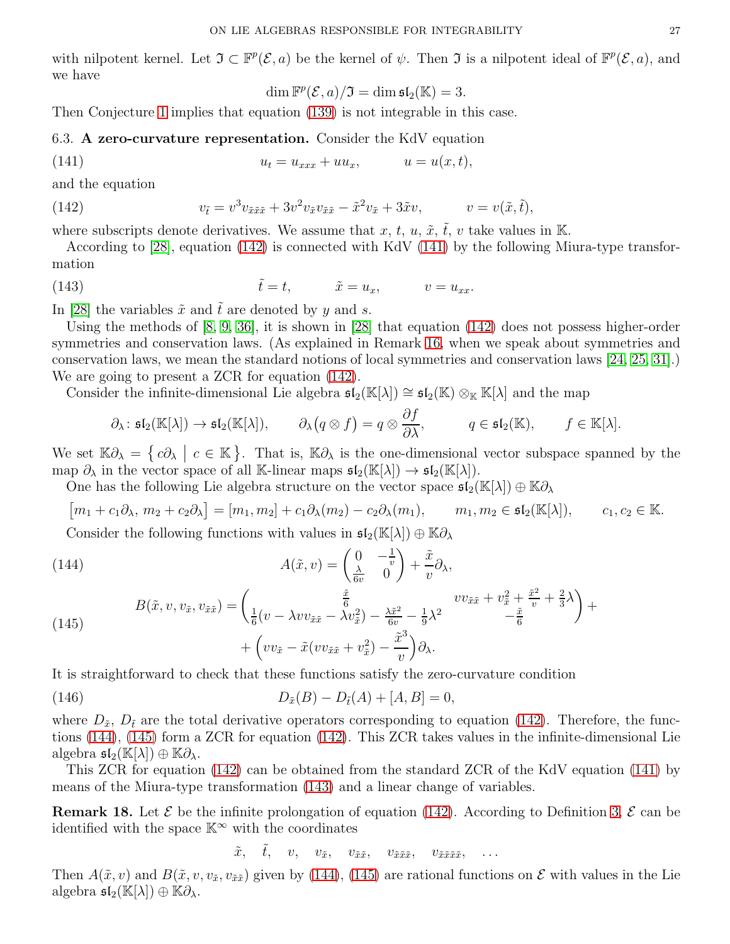with nilpotent kernel. Let  $\mathfrak{I} \subset \mathbb{F}^p(\mathcal{E}, a)$  be the kernel of  $\psi$ . Then  $\mathfrak{I}$  is a nilpotent ideal of  $\mathbb{F}^p(\mathcal{E}, a)$ , and we have

<span id="page-26-6"></span><span id="page-26-3"></span><span id="page-26-2"></span>
$$
\dim \mathbb{F}^p(\mathcal{E},a)/\mathfrak{I} = \dim \mathfrak{sl}_2(\mathbb{K}) = 3.
$$

<span id="page-26-0"></span>Then Conjecture [1](#page-25-0) implies that equation [\(139\)](#page-24-3) is not integrable in this case.

6.3. A zero-curvature representation. Consider the KdV equation

$$
(141) \t\t\t u_t = u_{xxx} + uu_x, \t u = u(x,t),
$$

and the equation

(142) 
$$
v_{\tilde{t}} = v^3 v_{\tilde{x}\tilde{x}\tilde{x}} + 3v^2 v_{\tilde{x}} v_{\tilde{x}\tilde{x}} - \tilde{x}^2 v_{\tilde{x}} + 3\tilde{x}v, \qquad v = v(\tilde{x}, \tilde{t}),
$$

where subscripts denote derivatives. We assume that x, t, u,  $\tilde{x}$ ,  $\tilde{t}$ , v take values in K.

According to [\[28\]](#page-28-27), equation [\(142\)](#page-26-2) is connected with KdV [\(141\)](#page-26-3) by the following Miura-type transformation

(143) 
$$
\tilde{t} = t, \qquad \tilde{x} = u_x, \qquad v = u_{xx}.
$$

In [\[28\]](#page-28-27) the variables  $\tilde{x}$  and  $\tilde{t}$  are denoted by y and s.

Using the methods of [\[8,](#page-28-31) [9,](#page-28-32) [36\]](#page-28-33), it is shown in [\[28\]](#page-28-27) that equation [\(142\)](#page-26-2) does not possess higher-order symmetries and conservation laws. (As explained in Remark [16,](#page-23-0) when we speak about symmetries and conservation laws, we mean the standard notions of local symmetries and conservation laws [\[24,](#page-28-3) [25,](#page-28-4) [31\]](#page-28-5).) We are going to present a ZCR for equation [\(142\)](#page-26-2).

Consider the infinite-dimensional Lie algebra  $\mathfrak{sl}_2(\mathbb{K}[\lambda]) \cong \mathfrak{sl}_2(\mathbb{K}) \otimes_{\mathbb{K}} \mathbb{K}[\lambda]$  and the map

$$
\partial_{\lambda} : \mathfrak{sl}_2(\mathbb{K}[\lambda]) \to \mathfrak{sl}_2(\mathbb{K}[\lambda]), \qquad \partial_{\lambda}(q \otimes f) = q \otimes \frac{\partial f}{\partial \lambda}, \qquad q \in \mathfrak{sl}_2(\mathbb{K}), \qquad f \in \mathbb{K}[\lambda].
$$

We set  $\mathbb{K}\partial_{\lambda} = \{c\partial_{\lambda} \mid c \in \mathbb{K}\}\.$  That is,  $\mathbb{K}\partial_{\lambda}$  is the one-dimensional vector subspace spanned by the map  $\partial_{\lambda}$  in the vector space of all K-linear maps  $\mathfrak{sl}_2(\mathbb{K}[\lambda]) \to \mathfrak{sl}_2(\mathbb{K}[\lambda]).$ 

One has the following Lie algebra structure on the vector space  $\mathfrak{sl}_2(\mathbb{K}[\lambda])\oplus \mathbb{K}\partial_\lambda$ 

$$
[m_1 + c_1 \partial_{\lambda}, m_2 + c_2 \partial_{\lambda}] = [m_1, m_2] + c_1 \partial_{\lambda}(m_2) - c_2 \partial_{\lambda}(m_1), \qquad m_1, m_2 \in \mathfrak{sl}_2(\mathbb{K}[\lambda]), \qquad c_1, c_2 \in \mathbb{K}.
$$

Consider the following functions with values in  $\mathfrak{sl}_2(\mathbb{K}[\lambda])\oplus \mathbb{K}\partial_\lambda$ 

<span id="page-26-4"></span>(144)  
\n
$$
A(\tilde{x}, v) = \left(\frac{0}{\frac{\lambda}{6v}} - \frac{1}{v}\right) + \frac{\tilde{x}}{v} \partial_{\lambda},
$$
\n
$$
B(\tilde{x}, v, v_{\tilde{x}}, v_{\tilde{x}\tilde{x}}) = \left(\frac{\frac{\tilde{x}}{6}}{\frac{1}{6}(v - \lambda vv_{\tilde{x}\tilde{x}} - \lambda v_{\tilde{x}}^2) - \frac{\lambda \tilde{x}^2}{6v} - \frac{1}{9}\lambda^2} \right) v v_{\tilde{x}\tilde{x}} + v_{\tilde{x}}^2 + \frac{\tilde{x}^2}{c} + \frac{2}{3}\lambda + \left(vv_{\tilde{x}} - \tilde{x}(vv_{\tilde{x}\tilde{x}} + v_{\tilde{x}}^2) - \frac{\tilde{x}^3}{v}\right) \partial_{\lambda}.
$$

<span id="page-26-5"></span>It is straightforward to check that these functions satisfy the zero-curvature condition

(146) 
$$
D_{\tilde{x}}(B) - D_{\tilde{t}}(A) + [A, B] = 0,
$$

where  $D_{\tilde{x}}$ ,  $D_{\tilde{t}}$  are the total derivative operators corresponding to equation [\(142\)](#page-26-2). Therefore, the functions [\(144\)](#page-26-4), [\(145\)](#page-26-5) form a ZCR for equation [\(142\)](#page-26-2). This ZCR takes values in the infinite-dimensional Lie algebra  $\mathfrak{sl}_2(\mathbb{K}[\lambda]) \oplus \mathbb{K}\partial_\lambda$ .

This ZCR for equation [\(142\)](#page-26-2) can be obtained from the standard ZCR of the KdV equation [\(141\)](#page-26-3) by means of the Miura-type transformation [\(143\)](#page-26-6) and a linear change of variables.

<span id="page-26-1"></span>**Remark 18.** Let  $\mathcal{E}$  be the infinite prolongation of equation [\(142\)](#page-26-2). According to Definition [3,](#page-8-0)  $\mathcal{E}$  can be identified with the space  $\mathbb{K}^{\infty}$  with the coordinates

<span id="page-26-7"></span>
$$
\tilde{x}, \quad \tilde{t}, \quad v, \quad v_{\tilde{x}}, \quad v_{\tilde{x}\tilde{x}}, \quad v_{\tilde{x}\tilde{x}\tilde{x}}, \quad v_{\tilde{x}\tilde{x}\tilde{x}\tilde{x}}, \quad \ldots
$$

Then  $A(\tilde{x}, v)$  and  $B(\tilde{x}, v, v_{\tilde{x}}, v_{\tilde{x}})$  given by [\(144\)](#page-26-4), [\(145\)](#page-26-5) are rational functions on  $\mathcal E$  with values in the Lie algebra  $\mathfrak{sl}_2(\mathbb{K}[\lambda]) \oplus \mathbb{K}\partial_\lambda$ .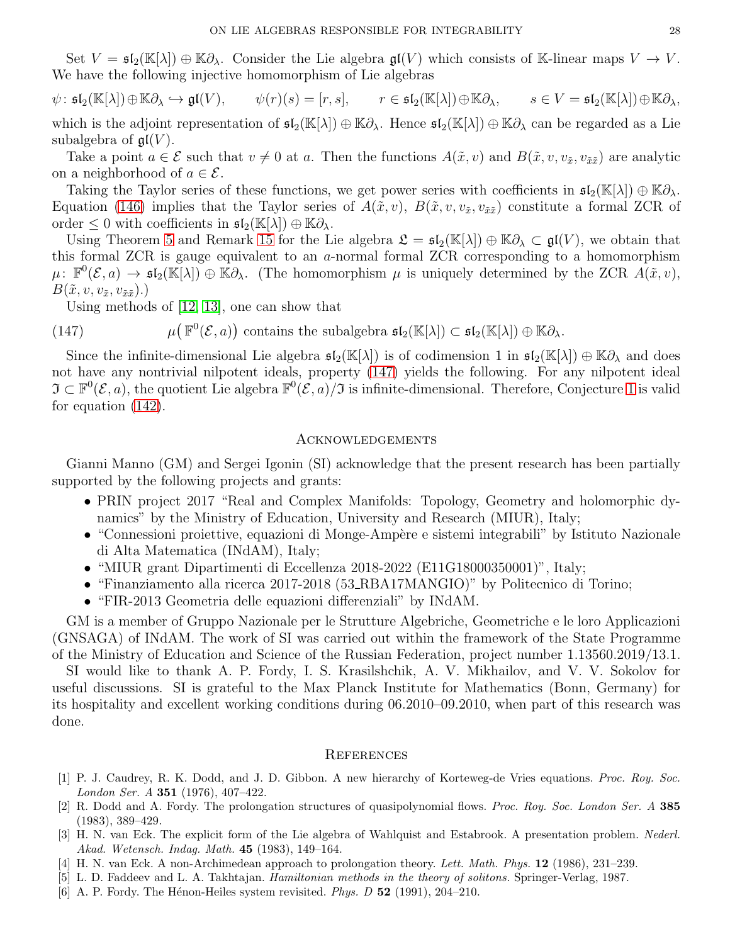Set  $V = \mathfrak{sl}_2(\mathbb{K}[\lambda]) \oplus \mathbb{K} \partial_{\lambda}$ . Consider the Lie algebra  $\mathfrak{gl}(V)$  which consists of K-linear maps  $V \to V$ . We have the following injective homomorphism of Lie algebras

$$
\psi: \mathfrak{sl}_2(\mathbb{K}[\lambda]) \oplus \mathbb{K}\partial_{\lambda} \hookrightarrow \mathfrak{gl}(V), \qquad \psi(r)(s) = [r, s], \qquad r \in \mathfrak{sl}_2(\mathbb{K}[\lambda]) \oplus \mathbb{K}\partial_{\lambda}, \qquad s \in V = \mathfrak{sl}_2(\mathbb{K}[\lambda]) \oplus \mathbb{K}\partial_{\lambda},
$$

which is the adjoint representation of  $\mathfrak{sl}_2(\mathbb{K}[\lambda]) \oplus \mathbb{K} \partial_\lambda$ . Hence  $\mathfrak{sl}_2(\mathbb{K}[\lambda]) \oplus \mathbb{K} \partial_\lambda$  can be regarded as a Lie subalgebra of  $\mathfrak{gl}(V)$ .

Take a point  $a \in \mathcal{E}$  such that  $v \neq 0$  at a. Then the functions  $A(\tilde{x}, v)$  and  $B(\tilde{x}, v, v_{\tilde{x}}, v_{\tilde{x}\tilde{x}})$  are analytic on a neighborhood of  $a \in \mathcal{E}$ .

Taking the Taylor series of these functions, we get power series with coefficients in  $\mathfrak{sl}_2(\mathbb{K}[\lambda]) \oplus \mathbb{K}\partial_\lambda$ . Equation [\(146\)](#page-26-7) implies that the Taylor series of  $A(\tilde{x}, v)$ ,  $B(\tilde{x}, v, v_{\tilde{x}}, v_{\tilde{x}\tilde{x}})$  constitute a formal ZCR of order  $\leq 0$  with coefficients in  $\mathfrak{sl}_2(\mathbb{K}[\lambda]) \oplus \mathbb{K} \partial_{\lambda}$ .

Using Theorem [5](#page-21-9) and Remark [15](#page-22-3) for the Lie algebra  $\mathfrak{L} = \mathfrak{sl}_2(\mathbb{K}[\lambda]) \oplus \mathbb{K} \partial_\lambda \subset \mathfrak{gl}(V)$ , we obtain that this formal ZCR is gauge equivalent to an a-normal formal ZCR corresponding to a homomorphism  $\mu: \mathbb{F}^0(\mathcal{E}, a) \to \mathfrak{sl}_2(\mathbb{K}[{\lambda}]) \oplus \mathbb{K} \partial_{\lambda}.$  (The homomorphism  $\mu$  is uniquely determined by the ZCR  $\overline{A(\tilde{x}, v)}$ ,  $B(\tilde{x}, v, v_{\tilde{x}}, v_{\tilde{x}\tilde{x}}).$ 

<span id="page-27-6"></span>Using methods of [\[12,](#page-28-0) [13\]](#page-28-1), one can show that

(147) 
$$
\mu\big(\mathbb{F}^0(\mathcal{E},a)\big) \text{ contains the subalgebra } \mathfrak{sl}_2(\mathbb{K}[\lambda]) \subset \mathfrak{sl}_2(\mathbb{K}[\lambda]) \oplus \mathbb{K}\partial_{\lambda}.
$$

Since the infinite-dimensional Lie algebra  $\mathfrak{sl}_2(\mathbb{K}[\lambda])$  is of codimension 1 in  $\mathfrak{sl}_2(\mathbb{K}[\lambda]) \oplus \mathbb{K}\partial_\lambda$  and does not have any nontrivial nilpotent ideals, property [\(147\)](#page-27-6) yields the following. For any nilpotent ideal  $\mathfrak{I} \subset \mathbb{F}^0(\mathcal{E},a)$ , the quotient Lie algebra  $\mathbb{F}^0(\mathcal{E},a)/\mathfrak{I}$  is infinite-dimensional. Therefore, Conjecture [1](#page-25-0) is valid for equation [\(142\)](#page-26-2).

### Acknowledgements

Gianni Manno (GM) and Sergei Igonin (SI) acknowledge that the present research has been partially supported by the following projects and grants:

- PRIN project 2017 "Real and Complex Manifolds: Topology, Geometry and holomorphic dynamics" by the Ministry of Education, University and Research (MIUR), Italy;
- "Connessioni proiettive, equazioni di Monge-Ampère e sistemi integrabili" by Istituto Nazionale di Alta Matematica (INdAM), Italy;
- "MIUR grant Dipartimenti di Eccellenza 2018-2022 (E11G18000350001)", Italy;
- "Finanziamento alla ricerca 2017-2018 (53 RBA17MANGIO)" by Politecnico di Torino;
- "FIR-2013 Geometria delle equazioni differenziali" by INdAM.

GM is a member of Gruppo Nazionale per le Strutture Algebriche, Geometriche e le loro Applicazioni (GNSAGA) of INdAM. The work of SI was carried out within the framework of the State Programme of the Ministry of Education and Science of the Russian Federation, project number 1.13560.2019/13.1.

SI would like to thank A. P. Fordy, I. S. Krasilshchik, A. V. Mikhailov, and V. V. Sokolov for useful discussions. SI is grateful to the Max Planck Institute for Mathematics (Bonn, Germany) for its hospitality and excellent working conditions during 06.2010–09.2010, when part of this research was done.

### **REFERENCES**

- <span id="page-27-1"></span>[1] P. J. Caudrey, R. K. Dodd, and J. D. Gibbon. A new hierarchy of Korteweg-de Vries equations. Proc. Roy. Soc. London Ser. A 351 (1976),  $407-422$ .
- <span id="page-27-2"></span>[2] R. Dodd and A. Fordy. The prolongation structures of quasipolynomial flows. Proc. Roy. Soc. London Ser. A 385 (1983), 389–429.
- <span id="page-27-4"></span>[3] H. N. van Eck. The explicit form of the Lie algebra of Wahlquist and Estabrook. A presentation problem. Nederl. Akad. Wetensch. Indag. Math. 45 (1983), 149–164.
- <span id="page-27-5"></span><span id="page-27-0"></span>[4] H. N. van Eck. A non-Archimedean approach to prolongation theory. Lett. Math. Phys. 12 (1986), 231–239.
- <span id="page-27-3"></span>[5] L. D. Faddeev and L. A. Takhtajan. Hamiltonian methods in the theory of solitons. Springer-Verlag, 1987.
- [6] A. P. Fordy. The Hénon-Heiles system revisited. Phys. D  $52$  (1991), 204–210.